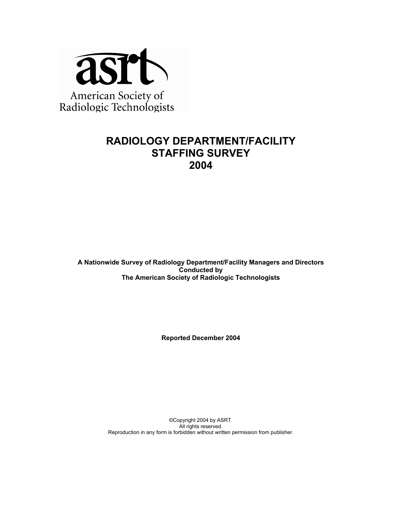

## **RADIOLOGY DEPARTMENT/FACILITY STAFFING SURVEY 2004**

**A Nationwide Survey of Radiology Department/Facility Managers and Directors Conducted by The American Society of Radiologic Technologists** 

**Reported December 2004** 

©Copyright 2004 by ASRT. All rights reserved. Reproduction in any form is forbidden without written permission from publisher.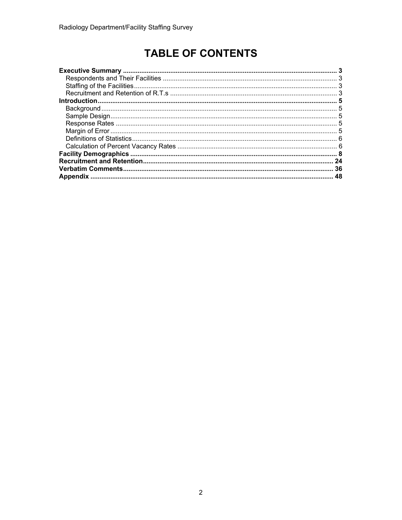# **TABLE OF CONTENTS**

| 24 |
|----|
| 36 |
|    |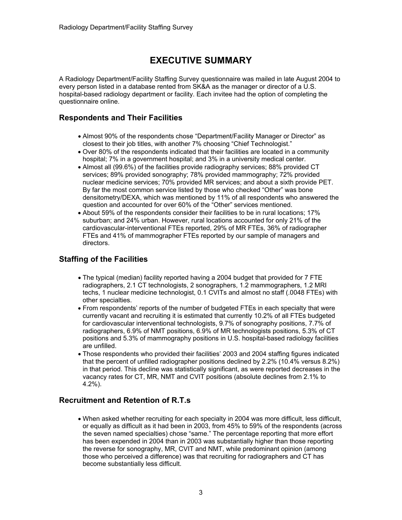## **EXECUTIVE SUMMARY**

A Radiology Department/Facility Staffing Survey questionnaire was mailed in late August 2004 to every person listed in a database rented from SK&A as the manager or director of a U.S. hospital-based radiology department or facility. Each invitee had the option of completing the questionnaire online.

### **Respondents and Their Facilities**

- Almost 90% of the respondents chose "Department/Facility Manager or Director" as closest to their job titles, with another 7% choosing "Chief Technologist."
- Over 80% of the respondents indicated that their facilities are located in a community hospital; 7% in a government hospital; and 3% in a university medical center.
- Almost all (99.6%) of the facilities provide radiography services; 88% provided CT services; 89% provided sonography; 78% provided mammography; 72% provided nuclear medicine services; 70% provided MR services; and about a sixth provide PET. By far the most common service listed by those who checked "Other" was bone densitometry/DEXA, which was mentioned by 11% of all respondents who answered the question and accounted for over 60% of the "Other" services mentioned.
- About 59% of the respondents consider their facilities to be in rural locations; 17% suburban; and 24% urban. However, rural locations accounted for only 21% of the cardiovascular-interventional FTEs reported, 29% of MR FTEs, 36% of radiographer FTEs and 41% of mammographer FTEs reported by our sample of managers and directors.

## **Staffing of the Facilities**

- The typical (median) facility reported having a 2004 budget that provided for 7 FTE radiographers, 2.1 CT technologists, 2 sonographers, 1.2 mammographers, 1.2 MRI techs, 1 nuclear medicine technologist, 0.1 CVITs and almost no staff (.0048 FTEs) with other specialties.
- From respondents' reports of the number of budgeted FTEs in each specialty that were currently vacant and recruiting it is estimated that currently 10.2% of all FTEs budgeted for cardiovascular interventional technologists, 9.7% of sonography positions, 7.7% of radiographers, 6.9% of NMT positions, 6.9% of MR technologists positions, 5.3% of CT positions and 5.3% of mammography positions in U.S. hospital-based radiology facilities are unfilled.
- Those respondents who provided their facilities' 2003 and 2004 staffing figures indicated that the percent of unfilled radiographer positions declined by 2.2% (10.4% versus 8.2%) in that period. This decline was statistically significant, as were reported decreases in the vacancy rates for CT, MR, NMT and CVIT positions (absolute declines from 2.1% to 4.2%).

## **Recruitment and Retention of R.T.s**

• When asked whether recruiting for each specialty in 2004 was more difficult, less difficult, or equally as difficult as it had been in 2003, from 45% to 59% of the respondents (across the seven named specialties) chose "same." The percentage reporting that more effort has been expended in 2004 than in 2003 was substantially higher than those reporting the reverse for sonography, MR, CVIT and NMT, while predominant opinion (among those who perceived a difference) was that recruiting for radiographers and CT has become substantially less difficult.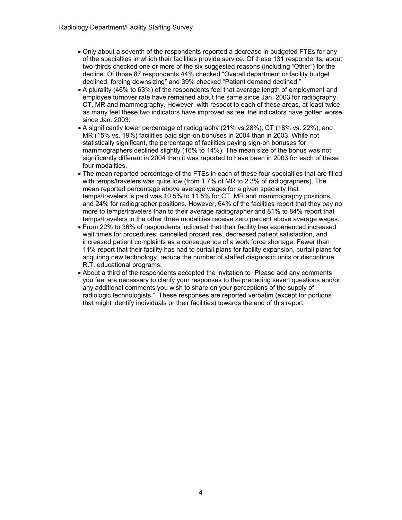- Only about a seventh of the respondents reported a decrease in budgeted FTEs for any of the specialties in which their facilities provide service. Of these 131 respondents, about two-thirds checked one or more of the six suggested reasons (including "Other") for the decline. Of those 87 respondents 44% checked "Overall department or facility budget declined, forcing downsizing" and 39% checked "Patient demand declined."
- A plurality (46% to 63%) of the respondents feel that average length of employment and employee turnover rate have remained about the same since Jan. 2003 for radiography, CT, MR and mammography. However, with respect to each of these areas, at least twice as many feel these two indicators have improved as feel the indicators have gotten worse since Jan. 2003.
- A significantly lower percentage of radiography (21% vs.28%), CT (18% vs. 22%), and MR (15% vs. 19%) facilities paid sign-on bonuses in 2004 than in 2003. While not statistically significant, the percentage of facilities paying sign-on bonuses for mammographers declined slightly (16% to 14%). The mean size of the bonus was not significantly different in 2004 than it was reported to have been in 2003 for each of these four modalities.
- The mean reported percentage of the FTEs in each of these four specialties that are filled with temps/travelers was quite low (from 1.7% of MR to 2.3% of radiographers). The mean reported percentage above average wages for a given specialty that temps/travelers is paid was 10.5% to 11.5% for CT, MR and mammography positions, and 24% for radiographer positions. However, 64% of the facilities report that they pay no more to temps/travelers than to their average radiographer and 81% to 84% report that temps/travelers in the other three modalities receive zero percent above average wages.
- From 22% to 36% of respondents indicated that their facility has experienced increased wait times for procedures, cancelled procedures, decreased patient satisfaction, and increased patient complaints as a consequence of a work force shortage. Fewer than 11% report that their facility has had to curtail plans for facility expansion, curtail plans for acquiring new technology, reduce the number of staffed diagnostic units or discontinue R.T. educational programs.
- About a third of the respondents accepted the invitation to "Please add any comments you feel are necessary to clarify your responses to the preceding seven questions and/or any additional comments you wish to share on your perceptions of the supply of radiologic technologists." These responses are reported verbatim (except for portions that might identify individuals or their facilities) towards the end of this report.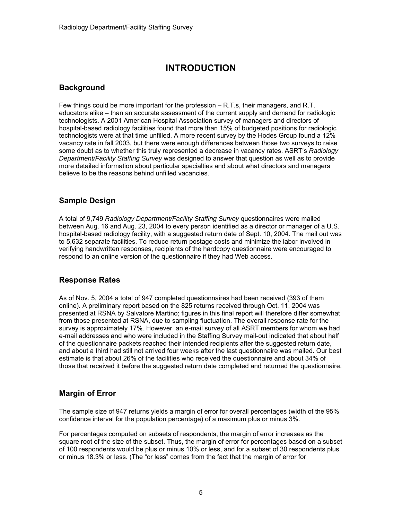## **INTRODUCTION**

### **Background**

Few things could be more important for the profession – R.T.s, their managers, and R.T. educators alike – than an accurate assessment of the current supply and demand for radiologic technologists. A 2001 American Hospital Association survey of managers and directors of hospital-based radiology facilities found that more than 15% of budgeted positions for radiologic technologists were at that time unfilled. A more recent survey by the Hodes Group found a 12% vacancy rate in fall 2003, but there were enough differences between those two surveys to raise some doubt as to whether this truly represented a decrease in vacancy rates. ASRT's *Radiology Department/Facility Staffing Survey* was designed to answer that question as well as to provide more detailed information about particular specialties and about what directors and managers believe to be the reasons behind unfilled vacancies.

## **Sample Design**

A total of 9,749 *Radiology Department/Facility Staffing Survey* questionnaires were mailed between Aug. 16 and Aug. 23, 2004 to every person identified as a director or manager of a U.S. hospital-based radiology facility, with a suggested return date of Sept. 10, 2004. The mail out was to 5,632 separate facilities. To reduce return postage costs and minimize the labor involved in verifying handwritten responses, recipients of the hardcopy questionnaire were encouraged to respond to an online version of the questionnaire if they had Web access.

### **Response Rates**

As of Nov. 5, 2004 a total of 947 completed questionnaires had been received (393 of them online). A preliminary report based on the 825 returns received through Oct. 11, 2004 was presented at RSNA by Salvatore Martino; figures in this final report will therefore differ somewhat from those presented at RSNA, due to sampling fluctuation. The overall response rate for the survey is approximately 17%. However, an e-mail survey of all ASRT members for whom we had e-mail addresses and who were included in the Staffing Survey mail-out indicated that about half of the questionnaire packets reached their intended recipients after the suggested return date, and about a third had still not arrived four weeks after the last questionnaire was mailed. Our best estimate is that about 26% of the facilities who received the questionnaire and about 34% of those that received it before the suggested return date completed and returned the questionnaire.

### **Margin of Error**

The sample size of 947 returns yields a margin of error for overall percentages (width of the 95% confidence interval for the population percentage) of a maximum plus or minus 3%.

For percentages computed on subsets of respondents, the margin of error increases as the square root of the size of the subset. Thus, the margin of error for percentages based on a subset of 100 respondents would be plus or minus 10% or less, and for a subset of 30 respondents plus or minus 18.3% or less. (The "or less" comes from the fact that the margin of error for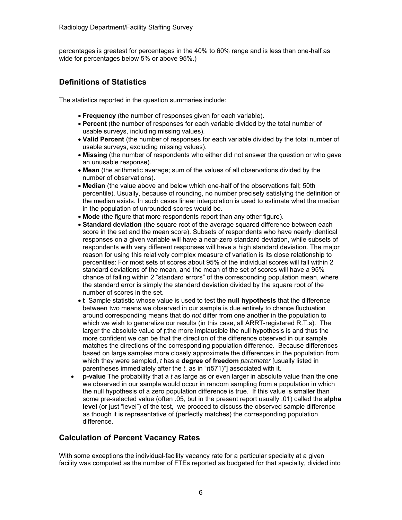percentages is greatest for percentages in the 40% to 60% range and is less than one-half as wide for percentages below 5% or above 95%.)

## **Definitions of Statistics**

The statistics reported in the question summaries include:

- **Frequency** (the number of responses given for each variable).
- **Percent** (the number of responses for each variable divided by the total number of usable surveys, including missing values).
- **Valid Percent** (the number of responses for each variable divided by the total number of usable surveys, excluding missing values).
- **Missing** (the number of respondents who either did not answer the question or who gave an unusable response).
- **Mean** (the arithmetic average; sum of the values of all observations divided by the number of observations).
- **Median** (the value above and below which one-half of the observations fall; 50th percentile). Usually, because of rounding, no number precisely satisfying the definition of the median exists. In such cases linear interpolation is used to estimate what the median in the population of unrounded scores would be.
- **Mode** (the figure that more respondents report than any other figure).
- **Standard deviation** (the square root of the average squared difference between each score in the set and the mean score). Subsets of respondents who have nearly identical responses on a given variable will have a near-zero standard deviation, while subsets of respondents with very different responses will have a high standard deviation. The major reason for using this relatively complex measure of variation is its close relationship to percentiles: For most sets of scores about 95% of the individual scores will fall within 2 standard deviations of the mean, and the mean of the set of scores will have a 95% chance of falling within 2 "standard errors" of the corresponding population mean, where the standard error is simply the standard deviation divided by the square root of the number of scores in the set.
- **t** Sample statistic whose value is used to test the **null hypothesis** that the difference between two means we observed in our sample is due entirely to chance fluctuation around corresponding means that do *not* differ from one another in the population to which we wish to generalize our results (in this case, all ARRT-registered R.T.s). The larger the absolute value of *t,*the more implausible the null hypothesis is and thus the more confident we can be that the direction of the difference observed in our sample matches the directions of the corresponding population difference. Because differences based on large samples more closely approximate the differences in the population from which they were sampled, *t* has a **degree of freedom** *parameter* [usually listed in parentheses immediately after the *t*, as in "*t*(571)"] associated with it.
- **p-value** The probability that a *t* as large as or even larger in absolute value than the one we observed in our sample would occur in random sampling from a population in which the null hypothesis of a zero population difference is true. If this value is smaller than some pre-selected value (often .05, but in the present report usually .01) called the **alpha level** (or just "level") of the test, we proceed to discuss the observed sample difference as though it is representative of (perfectly matches) the corresponding population difference.

### **Calculation of Percent Vacancy Rates**

With some exceptions the individual-facility vacancy rate for a particular specialty at a given facility was computed as the number of FTEs reported as budgeted for that specialty, divided into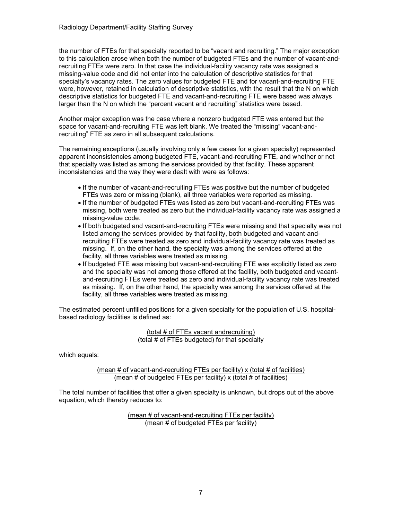the number of FTEs for that specialty reported to be "vacant and recruiting." The major exception to this calculation arose when both the number of budgeted FTEs and the number of vacant-andrecruiting FTEs were zero. In that case the individual-facility vacancy rate was assigned a missing-value code and did not enter into the calculation of descriptive statistics for that specialty's vacancy rates. The zero values for budgeted FTE and for vacant-and-recruiting FTE were, however, retained in calculation of descriptive statistics, with the result that the N on which descriptive statistics for budgeted FTE and vacant-and-recruiting FTE were based was always larger than the N on which the "percent vacant and recruiting" statistics were based.

Another major exception was the case where a nonzero budgeted FTE was entered but the space for vacant-and-recruiting FTE was left blank. We treated the "missing" vacant-andrecruiting" FTE as zero in all subsequent calculations.

The remaining exceptions (usually involving only a few cases for a given specialty) represented apparent inconsistencies among budgeted FTE, vacant-and-recruiting FTE, and whether or not that specialty was listed as among the services provided by that facility. These apparent inconsistencies and the way they were dealt with were as follows:

- If the number of vacant-and-recruiting FTEs was positive but the number of budgeted FTEs was zero or missing (blank), all three variables were reported as missing.
- If the number of budgeted FTEs was listed as zero but vacant-and-recruiting FTEs was missing, both were treated as zero but the individual-facility vacancy rate was assigned a missing-value code.
- If both budgeted and vacant-and-recruiting FTEs were missing and that specialty was not listed among the services provided by that facility, both budgeted and vacant-andrecruiting FTEs were treated as zero and individual-facility vacancy rate was treated as missing. If, on the other hand, the specialty was among the services offered at the facility, all three variables were treated as missing.
- If budgeted FTE was missing but vacant-and-recruiting FTE was explicitly listed as zero and the specialty was not among those offered at the facility, both budgeted and vacantand-recruiting FTEs were treated as zero and individual-facility vacancy rate was treated as missing. If, on the other hand, the specialty was among the services offered at the facility, all three variables were treated as missing.

The estimated percent unfilled positions for a given specialty for the population of U.S. hospitalbased radiology facilities is defined as:

> (total # of FTEs vacant andrecruiting) (total # of FTEs budgeted) for that specialty

which equals:

(mean  $#$  of vacant-and-recruiting FTEs per facility) x (total  $#$  of facilities) (mean  $\#$  of budgeted FTEs per facility) x (total  $\#$  of facilities)

The total number of facilities that offer a given specialty is unknown, but drops out of the above equation, which thereby reduces to:

> (mean # of vacant-and-recruiting FTEs per facility) (mean # of budgeted FTEs per facility)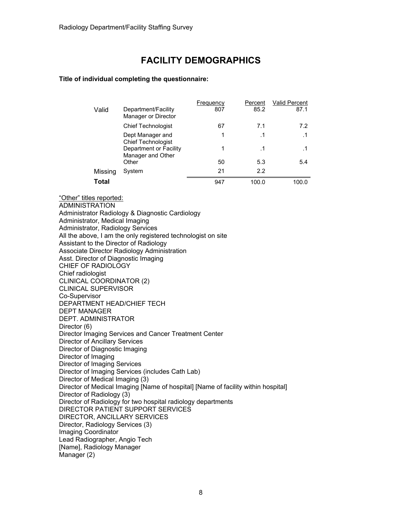## **FACILITY DEMOGRAPHICS**

#### **Title of individual completing the questionnaire:**

|         |                                             | Frequency | Percent | <b>Valid Percent</b> |
|---------|---------------------------------------------|-----------|---------|----------------------|
| Valid   | Department/Facility<br>Manager or Director  | 807       | 85.2    | 87.1                 |
|         | <b>Chief Technologist</b>                   | 67        | 7.1     | 7.2                  |
|         | Dept Manager and<br>Chief Technologist      | 1         | . 1     | $\cdot$ 1            |
|         | Department or Facility<br>Manager and Other | 1         | .1      |                      |
|         | Other                                       | 50        | 5.3     | 5.4                  |
| Missing | System                                      | 21        | 2.2     |                      |
| Total   |                                             | 947       | 100.0   | 100.0                |

"Other" titles reported: ADMINISTRATION Administrator Radiology & Diagnostic Cardiology Administrator, Medical Imaging Administrator, Radiology Services All the above, I am the only registered technologist on site Assistant to the Director of Radiology Associate Director Radiology Administration Asst. Director of Diagnostic Imaging CHIEF OF RADIOLOGY Chief radiologist CLINICAL COORDINATOR (2) CLINICAL SUPERVISOR Co-Supervisor DEPARTMENT HEAD/CHIEF TECH DEPT MANAGER DEPT. ADMINISTRATOR Director (6) Director Imaging Services and Cancer Treatment Center Director of Ancillary Services Director of Diagnostic Imaging Director of Imaging Director of Imaging Services Director of Imaging Services (includes Cath Lab) Director of Medical Imaging (3) Director of Medical Imaging [Name of hospital] [Name of facility within hospital] Director of Radiology (3) Director of Radiology for two hospital radiology departments DIRECTOR PATIENT SUPPORT SERVICES DIRECTOR, ANCILLARY SERVICES Director, Radiology Services (3) Imaging Coordinator Lead Radiographer, Angio Tech [Name], Radiology Manager Manager (2)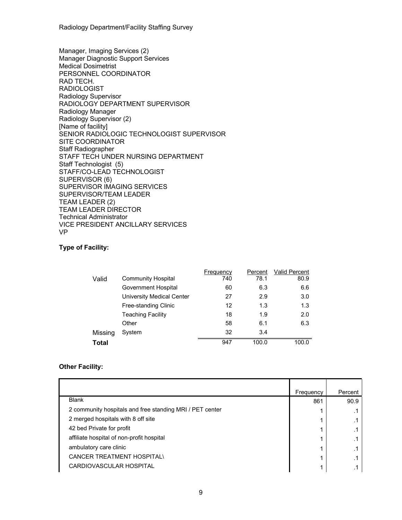Radiology Department/Facility Staffing Survey

Manager, Imaging Services (2) Manager Diagnostic Support Services Medical Dosimetrist PERSONNEL COORDINATOR RAD TECH. RADIOLOGIST Radiology Supervisor RADIOLOGY DEPARTMENT SUPERVISOR Radiology Manager Radiology Supervisor (2) [Name of facility] SENIOR RADIOLOGIC TECHNOLOGIST SUPERVISOR SITE COORDINATOR Staff Radiographer STAFF TECH UNDER NURSING DEPARTMENT Staff Technologist (5) STAFF/CO-LEAD TECHNOLOGIST SUPERVISOR (6) SUPERVISOR IMAGING SERVICES SUPERVISOR/TEAM LEADER TEAM LEADER (2) TEAM LEADER DIRECTOR Technical Administrator VICE PRESIDENT ANCILLARY SERVICES VP

#### **Type of Facility:**

|              |                                  | Frequency | Percent | Valid Percent |
|--------------|----------------------------------|-----------|---------|---------------|
| Valid        | <b>Community Hospital</b>        | 740       | 78.1    | 80.9          |
|              | Government Hospital              | 60        | 6.3     | 6.6           |
|              | <b>University Medical Center</b> | 27        | 2.9     | 3.0           |
|              | Free-standing Clinic             | 12        | 1.3     | 1.3           |
|              | <b>Teaching Facility</b>         | 18        | 1.9     | 2.0           |
|              | Other                            | 58        | 6.1     | 6.3           |
| Missing      | System                           | 32        | 3.4     |               |
| <b>Total</b> |                                  | 947       | 100.0   | 100.0         |

#### **Other Facility:**

|                                                          | Frequency | Percent |
|----------------------------------------------------------|-----------|---------|
| <b>Blank</b>                                             | 861       | 90.9    |
| 2 community hospitals and free standing MRI / PET center |           |         |
| 2 merged hospitals with 8 off site                       |           |         |
| 42 bed Private for profit                                |           |         |
| affiliate hospital of non-profit hospital                |           |         |
| ambulatory care clinic                                   |           |         |
| <b>CANCER TREATMENT HOSPITAL\</b>                        |           |         |
| CARDIOVASCULAR HOSPITAL                                  |           |         |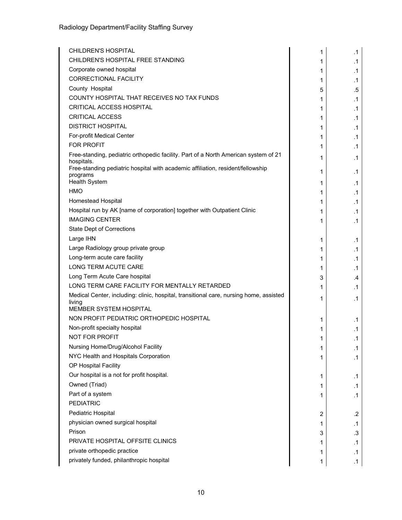| <b>CHILDREN'S HOSPITAL</b>                                                                    | 1      | $\cdot$ 1       |
|-----------------------------------------------------------------------------------------------|--------|-----------------|
| CHILDREN'S HOSPITAL FREE STANDING                                                             | 1      | $\cdot$ 1       |
| Corporate owned hospital                                                                      | 1      | $\cdot$ 1       |
| <b>CORRECTIONAL FACILITY</b>                                                                  | 1      | $\cdot$ 1       |
| County Hospital                                                                               | 5      | .5              |
| COUNTY HOSPITAL THAT RECEIVES NO TAX FUNDS                                                    | 1      | $\cdot$ 1       |
| CRITICAL ACCESS HOSPITAL                                                                      | 1      | $\cdot$ 1       |
| <b>CRITICAL ACCESS</b>                                                                        | 1      | .1              |
| <b>DISTRICT HOSPITAL</b>                                                                      | 1      | .1              |
| For-profit Medical Center                                                                     | 1      | .1              |
| <b>FOR PROFIT</b>                                                                             | 1      | $\cdot$ 1       |
| Free-standing, pediatric orthopedic facility. Part of a North American system of 21           | 1      | $\cdot$ 1       |
| hospitals.<br>Free-standing pediatric hospital with academic affiliation, resident/fellowship | 1      | $\cdot$ 1       |
| programs<br>Health System                                                                     |        |                 |
| <b>HMO</b>                                                                                    | 1      | .1              |
| <b>Homestead Hospital</b>                                                                     | 1      | .1              |
| Hospital run by AK [name of corporation] together with Outpatient Clinic                      | 1      | $\cdot$ 1       |
| <b>IMAGING CENTER</b>                                                                         | 1      | $\cdot$ 1       |
| <b>State Dept of Corrections</b>                                                              | 1      | $\cdot$ 1       |
| Large IHN                                                                                     |        |                 |
| Large Radiology group private group                                                           | 1      | .1<br>$\cdot$ 1 |
| Long-term acute care facility                                                                 | 1      |                 |
| LONG TERM ACUTE CARE                                                                          | 1<br>1 | .1<br>$\cdot$ 1 |
| Long Term Acute Care hospital                                                                 | 3      | .4              |
| LONG TERM CARE FACILITY FOR MENTALLY RETARDED                                                 | 1      | .1              |
| Medical Center, including: clinic, hospital, transitional care, nursing home, assisted        |        |                 |
| living<br>MEMBER SYSTEM HOSPITAL                                                              | 1      | .1              |
| NON PROFIT PEDIATRIC ORTHOPEDIC HOSPITAL                                                      | 1      | $\cdot$ 1       |
| Non-profit specialty hospital                                                                 | 1      | $\cdot$ 1       |
| <b>NOT FOR PROFIT</b>                                                                         | 1      | $\cdot$ 1       |
| Nursing Home/Drug/Alcohol Facility                                                            | 1      | $\cdot$ 1       |
| NYC Health and Hospitals Corporation                                                          | 1      | $\cdot$ 1       |
| OP Hospital Facility                                                                          |        |                 |
| Our hospital is a not for profit hospital.                                                    | 1      | $\cdot$ 1       |
| Owned (Triad)                                                                                 | 1      | $\cdot$ 1       |
| Part of a system                                                                              | 1      | $\cdot$ 1       |
| <b>PEDIATRIC</b>                                                                              |        |                 |
| Pediatric Hospital                                                                            | 2      | $\cdot$         |
| physician owned surgical hospital                                                             | 1      | $\cdot$ 1       |
| Prison                                                                                        | 3      | .3              |
| PRIVATE HOSPITAL OFFSITE CLINICS                                                              | 1      | $\cdot$ 1       |
| private orthopedic practice                                                                   | 1      | $\cdot$ 1       |
| privately funded, philanthropic hospital                                                      | 1      | $\cdot$ 1       |
|                                                                                               |        |                 |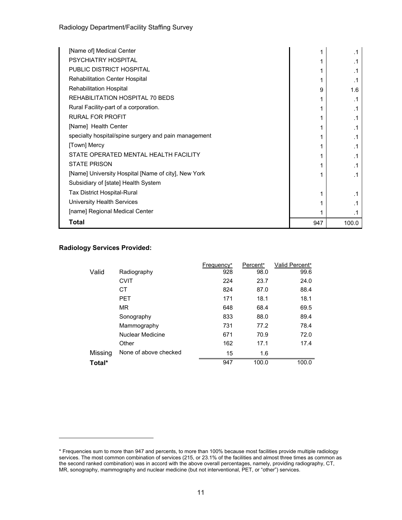Radiology Department/Facility Staffing Survey

| [Name of] Medical Center                             |     |       |
|------------------------------------------------------|-----|-------|
| PSYCHIATRY HOSPITAL                                  |     |       |
| <b>PUBLIC DISTRICT HOSPITAL</b>                      |     |       |
| <b>Rehabilitation Center Hospital</b>                |     |       |
| <b>Rehabilitation Hospital</b>                       | 9   | 1.6   |
| REHABILITATION HOSPITAL 70 BEDS                      |     | .1    |
| Rural Facility-part of a corporation.                |     |       |
| RURAL FOR PROFIT                                     |     | . 1   |
| [Name] Health Center                                 |     | .1    |
| specialty hospital/spine surgery and pain management |     | . 1   |
| [Town] Mercy                                         |     |       |
| STATE OPERATED MENTAL HEALTH FACILITY                |     | .1    |
| <b>STATE PRISON</b>                                  |     |       |
| [Name] University Hospital [Name of city], New York  |     | . 1   |
| Subsidiary of [state] Health System                  |     |       |
| Tax District Hospital-Rural                          |     |       |
| University Health Services                           |     |       |
| [name] Regional Medical Center                       |     |       |
| Total                                                | 947 | 100.0 |

#### **Radiology Services Provided:**

|         |                       | Frequency* | Percent* | Valid Percent* |
|---------|-----------------------|------------|----------|----------------|
| Valid   | Radiography           | 928        | 98.0     | 99.6           |
|         | <b>CVIT</b>           | 224        | 23.7     | 24.0           |
|         | СT                    | 824        | 87.0     | 88.4           |
|         | <b>PET</b>            | 171        | 18.1     | 18.1           |
|         | <b>MR</b>             | 648        | 68.4     | 69.5           |
|         | Sonography            | 833        | 88.0     | 89.4           |
|         | Mammography           | 731        | 77.2     | 78.4           |
|         | Nuclear Medicine      | 671        | 70.9     | 72.0           |
|         | Other                 | 162        | 17.1     | 17.4           |
| Missing | None of above checked | 15         | 1.6      |                |
| Total*  |                       | 947        | 100.0    | 100.0          |

<sup>\*</sup> Frequencies sum to more than 947 and percents, to more than 100% because most facilities provide multiple radiology services. The most common combination of services (215, or 23.1% of the facilities and almost three times as common as the second ranked combination) was in accord with the above overall percentages, namely, providing radiography, CT, MR, sonography, mammography and nuclear medicine (but not interventional, PET, or "other") services.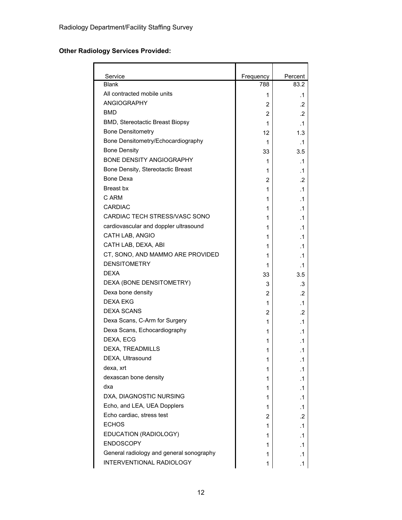## **Other Radiology Services Provided:**

| Service                                  | Frequency | Percent   |
|------------------------------------------|-----------|-----------|
| <b>Blank</b>                             | 788       | 83.2      |
| All contracted mobile units              | 1         | .1        |
| <b>ANGIOGRAPHY</b>                       | 2         | .2        |
| <b>BMD</b>                               | 2         | $\cdot$   |
| BMD, Stereotactic Breast Biopsy          | 1         | .1        |
| <b>Bone Densitometry</b>                 | 12        | 1.3       |
| Bone Densitometry/Echocardiography       | 1         | .1        |
| <b>Bone Density</b>                      | 33        | 3.5       |
| <b>BONE DENSITY ANGIOGRAPHY</b>          | 1         | .1        |
| Bone Density, Stereotactic Breast        | 1         | .1        |
| Bone Dexa                                | 2         | .2        |
| Breast bx                                | 1         | .1        |
| C ARM                                    | 1         | .1        |
| <b>CARDIAC</b>                           | 1         | .1        |
| CARDIAC TECH STRESS/VASC SONO            | 1         | .1        |
| cardiovascular and doppler ultrasound    | 1         | .1        |
| CATH LAB, ANGIO                          | 1         | .1        |
| CATH LAB, DEXA, ABI                      | 1         | .1        |
| CT, SONO, AND MAMMO ARE PROVIDED         | 1         | .1        |
| <b>DENSITOMETRY</b>                      | 1         | .1        |
| <b>DEXA</b>                              | 33        | 3.5       |
| DEXA (BONE DENSITOMETRY)                 | 3         | .3        |
| Dexa bone density                        | 2         | .2        |
| <b>DEXA EKG</b>                          | 1         | $\cdot$ 1 |
| <b>DEXA SCANS</b>                        | 2         | .2        |
| Dexa Scans, C-Arm for Surgery            | 1         | .1        |
| Dexa Scans, Echocardiography             | 1         | .1        |
| DEXA, ECG                                | 1         | .1        |
| DEXA, TREADMILLS                         | 1         | $\cdot$ 1 |
| DEXA, Ultrasound                         | 1         | $\cdot$ 1 |
| dexa, xrt                                | 1         | .1        |
| dexascan bone density                    | 1         | .1        |
| dxa                                      | 1         | .1        |
| DXA, DIAGNOSTIC NURSING                  | 1         | .1        |
| Echo, and LEA, UEA Dopplers              | 1         | .1        |
| Echo cardiac, stress test                | 2         | .2        |
| <b>ECHOS</b>                             | 1         | .1        |
| EDUCATION (RADIOLOGY)                    | 1         | .1        |
| <b>ENDOSCOPY</b>                         | 1         | .1        |
| General radiology and general sonography | 1         | .1        |
| INTERVENTIONAL RADIOLOGY                 | 1         | .1        |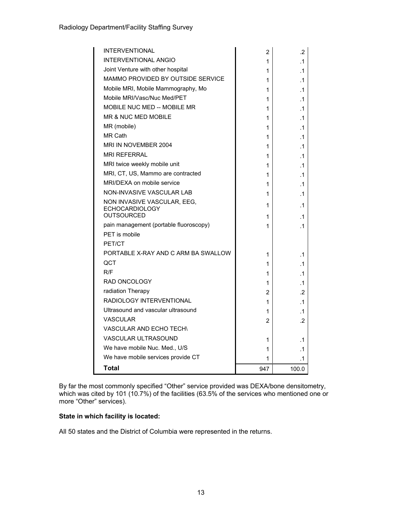| <b>INTERVENTIONAL</b>                                   | 2   | .2        |
|---------------------------------------------------------|-----|-----------|
| <b>INTERVENTIONAL ANGIO</b>                             | 1   | $\cdot$ 1 |
| Joint Venture with other hospital                       | 1   | .1        |
| MAMMO PROVIDED BY OUTSIDE SERVICE                       | 1   | $\cdot$ 1 |
| Mobile MRI, Mobile Mammography, Mo                      | 1   | $\cdot$ 1 |
| Mobile MRI/Vasc/Nuc Med/PET                             | 1   | $\cdot$ 1 |
| <b>MOBILE NUC MED -- MOBILE MR</b>                      | 1   | $\cdot$ 1 |
| <b>MR &amp; NUC MED MOBILE</b>                          | 1   | .1        |
| MR (mobile)                                             | 1   | .1        |
| <b>MR Cath</b>                                          | 1   | $\cdot$ 1 |
| MRI IN NOVEMBER 2004                                    | 1   | .1        |
| <b>MRI REFERRAL</b>                                     | 1   | .1        |
| MRI twice weekly mobile unit                            | 1   | .1        |
| MRI, CT, US, Mammo are contracted                       | 1   | .1        |
| MRI/DEXA on mobile service                              | 1   | .1        |
| <b>NON-INVASIVE VASCULAR LAB</b>                        | 1   | .1        |
| NON INVASIVE VASCULAR, EEG,                             | 1   | .1        |
| <b>ECHOCARDIOLOGY</b><br><b>OUTSOURCED</b>              |     |           |
|                                                         | 1   | .1        |
| pain management (portable fluoroscopy)<br>PET is mobile | 1   | .1        |
| PET/CT                                                  |     |           |
| PORTABLE X-RAY AND C ARM BA SWALLOW                     |     |           |
| QCT                                                     | 1   | $\cdot$ 1 |
| R/F                                                     | 1   | .1        |
| <b>RAD ONCOLOGY</b>                                     | 1   | $\cdot$ 1 |
|                                                         | 1   | .1        |
| radiation Therapy<br>RADIOLOGY INTERVENTIONAL           | 2   | .2        |
| Ultrasound and vascular ultrasound                      | 1   | $\cdot$ 1 |
| <b>VASCULAR</b>                                         | 1   | .1        |
| <b>VASCULAR AND ECHO TECH\</b>                          | 2   | .2        |
| <b>VASCULAR ULTRASOUND</b>                              |     |           |
|                                                         | 1   | .1        |
| We have mobile Nuc. Med., U/S                           | 1   | .1        |
| We have mobile services provide CT                      | 1   | .1        |
| Total                                                   | 947 | 100.0     |

By far the most commonly specified "Other" service provided was DEXA/bone densitometry, which was cited by 101 (10.7%) of the facilities (63.5% of the services who mentioned one or more "Other" services).

#### **State in which facility is located:**

All 50 states and the District of Columbia were represented in the returns.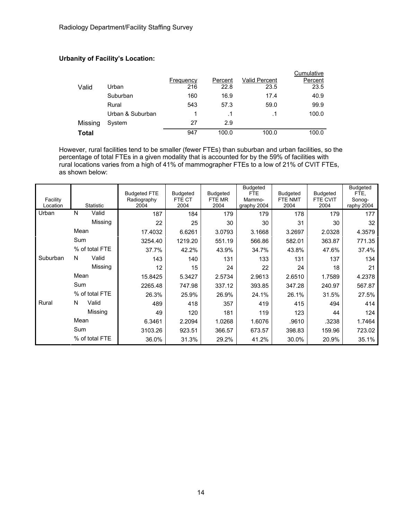### **Urbanity of Facility's Location:**

|         |                  |           |         |                      | Cumulative |
|---------|------------------|-----------|---------|----------------------|------------|
|         |                  | Frequency | Percent | <b>Valid Percent</b> | Percent    |
| Valid   | Urban            | 216       | 22.8    | 23.5                 | 23.5       |
|         | Suburban         | 160       | 16.9    | 17.4                 | 40.9       |
|         | Rural            | 543       | 57.3    | 59.0                 | 99.9       |
|         | Urban & Suburban |           |         | $\cdot$ 1            | 100.0      |
| Missing | System           | 27        | 2.9     |                      |            |
| Total   |                  | 947       | 100.0   | 100.0                | 100.0      |

However, rural facilities tend to be smaller (fewer FTEs) than suburban and urban facilities, so the percentage of total FTEs in a given modality that is accounted for by the 59% of facilities with rural locations varies from a high of 41% of mammographer FTEs to a low of 21% of CVIT FTEs, as shown below:

| Facility<br>Location | <b>Statistic</b> | <b>Budgeted FTE</b><br>Radiography<br>2004 | <b>Budgeted</b><br>FTE CT<br>2004 | <b>Budgeted</b><br>FTE MR<br>2004 | <b>Budgeted</b><br>FTE.<br>Mammo-<br>graphy 2004 | <b>Budgeted</b><br>FTE NMT<br>2004 | Budgeted<br>FTE CVIT<br>2004 | Budgeted<br>FTE,<br>Sonog-<br>raphy 2004 |
|----------------------|------------------|--------------------------------------------|-----------------------------------|-----------------------------------|--------------------------------------------------|------------------------------------|------------------------------|------------------------------------------|
| Urban                | N<br>Valid       | 187                                        | 184                               | 179                               | 179                                              | 178                                | 179                          | 177                                      |
|                      | Missing          | 22                                         | 25                                | 30                                | 30                                               | 31                                 | 30                           | 32                                       |
|                      | Mean             | 17.4032                                    | 6.6261                            | 3.0793                            | 3.1668                                           | 3.2697                             | 2.0328                       | 4.3579                                   |
|                      | Sum              | 3254.40                                    | 1219.20                           | 551.19                            | 566.86                                           | 582.01                             | 363.87                       | 771.35                                   |
|                      | % of total FTE   | 37.7%                                      | 42.2%                             | 43.9%                             | 34.7%                                            | 43.8%                              | 47.6%                        | 37.4%                                    |
| Suburban             | N<br>Valid       | 143                                        | 140                               | 131                               | 133                                              | 131                                | 137                          | 134                                      |
|                      | Missing          | 12                                         | 15                                | 24                                | 22                                               | 24                                 | 18                           | 21                                       |
|                      | Mean             | 15.8425                                    | 5.3427                            | 2.5734                            | 2.9613                                           | 2.6510                             | 1.7589                       | 4.2378                                   |
|                      | Sum              | 2265.48                                    | 747.98                            | 337.12                            | 393.85                                           | 347.28                             | 240.97                       | 567.87                                   |
|                      | % of total FTE   | 26.3%                                      | 25.9%                             | 26.9%                             | 24.1%                                            | 26.1%                              | 31.5%                        | 27.5%                                    |
| Rural                | Valid<br>N       | 489                                        | 418                               | 357                               | 419                                              | 415                                | 494                          | 414                                      |
|                      | Missing          | 49                                         | 120                               | 181                               | 119                                              | 123                                | 44                           | 124                                      |
|                      | Mean             | 6.3461                                     | 2.2094                            | 1.0268                            | 1.6076                                           | .9610                              | .3238                        | 1.7464                                   |
|                      | Sum              | 3103.26                                    | 923.51                            | 366.57                            | 673.57                                           | 398.83                             | 159.96                       | 723.02                                   |
|                      | % of total FTE   | 36.0%                                      | 31.3%                             | 29.2%                             | 41.2%                                            | 30.0%                              | 20.9%                        | 35.1%                                    |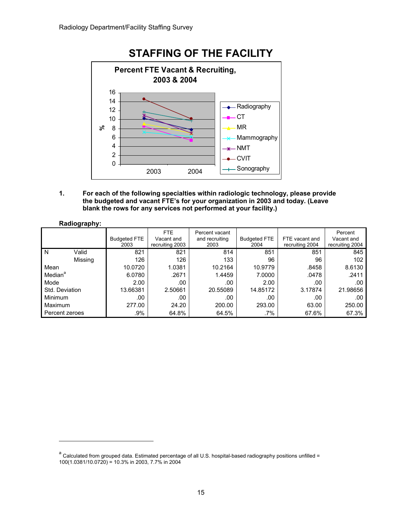

**1. For each of the following specialties within radiologic technology, please provide the budgeted and vacant FTE's for your organization in 2003 and today. (Leave blank the rows for any services not performed at your facility.)** 

#### **Radiography:**

|                     | <b>Budgeted FTE</b><br>2003 | <b>FTE</b><br>Vacant and<br>recruiting 2003 | Percent vacant<br>and recruiting<br>2003 | <b>Budgeted FTE</b><br>2004 | FTE vacant and<br>recruiting 2004 | Percent<br>Vacant and<br>recruiting 2004 |
|---------------------|-----------------------------|---------------------------------------------|------------------------------------------|-----------------------------|-----------------------------------|------------------------------------------|
| N<br>Valid          | 821                         | 821                                         | 814                                      | 851                         | 851                               | 845                                      |
| Missing             | 126                         | 126                                         | 133                                      | 96                          | 96                                | 102                                      |
| Mean                | 10.0720                     | 1.0381                                      | 10.2164                                  | 10.9779                     | .8458                             | 8.6130                                   |
| Median <sup>a</sup> | 6.0780                      | .2671                                       | 1.4459                                   | 7.0000                      | .0478                             | .2411                                    |
| Mode                | 2.00                        | .00                                         | .00                                      | 2.00                        | .00                               | .00                                      |
| Std. Deviation      | 13.66381                    | 2.50661                                     | 20.55089                                 | 14.85172                    | 3.17874                           | 21.98656                                 |
| <b>Minimum</b>      | .00                         | .00                                         | .00                                      | .00                         | .00                               | .00                                      |
| <b>Maximum</b>      | 277.00                      | 24.20                                       | 200.00                                   | 293.00                      | 63.00                             | 250.00                                   |
| Percent zeroes      | .9%                         | 64.8%                                       | 64.5%                                    | .7%                         | 67.6%                             | 67.3%                                    |

a<br>Calculated from grouped data. Estimated percentage of all U.S. hospital-based radiography positions unfilled = 100(1.0381/10.0720) = 10.3% in 2003, 7.7% in 2004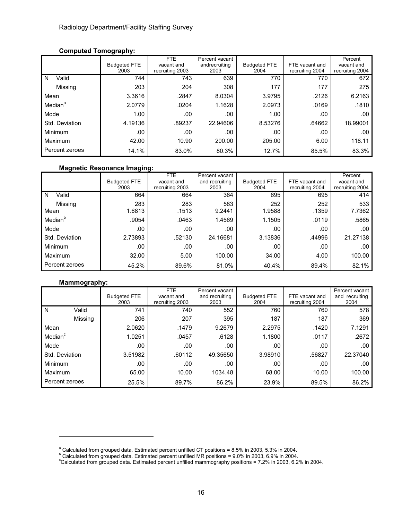### **Computed Tomography:**

|                     |                     | FTE             | Percent vacant |                     |                 | Percent         |
|---------------------|---------------------|-----------------|----------------|---------------------|-----------------|-----------------|
|                     | <b>Budgeted FTE</b> | vacant and      | andrecruiting  | <b>Budgeted FTE</b> | FTE vacant and  | vacant and      |
|                     | 2003                | recruiting 2003 | 2003           | 2004                | recruiting 2004 | recruiting 2004 |
| Valid<br>N          | 744                 | 743             | 639            | 770                 | 770             | 672             |
| Missing             | 203                 | 204             | 308            | 177                 | 177             | 275             |
| Mean                | 3.3616              | .2847           | 8.0304         | 3.9795              | .2126           | 6.2163          |
| Median <sup>a</sup> | 2.0779              | .0204           | 1.1628         | 2.0973              | .0169           | .1810           |
| Mode                | 1.00                | .00             | .00            | 1.00                | .00             | .00             |
| Std. Deviation      | 4.19136             | .89237          | 22.94606       | 8.53276             | .64662          | 18.99001        |
| <b>Minimum</b>      | .00                 | .00             | .00            | .00                 | .00             | .00             |
| Maximum             | 42.00               | 10.90           | 200.00         | 205.00              | 6.00            | 118.11          |
| Percent zeroes      | 14.1%               | 83.0%           | 80.3%          | 12.7%               | 85.5%           | 83.3%           |

#### **Magnetic Resonance Imaging:**

|                     | <b>Budgeted FTE</b><br>2003 | FTE<br>vacant and<br>recruiting 2003 | Percent vacant<br>and recruiting<br>2003 | <b>Budgeted FTE</b><br>2004 | FTE vacant and<br>recruiting 2004 | Percent<br>vacant and<br>recruiting 2004 |
|---------------------|-----------------------------|--------------------------------------|------------------------------------------|-----------------------------|-----------------------------------|------------------------------------------|
| Valid<br>N          | 664                         | 664                                  | 364                                      | 695                         | 695                               | 414                                      |
| Missing<br>Mean     | 283<br>1.6813               | 283<br>.1513                         | 583<br>9.2441                            | 252<br>1.9588               | 252<br>.1359                      | 533<br>7.7362                            |
| Median <sup>b</sup> | .9054                       | .0463                                | 1.4569                                   | 1.1505                      | .0119                             | .5865                                    |
| Mode                | .00                         | .00                                  | .00                                      | .00                         | .00                               | .00                                      |
| Std. Deviation      | 2.73893                     | .52130                               | 24.16681                                 | 3.13836                     | .44996                            | 21.27138                                 |
| Minimum             | .00                         | .00                                  | .00                                      | .00                         | .00                               | .00                                      |
| Maximum             | 32.00                       | 5.00                                 | 100.00                                   | 34.00                       | 4.00                              | 100.00                                   |
| Percent zeroes      | 45.2%                       | 89.6%                                | 81.0%                                    | 40.4%                       | 89.4%                             | 82.1%                                    |

### **Mammography:**

|                     |                |                     | FTE.            | Percent vacant |                     |                 | Percent vacant |
|---------------------|----------------|---------------------|-----------------|----------------|---------------------|-----------------|----------------|
|                     |                | <b>Budgeted FTE</b> | vacant and      | and recruiting | <b>Budgeted FTE</b> | FTE vacant and  | and recruiting |
|                     |                | 2003                | recruiting 2003 | 2003           | 2004                | recruiting 2004 | 2004           |
| l N                 | Valid          | 741                 | 740             | 552            | 760                 | 760             | 578            |
|                     | Missing        | 206                 | 207             | 395            | 187                 | 187             | 369            |
| Mean                |                | 2.0620              | .1479           | 9.2679         | 2.2975              | .1420           | 7.1291         |
| Median <sup>c</sup> |                | 1.0251              | .0457           | .6128          | 1.1800              | .0117           | .2672          |
| Mode                |                | .00                 | .00             | .00            | .00                 | .00             | .00            |
| Std. Deviation      |                | 3.51982             | .60112          | 49.35650       | 3.98910             | .56827          | 22.37040       |
| Minimum             |                | .00                 | .00             | .00            | .00                 | .00             | .00            |
| Maximum             |                | 65.00               | 10.00           | 1034.48        | 68.00               | 10.00           | 100.00         |
|                     | Percent zeroes | 25.5%               | 89.7%           | 86.2%          | 23.9%               | 89.5%           | 86.2%          |

<sup>&</sup>lt;sup>a</sup> Calculated from grouped data. Estimated percent unfilled CT positions = 8.5% in 2003, 5.3% in 2004.<br><sup>b</sup> Calculated from grouped data. Estimated percent unfilled MD positions = 0.0% in 2003, 6.0% in 2004.

<sup>°</sup> Calculated from grouped data. Estimated percent unfilled MR positions = 9.0% in 2003, 6.9% in 2004.<br>°Calculated from grouped data. Estimated percent unfilled mammography positions = 7.2% in 2003, 6.2% in 2004.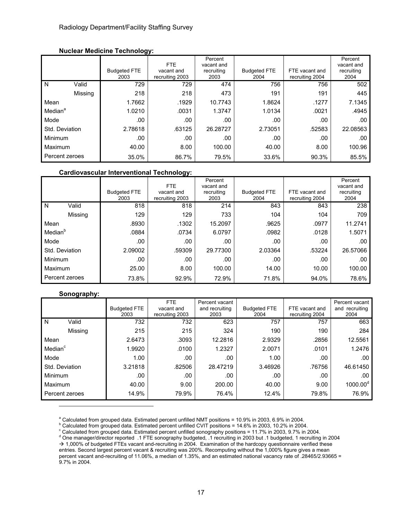#### **Nuclear Medicine Technology:**

|                     |         |                             | <b>FTE</b><br>vacant and | Percent<br>vacant and<br>recruiting |                             | FTE vacant and  | Percent<br>vacant and<br>recruiting |
|---------------------|---------|-----------------------------|--------------------------|-------------------------------------|-----------------------------|-----------------|-------------------------------------|
|                     |         | <b>Budgeted FTE</b><br>2003 | recruiting 2003          | 2003                                | <b>Budgeted FTE</b><br>2004 | recruiting 2004 | 2004                                |
| N                   | Valid   | 729                         | 729                      | 474                                 | 756                         | 756             | 502                                 |
|                     | Missing | 218                         | 218                      | 473                                 | 191                         | 191             | 445                                 |
| Mean                |         | 1.7662                      | .1929                    | 10.7743                             | 1.8624                      | .1277           | 7.1345                              |
| Median <sup>a</sup> |         | 1.0210                      | .0031                    | 1.3747                              | 1.0134                      | .0021           | .4945                               |
| Mode                |         | .00                         | .00                      | .00                                 | .00                         | .00             | .00                                 |
| Std. Deviation      |         | 2.78618                     | .63125                   | 26.28727                            | 2.73051                     | .52583          | 22.08563                            |
| Minimum             |         | .00                         | .00                      | .00                                 | .00                         | .00             | .00                                 |
| Maximum             |         | 40.00                       | 8.00                     | 100.00                              | 40.00                       | 8.00            | 100.96                              |
| Percent zeroes      |         | 35.0%                       | 86.7%                    | 79.5%                               | 33.6%                       | 90.3%           | 85.5%                               |

#### **Cardiovascular Interventional Technology:**

|                     |         | <b>Budgeted FTE</b><br>2003 | <b>FTE</b><br>vacant and<br>recruiting 2003 | Percent<br>vacant and<br>recruiting<br>2003 | <b>Budgeted FTE</b><br>2004 | FTE vacant and<br>recruiting 2004 | Percent<br>vacant and<br>recruiting<br>2004 |
|---------------------|---------|-----------------------------|---------------------------------------------|---------------------------------------------|-----------------------------|-----------------------------------|---------------------------------------------|
| N                   | Valid   | 818                         | 818                                         | 214                                         | 843                         | 843                               | 238                                         |
|                     |         |                             |                                             |                                             |                             |                                   |                                             |
|                     | Missing | 129                         | 129                                         | 733                                         | 104                         | 104                               | 709                                         |
| Mean                |         | .8930                       | .1302                                       | 15.2097                                     | .9625                       | .0977                             | 11.2741                                     |
| Median <sup>b</sup> |         | .0884                       | .0734                                       | 6.0797                                      | .0982                       | .0128                             | 1.5071                                      |
| Mode                |         | .00                         | .00                                         | .00                                         | .00                         | .00                               | .00                                         |
| Std. Deviation      |         | 2.09002                     | .59309                                      | 29.77300                                    | 2.03364                     | .53224                            | 26.57066                                    |
| Minimum             |         | .00                         | .00                                         | .00                                         | .00                         | .00                               | .00                                         |
| Maximum             |         | 25.00                       | 8.00                                        | 100.00                                      | 14.00                       | 10.00                             | 100.00                                      |
| Percent zeroes      |         | 73.8%                       | 92.9%                                       | 72.9%                                       | 71.8%                       | 94.0%                             | 78.6%                                       |

#### **Sonography:**

l

|                     |                | <b>Budgeted FTE</b><br>2003 | <b>FTE</b><br>vacant and<br>recruiting 2003 | Percent vacant<br>and recruiting<br>2003 | <b>Budgeted FTE</b><br>2004 | FTE vacant and<br>recruiting 2004 | Percent vacant<br>and recruiting<br>2004 |
|---------------------|----------------|-----------------------------|---------------------------------------------|------------------------------------------|-----------------------------|-----------------------------------|------------------------------------------|
| N                   | Valid          | 732                         | 732                                         | 623                                      | 757                         | 757                               | 663                                      |
|                     | Missing        | 215                         | 215                                         | 324                                      | 190                         | 190                               | 284                                      |
| Mean                |                | 2.6473                      | .3093                                       | 12.2816                                  | 2.9329                      | .2856                             | 12.5561                                  |
| Median <sup>c</sup> |                | 1.9920                      | .0100                                       | 1.2327                                   | 2.0071                      | .0101                             | 1.2476                                   |
| Mode                |                | 1.00 <sub>1</sub>           | .00                                         | .00                                      | 1.00                        | .00                               | .00                                      |
| Std. Deviation      |                | 3.21818                     | .82506                                      | 28.47219                                 | 3.46926                     | .76756                            | 46.61450                                 |
| Minimum             |                | .00                         | .00                                         | .00                                      | .00                         | .00                               | .00                                      |
| Maximum             |                | 40.00                       | 9.00                                        | 200.00                                   | 40.00                       | 9.00                              | $1000.00^{\circ}$                        |
|                     | Percent zeroes | 14.9%                       | 79.9%                                       | 76.4%                                    | 12.4%                       | 79.8%                             | 76.9%                                    |

<sup>a</sup> Calculated from grouped data. Estimated percent unfilled NMT positions = 10.9% in 2003, 6.9% in 2004.<br><sup>b</sup> Calculated from grouped data. Estimated percent unfilled CVIT positions = 14.6% in 2003, 10.2% in 2004.

 $^{\circ}$  Calculated from grouped data. Estimated percent unfilled CVIT positions = 14.6% in 2003, 10.2% in 2004.<br>coloulated from grouped data. Estimated persont unfilled concerently positions = 14.7% in 2002, 0.7% in 2

° Calculated from grouped data. Estimated percent unfilled sonography positions = 11.7% in 2003, 9.7% in 2004.<br><sup>d</sup> One manager/director reported .1 FTE sonography budgeted, .1 recruiting in 2003 but .1 budgeted, 1 recruit  $\rightarrow$  1,000% of budgeted FTEs vacant and-recruiting in 2004. Examination of the hardcopy questionnaire verified these entries. Second largest percent vacant & recruiting was 200%. Recomputing without the 1,000% figure gives a mean percent vacant and-recruiting of 11.06%, a median of 1.35%, and an estimated national vacancy rate of .28465/2.93665 = 9.7% in 2004.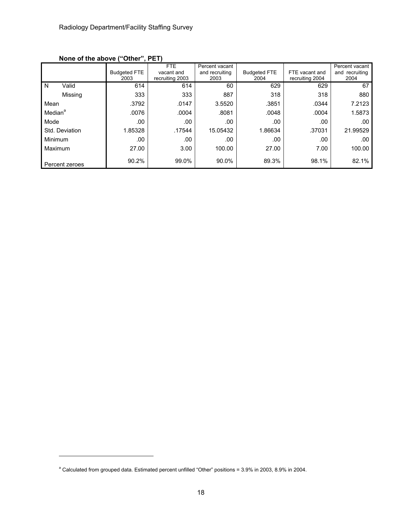|                     |                | .<br><b>Budgeted FTE</b><br>2003 | FTE<br>vacant and<br>recruiting 2003 | Percent vacant<br>and recruiting<br>2003 | <b>Budgeted FTE</b><br>2004 | FTE vacant and<br>recruiting 2004 | Percent vacant<br>and recruiting<br>2004 |
|---------------------|----------------|----------------------------------|--------------------------------------|------------------------------------------|-----------------------------|-----------------------------------|------------------------------------------|
| N                   | Valid          | 614                              | 614                                  | 60                                       | 629                         | 629                               | 67                                       |
|                     | Missing        | 333                              | 333                                  | 887                                      | 318                         | 318                               | 880                                      |
| Mean                |                | .3792                            | .0147                                | 3.5520                                   | .3851                       | .0344                             | 7.2123                                   |
| Median <sup>a</sup> |                | .0076                            | .0004                                | .8081                                    | .0048                       | .0004                             | 1.5873                                   |
| Mode                |                | .00                              | .00                                  | .00                                      | .00                         | .00                               | .00                                      |
|                     | Std. Deviation | 1.85328                          | .17544                               | 15.05432                                 | 1.86634                     | .37031                            | 21.99529                                 |
| Minimum             |                | .00                              | .00                                  | .00                                      | .00                         | .00                               | .00                                      |
| Maximum             |                | 27.00                            | 3.00                                 | 100.00                                   | 27.00                       | 7.00                              | 100.00                                   |
|                     | Percent zeroes | 90.2%                            | 99.0%                                | 90.0%                                    | 89.3%                       | 98.1%                             | 82.1%                                    |

**None of the above ("Other", PET)** 

<sup>&</sup>lt;sup>a</sup> Calculated from grouped data. Estimated percent unfilled "Other" positions = 3.9% in 2003, 8.9% in 2004.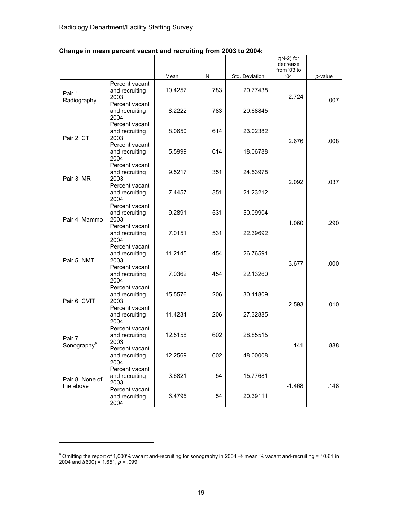|                         |                                                  |         |     |                | $(19-2)$ IOI<br>decrease<br>from '03 to |         |
|-------------------------|--------------------------------------------------|---------|-----|----------------|-----------------------------------------|---------|
|                         |                                                  | Mean    | N   | Std. Deviation | 04'                                     | p-value |
| Pair 1:                 | Percent vacant<br>and recruiting<br>2003         | 10.4257 | 783 | 20.77438       | 2.724                                   |         |
| Radiography             | Percent vacant<br>and recruiting                 | 8.2222  | 783 | 20.68845       |                                         | .007    |
|                         | 2004<br>Percent vacant<br>and recruiting         | 8.0650  | 614 | 23.02382       |                                         |         |
| Pair 2: CT              | 2003<br>Percent vacant                           |         |     |                | 2.676                                   | .008    |
|                         | and recruiting<br>2004                           | 5.5999  | 614 | 18.06788       |                                         |         |
| Pair 3: MR              | Percent vacant<br>and recruiting<br>2003         | 9.5217  | 351 | 24.53978       |                                         |         |
|                         | Percent vacant<br>and recruiting<br>2004         | 7.4457  | 351 | 21.23212       | 2.092                                   | .037    |
| Pair 4: Mammo           | Percent vacant<br>and recruiting                 | 9.2891  | 531 | 50.09904       |                                         |         |
|                         | 2003<br>Percent vacant<br>and recruiting         | 7.0151  | 531 | 22.39692       | 1.060                                   | .290    |
|                         | 2004<br>Percent vacant<br>and recruiting         | 11.2145 | 454 | 26.76591       |                                         |         |
| Pair 5: NMT             | 2003<br>Percent vacant                           | 7.0362  | 454 | 22.13260       | 3.677                                   | .000    |
|                         | and recruiting<br>2004<br>Percent vacant         |         |     |                |                                         |         |
| Pair 6: CVIT            | and recruiting<br>2003                           | 15.5576 | 206 | 30.11809       | 2.593                                   | .010    |
|                         | Percent vacant<br>and recruiting<br>2004         | 11.4234 | 206 | 27.32885       |                                         |         |
| Pair 7:                 | Percent vacant<br>and recruiting<br>2003         | 12.5158 | 602 | 28.85515       |                                         |         |
| Sonography <sup>a</sup> | Percent vacant<br>and recruiting                 | 12.2569 | 602 | 48.00008       | .141                                    | .888    |
| Pair 8: None of         | 2004<br>Percent vacant<br>and recruiting<br>2003 | 3.6821  | 54  | 15.77681       |                                         |         |
| the above               | Percent vacant<br>and recruiting<br>2004         | 6.4795  | 54  | 20.39111       | $-1.468$                                | .148    |

*t*(N-2) for

т

## **Change in mean percent vacant and recruiting from 2003 to 2004:**

<sup>&</sup>lt;sup>a</sup> Omitting the report of 1,000% vacant and-recruiting for sonography in 2004  $\rightarrow$  mean % vacant and-recruiting = 10.61 in 2004 and *t*(600) = 1.651, *p =* .099.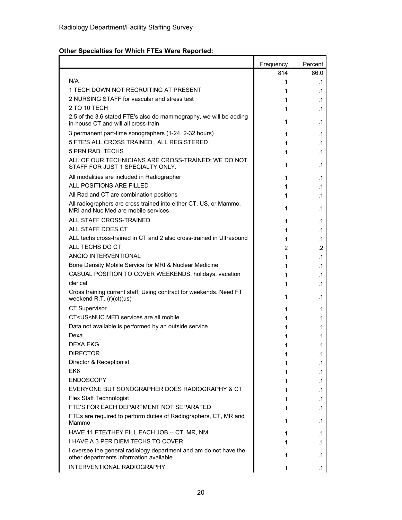## **Other Specialties for Which FTEs Were Reported:**

|                                                                                                              | Frequency | Percent   |
|--------------------------------------------------------------------------------------------------------------|-----------|-----------|
|                                                                                                              | 814       | 86.0      |
| N/A                                                                                                          | 1         | .1        |
| 1 TECH DOWN NOT RECRUITING AT PRESENT                                                                        | 1         | .1        |
| 2 NURSING STAFF for vascular and stress test                                                                 | 1         | .1        |
| 2 TO 10 TECH                                                                                                 | 1         | $\cdot$ 1 |
| 2.5 of the 3.6 stated FTE's also do mammography, we will be adding<br>in-house CT and will all cross-train   | 1         | .1        |
| 3 permanent part-time sonographers (1-24, 2-32 hours)                                                        | 1         | .1        |
| 5 FTE'S ALL CROSS TRAINED, ALL REGISTERED                                                                    | 1         | .1        |
| 5 PRN RAD TECHS                                                                                              | 1         | .1        |
| ALL OF OUR TECHNICIANS ARE CROSS-TRAINED; WE DO NOT<br>STAFF FOR JUST 1 SPECIALTY ONLY.                      | 1         | .1        |
| All modalities are included in Radiographer                                                                  | 1         | .1        |
| ALL POSITIONS ARE FILLED                                                                                     | 1         | $\cdot$ 1 |
| All Rad and CT are combination positions                                                                     | 1         | .1        |
| All radiographers are cross trained into either CT, US, or Mammo.<br>MRI and Nuc Med are mobile services     | 1         | .1        |
| ALL STAFF CROSS-TRAINED                                                                                      | 1         | .1        |
| ALL STAFF DOES CT                                                                                            | 1         | .1        |
| ALL techs cross-trained in CT and 2 also cross-trained in Ultrasound                                         | 1         | .1        |
| ALL TECHS DO CT                                                                                              | 2         | .2        |
| ANGIO INTERVENTIONAL                                                                                         | 1         | $\cdot$ 1 |
| Bone Density Mobile Service for MRI & Nuclear Medicine                                                       | 1         | .1        |
| CASUAL POSITION TO COVER WEEKENDS, holidays, vacation                                                        | 1         | $\cdot$ 1 |
| clerical                                                                                                     | 1         | $\cdot$ 1 |
| Cross training current staff, Using contract for weekends. Need FT<br>weekend R.T. (r)(ct)(us)               | 1         | .1        |
| <b>CT Supervisor</b>                                                                                         | 1         | .1        |
| CT <us<nuc all="" are="" med="" mobile<="" services="" td=""><td>1</td><td>.1</td></us<nuc>                  | 1         | .1        |
| Data not available is performed by an outside service                                                        | 1         | .1        |
| Dexa                                                                                                         | 1         | .1        |
| <b>DEXA EKG</b>                                                                                              | 1         | .1        |
| <b>DIRECTOR</b>                                                                                              | 1         | .1        |
| Director & Receptionist                                                                                      | 1         | .1        |
| EK <sub>6</sub>                                                                                              | 1         | .1        |
| <b>ENDOSCOPY</b>                                                                                             | 1         | .1        |
| EVERYONE BUT SONOGRAPHER DOES RADIOGRAPHY & CT                                                               | 1         | .1        |
| <b>Flex Staff Technologist</b>                                                                               | 1         | .1        |
| FTE'S FOR EACH DEPARTMENT NOT SEPARATED                                                                      | 1         | .1        |
| FTEs are required to perform duties of Radiographers, CT, MR and<br>Mammo                                    | 1         | $\cdot$ 1 |
| HAVE 11 FTE/THEY FILL EACH JOB -- CT, MR, NM,                                                                | 1         | .1        |
| I HAVE A 3 PER DIEM TECHS TO COVER                                                                           | 1         | .1        |
| I oversee the general radiology department and am do not have the<br>other departments information available | 1         | .1        |
| INTERVENTIONAL RADIOGRAPHY                                                                                   | 1         | $\cdot$ 1 |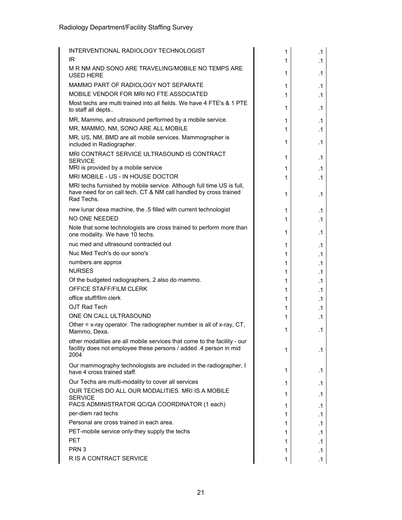| INTERVENTIONAL RADIOLOGY TECHNOLOGIST                                                                                                                    | 1 | $\cdot$ 1 |
|----------------------------------------------------------------------------------------------------------------------------------------------------------|---|-----------|
| IR                                                                                                                                                       | 1 | $\cdot$ 1 |
| M R NM AND SONO ARE TRAVELING/MOBILE NO TEMPS ARE<br><b>USED HERE</b>                                                                                    | 1 | .1        |
| MAMMO PART OF RADIOLOGY NOT SEPARATE                                                                                                                     | 1 | .1        |
| MOBILE VENDOR FOR MRI NO FTE ASSOCIATED                                                                                                                  | 1 | .1        |
| Most techs are multi trained into all fields. We have 4 FTE's & 1 PTE<br>to staff all depts                                                              | 1 | .1        |
| MR, Mammo, and ultrasound performed by a mobile service.                                                                                                 | 1 | .1        |
| MR, MAMMO, NM, SONO ARE ALL MOBILE                                                                                                                       | 1 | $\cdot$ 1 |
| MR, US, NM, BMD are all mobile services. Mammographer is<br>included in Radiographer.                                                                    | 1 | .1        |
| MRI CONTRACT SERVICE ULTRASOUND IS CONTRACT<br><b>SERVICE</b>                                                                                            | 1 | $\cdot$ 1 |
| MRI is provided by a mobile service                                                                                                                      | 1 | .1        |
| MRI MOBILE - US - IN HOUSE DOCTOR                                                                                                                        | 1 | .1        |
| MRI techs furnished by mobile service. Although full time US is full,<br>have need for on call tech. CT & NM call handled by cross trained<br>Rad Techs. | 1 | .1        |
| new lunar dexa machine, the .5 filled with current technologist                                                                                          | 1 | .1        |
| NO ONE NEEDED                                                                                                                                            | 1 | $\cdot$ 1 |
| Note that some technologists are cross trained to perform more than<br>one modality. We have 10 techs.                                                   | 1 | .1        |
| nuc med and ultrasound contracted out                                                                                                                    | 1 | $\cdot$ 1 |
| Nuc Med Tech's do our sono's                                                                                                                             | 1 | .1        |
| numbers are approx                                                                                                                                       | 1 | .1        |
| <b>NURSES</b>                                                                                                                                            | 1 | .1        |
| Of the budgeted radiographers, 2 also do mammo.                                                                                                          | 1 | .1        |
| OFFICE STAFF/FILM CLERK                                                                                                                                  | 1 | $\cdot$ 1 |
| office stuff/film clerk                                                                                                                                  | 1 | .1        |
| OJT Rad Tech                                                                                                                                             | 1 | .1        |
| ONE ON CALL ULTRASOUND                                                                                                                                   | 1 | .1        |
| Other = x-ray operator. The radiographer number is all of x-ray, CT,<br>Mammo, Dexa.                                                                     | 1 | $\cdot$ 1 |
| other modalities are all mobile services that come to the facility - our<br>facility does not employee these persons / added .4 person in mid<br>2004    | 1 | .1        |
| Our mammography technologists are included in the radiographer, I<br>have 4 cross trained staff.                                                         | 1 | $\cdot$ 1 |
| Our Techs are multi-modality to cover all services                                                                                                       | 1 | .1        |
| OUR TECHS DO ALL OUR MODALITIES. MRI IS A MOBILE<br><b>SERVICE</b>                                                                                       | 1 | $\cdot$ 1 |
| PACS ADMINISTRATOR QC/QA COORDINATOR (1 each)                                                                                                            | 1 | $\cdot$ 1 |
| per-diem rad techs                                                                                                                                       | 1 | $\cdot$ 1 |
| Personal are cross trained in each area.                                                                                                                 | 1 | $\cdot$ 1 |
| PET-mobile service only-they supply the techs                                                                                                            | 1 | $\cdot$ 1 |
| <b>PET</b>                                                                                                                                               | 1 | $\cdot$ 1 |
| PRN <sub>3</sub>                                                                                                                                         | 1 | $\cdot$ 1 |
| R IS A CONTRACT SERVICE                                                                                                                                  | 1 | $\cdot$ 1 |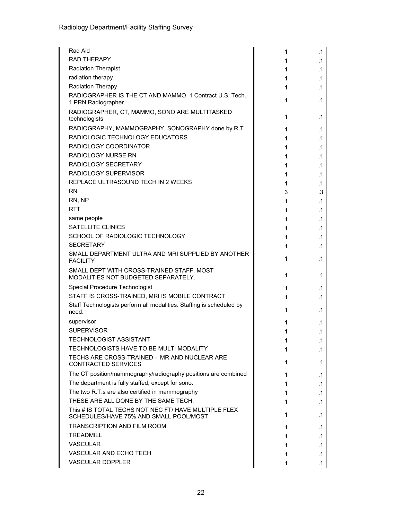| Rad Aid                                                                                        | 1 | .1        |
|------------------------------------------------------------------------------------------------|---|-----------|
| <b>RAD THERAPY</b>                                                                             | 1 | .1        |
| <b>Radiation Therapist</b>                                                                     | 1 | .1        |
| radiation therapy                                                                              | 1 | .1        |
| Radiation Therapy                                                                              | 1 | .1        |
| RADIOGRAPHER IS THE CT AND MAMMO. 1 Contract U.S. Tech.<br>1 PRN Radiographer.                 | 1 | .1        |
| RADIOGRAPHER, CT, MAMMO, SONO ARE MULTITASKED<br>technologists                                 | 1 | .1        |
| RADIOGRAPHY, MAMMOGRAPHY, SONOGRAPHY done by R.T.                                              | 1 | .1        |
| RADIOLOGIC TECHNOLOGY EDUCATORS                                                                | 1 | $\cdot$ 1 |
| RADIOLOGY COORDINATOR                                                                          | 1 | .1        |
| <b>RADIOLOGY NURSE RN</b>                                                                      | 1 | .1        |
| RADIOLOGY SECRETARY                                                                            | 1 | .1        |
| RADIOLOGY SUPERVISOR                                                                           | 1 | $\cdot$ 1 |
| REPLACE ULTRASOUND TECH IN 2 WEEKS                                                             | 1 | .1        |
| <b>RN</b>                                                                                      | 3 | .3        |
| RN, NP                                                                                         | 1 | .1        |
| <b>RTT</b>                                                                                     | 1 | .1        |
| same people                                                                                    | 1 | .1        |
| SATELLITE CLINICS                                                                              | 1 | .1        |
| SCHOOL OF RADIOLOGIC TECHNOLOGY                                                                | 1 | .1        |
| <b>SECRETARY</b>                                                                               | 1 | .1        |
| SMALL DEPARTMENT ULTRA AND MRI SUPPLIED BY ANOTHER<br><b>FACILITY</b>                          | 1 | .1        |
| SMALL DEPT WITH CROSS-TRAINED STAFF. MOST<br>MODALITIES NOT BUDGETED SEPARATELY.               | 1 | .1        |
| Special Procedure Technologist                                                                 | 1 | .1        |
| STAFF IS CROSS-TRAINED, MRI IS MOBILE CONTRACT                                                 | 1 | .1        |
| Staff Technologists perform all modalities. Staffing is scheduled by<br>need.                  | 1 | .1        |
| supervisor                                                                                     | 1 | .1        |
| <b>SUPERVISOR</b>                                                                              | 1 | .1        |
| TECHNOLOGIST ASSISTANT                                                                         | 1 | $\cdot$ 1 |
| TECHNOLOGISTS HAVE TO BE MULTI MODALITY                                                        | 1 | .1        |
| TECHS ARE CROSS-TRAINED - MR AND NUCLEAR ARE<br><b>CONTRACTED SERVICES</b>                     | 1 | .1        |
| The CT position/mammography/radiography positions are combined                                 | 1 | .1        |
| The department is fully staffed, except for sono.                                              | 1 | .1        |
| The two R.T.s are also certified in mammography                                                | 1 | .1        |
| THESE ARE ALL DONE BY THE SAME TECH.                                                           | 1 | $\cdot$ 1 |
| This # IS TOTAL TECHS NOT NEC FT/ HAVE MULTIPLE FLEX<br>SCHEDULES/HAVE 75% AND SMALL POOL/MOST | 1 | .1        |
| <b>TRANSCRIPTION AND FILM ROOM</b>                                                             | 1 | .1        |
| <b>TREADMILL</b>                                                                               | 1 | .1        |
| <b>VASCULAR</b>                                                                                | 1 | .1        |
| VASCULAR AND ECHO TECH                                                                         | 1 | .1        |
| <b>VASCULAR DOPPLER</b>                                                                        | 1 | .1        |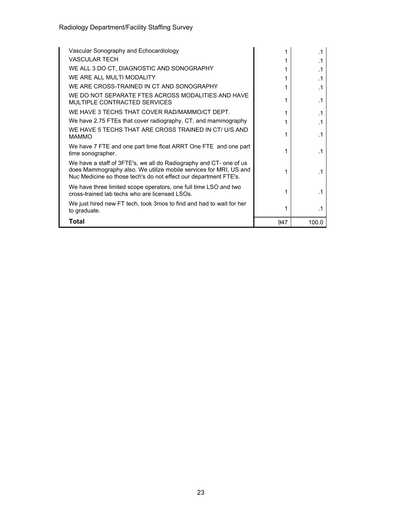| Vascular Sonography and Echocardiology                                                                                                                                                                      |     | $\cdot$ 1 |
|-------------------------------------------------------------------------------------------------------------------------------------------------------------------------------------------------------------|-----|-----------|
| VASCULAR TECH                                                                                                                                                                                               |     | .1        |
| WE ALL 3 DO CT, DIAGNOSTIC AND SONOGRAPHY                                                                                                                                                                   |     | $\cdot$ 1 |
| WE ARE ALL MULTI MODALITY                                                                                                                                                                                   |     | $\cdot$ 1 |
| WE ARE CROSS-TRAINED IN CT AND SONOGRAPHY                                                                                                                                                                   |     | $\cdot$ 1 |
| WE DO NOT SEPARATE FTES ACROSS MODALITIES AND HAVE<br>MULTIPLE CONTRACTED SERVICES                                                                                                                          | 1   | $\cdot$ 1 |
| WE HAVE 3 TECHS THAT COVER RAD/MAMMO/CT DEPT.                                                                                                                                                               | 1   | $\cdot$ 1 |
| We have 2.75 FTEs that cover radiography, CT, and mammography                                                                                                                                               | 1   | $\cdot$ 1 |
| WE HAVE 5 TECHS THAT ARE CROSS TRAINED IN CT/ U/S AND<br><b>MAMMO</b>                                                                                                                                       | 1   | $\cdot$ 1 |
| We have 7 FTE and one part time float ARRT One FTE and one part<br>time sonographer.                                                                                                                        | 1   | $\cdot$ 1 |
| We have a staff of 3FTE's, we all do Radiography and CT- one of us<br>does Mammography also. We utilize mobile services for MRI, US and<br>Nuc Medicine so those tech's do not effect our department FTE's. | 1   | $\cdot$ 1 |
| We have three limited scope operators, one full time LSO and two<br>cross-trained lab techs who are licensed LSOs.                                                                                          | 1   | $\cdot$ 1 |
| We just hired new FT tech, took 3mos to find and had to wait for her<br>to graduate.                                                                                                                        |     | .1        |
| Total                                                                                                                                                                                                       | 947 | 100.0     |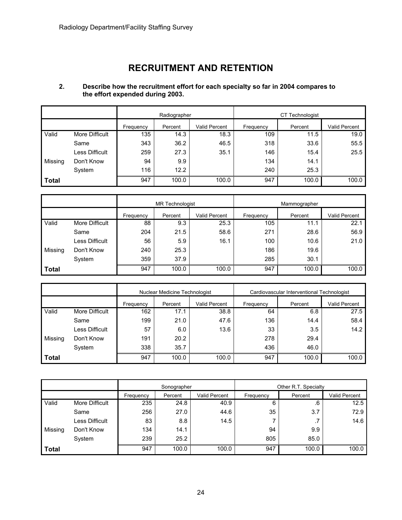## **RECRUITMENT AND RETENTION**

#### **2. Describe how the recruitment effort for each specialty so far in 2004 compares to the effort expended during 2003.**

|              |                       | Radiographer |         |                      | CT Technologist |         |               |
|--------------|-----------------------|--------------|---------|----------------------|-----------------|---------|---------------|
|              |                       | Frequency    | Percent | <b>Valid Percent</b> | Frequency       | Percent | Valid Percent |
| Valid        | More Difficult        | 135          | 14.3    | 18.3                 | 109             | 11.5    | 19.0          |
|              | Same                  | 343          | 36.2    | 46.5                 | 318             | 33.6    | 55.5          |
|              | <b>Less Difficult</b> | 259          | 27.3    | 35.1                 | 146             | 15.4    | 25.5          |
| Missing      | Don't Know            | 94           | 9.9     |                      | 134             | 14.1    |               |
|              | System                | 116          | 12.2    |                      | 240             | 25.3    |               |
| <b>Total</b> |                       | 947          | 100.0   | 100.0                | 947             | 100.0   | 100.0         |

|              |                | <b>MR</b> Technologist                |       |           | Mammographer |               |       |
|--------------|----------------|---------------------------------------|-------|-----------|--------------|---------------|-------|
|              |                | Valid Percent<br>Frequency<br>Percent |       | Frequency | Percent      | Valid Percent |       |
| Valid        | More Difficult | 88                                    | 9.3   | 25.3      | 105          | 11.1          | 22.1  |
|              | Same           | 204                                   | 21.5  | 58.6      | 271          | 28.6          | 56.9  |
|              | Less Difficult | 56                                    | 5.9   | 16.1      | 100          | 10.6          | 21.0  |
| Missing      | Don't Know     | 240                                   | 25.3  |           | 186          | 19.6          |       |
|              | System         | 359                                   | 37.9  |           | 285          | 30.1          |       |
| <b>Total</b> |                | 947                                   | 100.0 | 100.0     | 947          | 100.0         | 100.0 |

|         |                | Nuclear Medicine Technologist         |       |           | Cardiovascular Interventional Technologist |               |       |
|---------|----------------|---------------------------------------|-------|-----------|--------------------------------------------|---------------|-------|
|         |                | Valid Percent<br>Percent<br>Frequency |       | Frequency | Percent                                    | Valid Percent |       |
| Valid   | More Difficult | 162                                   | 17.1  | 38.8      | 64                                         | 6.8           | 27.5  |
|         | Same           | 199                                   | 21.0  | 47.6      | 136                                        | 14.4          | 58.4  |
|         | Less Difficult | 57                                    | 6.0   | 13.6      | 33                                         | 3.5           | 14.2  |
| Missing | Don't Know     | 191                                   | 20.2  |           | 278                                        | 29.4          |       |
|         | System         | 338                                   | 35.7  |           | 436                                        | 46.0          |       |
| Total   |                | 947                                   | 100.0 | 100.0     | 947                                        | 100.0         | 100.0 |

|              |                | Sonographer |                                 |       | Other R.T. Specialty |         |               |
|--------------|----------------|-------------|---------------------------------|-------|----------------------|---------|---------------|
|              |                | Frequency   | <b>Valid Percent</b><br>Percent |       |                      | Percent | Valid Percent |
| Valid        | More Difficult | 235         | 24.8                            | 40.9  | 6                    | .6      | 12.5          |
|              | Same           | 256         | 27.0                            | 44.6  | 35                   | 3.7     | 72.9          |
|              | Less Difficult | 83          | 8.8                             | 14.5  |                      | . 1     | 14.6          |
| Missing      | Don't Know     | 134         | 14.1                            |       | 94                   | 9.9     |               |
|              | System         | 239         | 25.2                            |       | 805                  | 85.0    |               |
| <b>Total</b> |                | 947         | 100.0                           | 100.0 | 947                  | 100.0   | 100.0         |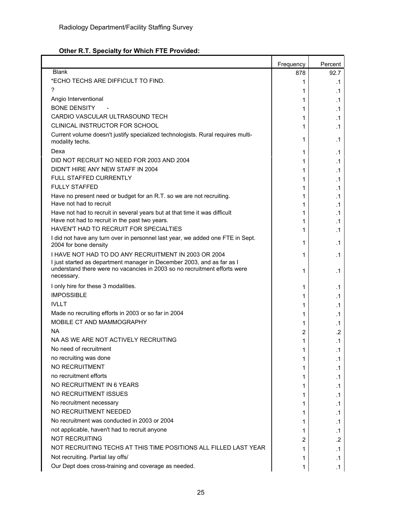## **Other R.T. Specialty for Which FTE Provided:**

|                                                                                                                                                                   | Frequency | Percent   |
|-------------------------------------------------------------------------------------------------------------------------------------------------------------------|-----------|-----------|
| <b>Blank</b>                                                                                                                                                      | 878       | 92.7      |
| *ECHO TECHS ARE DIFFICULT TO FIND.                                                                                                                                | 1         | .1        |
| ?                                                                                                                                                                 | 1         | .1        |
| Angio Interventional                                                                                                                                              | 1         | .1        |
| <b>BONE DENSITY</b>                                                                                                                                               | 1         | .1        |
| CARDIO VASCULAR ULTRASOUND TECH                                                                                                                                   | 1         | .1        |
| CLINICAL INSTRUCTOR FOR SCHOOL                                                                                                                                    | 1         | .1        |
| Current volume doesn't justify specialized technologists. Rural requires multi-<br>modality techs.                                                                | 1         | .1        |
| Dexa                                                                                                                                                              | 1         | .1        |
| DID NOT RECRUIT NO NEED FOR 2003 AND 2004                                                                                                                         | 1         | .1        |
| DIDN'T HIRE ANY NEW STAFF IN 2004                                                                                                                                 | 1         | .1        |
| <b>FULL STAFFED CURRENTLY</b>                                                                                                                                     | 1         | .1        |
| <b>FULLY STAFFED</b>                                                                                                                                              | 1         | .1        |
| Have no present need or budget for an R.T. so we are not recruiting.                                                                                              | 1         | .1        |
| Have not had to recruit                                                                                                                                           | 1         | .1        |
| Have not had to recruit in several years but at that time it was difficult                                                                                        | 1         | .1        |
| Have not had to recruit in the past two years.                                                                                                                    | 1         | .1        |
| HAVEN'T HAD TO RECRUIT FOR SPECIALTIES                                                                                                                            | 1         | .1        |
| I did not have any turn over in personnel last year, we added one FTE in Sept.<br>2004 for bone density                                                           | 1         | .1        |
| I HAVE NOT HAD TO DO ANY RECRUITMENT IN 2003 OR 2004                                                                                                              | 1         | .1        |
| I just started as department manager in December 2003, and as far as I<br>understand there were no vacancies in 2003 so no recruitment efforts were<br>necessary. | 1         | .1        |
| I only hire for these 3 modalities.                                                                                                                               | 1         | .1        |
| <b>IMPOSSIBLE</b>                                                                                                                                                 | 1         | .1        |
| <b>IVLLT</b>                                                                                                                                                      | 1         | .1        |
| Made no recruiting efforts in 2003 or so far in 2004                                                                                                              | 1         | .1        |
| MOBILE CT AND MAMMOGRAPHY                                                                                                                                         | 1         | $\cdot$ 1 |
| <b>NA</b>                                                                                                                                                         | 2         | .2        |
| NA AS WE ARE NOT ACTIVELY RECRUITING                                                                                                                              | 1         | $\cdot$ 1 |
| No need of recruitment                                                                                                                                            |           | $\cdot$ 1 |
| no recruiting was done                                                                                                                                            | 1         | .1        |
| NO RECRUITMENT                                                                                                                                                    | 1         | .1        |
| no recruitment efforts                                                                                                                                            | 1         | .1        |
| NO RECRUITMENT IN 6 YEARS                                                                                                                                         | 1         | .1        |
| NO RECRUITMENT ISSUES                                                                                                                                             | 1         | .1        |
| No recruitment necessary                                                                                                                                          | 1         |           |
| NO RECRUITMENT NEEDED                                                                                                                                             |           | .1        |
| No recruitment was conducted in 2003 or 2004                                                                                                                      | 1         | .1        |
| not applicable, haven't had to recruit anyone                                                                                                                     | 1         | .1        |
| <b>NOT RECRUITING</b>                                                                                                                                             | 1         | .1<br>.2  |
| NOT RECRUITING TECHS AT THIS TIME POSITIONS ALL FILLED LAST YEAR                                                                                                  | 2         |           |
| Not recruiting. Partial lay offs/                                                                                                                                 | 1         | $\cdot$ 1 |
| Our Dept does cross-training and coverage as needed.                                                                                                              | 1         | .1        |
|                                                                                                                                                                   | 1         | .1        |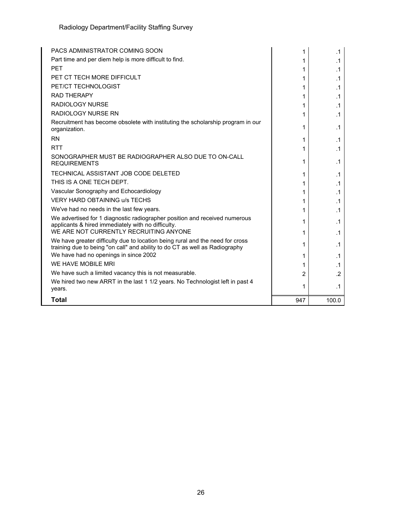| PACS ADMINISTRATOR COMING SOON                                                                                                                                                                        | 1   | $\cdot$ 1 |
|-------------------------------------------------------------------------------------------------------------------------------------------------------------------------------------------------------|-----|-----------|
| Part time and per diem help is more difficult to find.                                                                                                                                                |     | $\cdot$ 1 |
| <b>PFT</b>                                                                                                                                                                                            | 1   | $\cdot$ 1 |
| PET CT TECH MORE DIFFICULT                                                                                                                                                                            | 1   | .1        |
| PET/CT TECHNOLOGIST                                                                                                                                                                                   | 1   | $\cdot$ 1 |
| <b>RAD THERAPY</b>                                                                                                                                                                                    | 1   | .1        |
| RADIOLOGY NURSE                                                                                                                                                                                       | 1   | $\cdot$ 1 |
| <b>RADIOLOGY NURSE RN</b>                                                                                                                                                                             | 1   | $\cdot$ 1 |
| Recruitment has become obsolete with instituting the scholarship program in our<br>organization.                                                                                                      | 1   | $\cdot$ 1 |
| <b>RN</b>                                                                                                                                                                                             | 1   | $\cdot$ 1 |
| <b>RTT</b>                                                                                                                                                                                            | 1   | .1        |
| SONOGRAPHER MUST BE RADIOGRAPHER ALSO DUE TO ON-CALL<br><b>REQUIREMENTS</b>                                                                                                                           | 1   | $\cdot$ 1 |
| TECHNICAL ASSISTANT JOB CODE DELETED                                                                                                                                                                  | 1   | $\cdot$ 1 |
| THIS IS A ONE TECH DEPT.                                                                                                                                                                              | 1   | $\cdot$ 1 |
| Vascular Sonography and Echocardiology                                                                                                                                                                | 1   | $\cdot$ 1 |
| <b>VERY HARD OBTAINING u/s TECHS</b>                                                                                                                                                                  | 1   | .1        |
| We've had no needs in the last few years.                                                                                                                                                             | 1   | $\cdot$ 1 |
| We advertised for 1 diagnostic radiographer position and received numerous<br>applicants & hired immediately with no difficulty.<br>WE ARE NOT CURRENTLY RECRUITING ANYONE                            | 1   | $\cdot$ 1 |
|                                                                                                                                                                                                       | 1   | $\cdot$ 1 |
| We have greater difficulty due to location being rural and the need for cross<br>training due to being "on call" and ability to do CT as well as Radiography<br>We have had no openings in since 2002 | 1   | $\cdot$ 1 |
| WE HAVE MOBILE MRI                                                                                                                                                                                    | 1   | .1        |
|                                                                                                                                                                                                       | 1   | $\cdot$ 1 |
| We have such a limited vacancy this is not measurable.<br>We hired two new ARRT in the last 1 1/2 years. No Technologist left in past 4                                                               | 2   | $\cdot$   |
| years.                                                                                                                                                                                                | 1   | .1        |
| <b>Total</b>                                                                                                                                                                                          | 947 | 100.0     |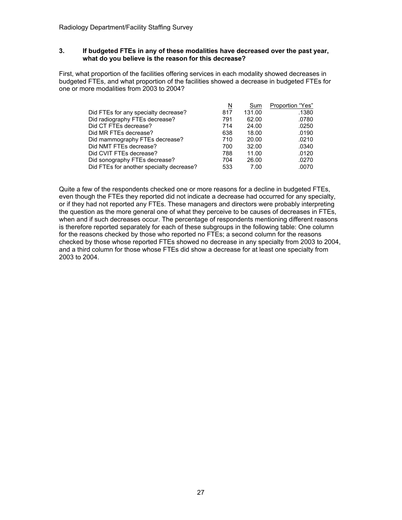#### **3. If budgeted FTEs in any of these modalities have decreased over the past year, what do you believe is the reason for this decrease?**

First, what proportion of the facilities offering services in each modality showed decreases in budgeted FTEs, and what proportion of the facilities showed a decrease in budgeted FTEs for one or more modalities from 2003 to 2004?

|                                          | N   | Sum    | Proportion "Yes" |
|------------------------------------------|-----|--------|------------------|
| Did FTEs for any specialty decrease?     | 817 | 131.00 | .1380            |
| Did radiography FTEs decrease?           | 791 | 62.00  | .0780            |
| Did CT FTEs decrease?                    | 714 | 24.00  | .0250            |
| Did MR FTEs decrease?                    | 638 | 18.00  | .0190            |
| Did mammography FTEs decrease?           | 710 | 20.00  | .0210            |
| Did NMT FTEs decrease?                   | 700 | 32.00  | .0340            |
| Did CVIT FTEs decrease?                  | 788 | 11.00  | .0120            |
| Did sonography FTEs decrease?            | 704 | 26.00  | .0270            |
| Did FTEs for another specialty decrease? | 533 | 7.00   | .0070            |

Quite a few of the respondents checked one or more reasons for a decline in budgeted FTEs, even though the FTEs they reported did not indicate a decrease had occurred for any specialty, or if they had not reported any FTEs. These managers and directors were probably interpreting the question as the more general one of what they perceive to be causes of decreases in FTEs, when and if such decreases occur. The percentage of respondents mentioning different reasons is therefore reported separately for each of these subgroups in the following table: One column for the reasons checked by those who reported no FTEs; a second column for the reasons checked by those whose reported FTEs showed no decrease in any specialty from 2003 to 2004, and a third column for those whose FTEs did show a decrease for at least one specialty from 2003 to 2004.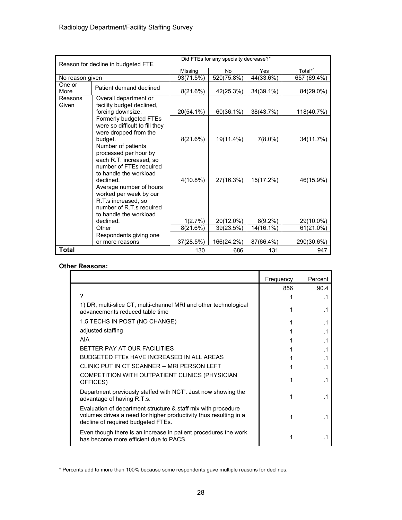| Reason for decline in budgeted FTE |                                                                                                                                | Did FTEs for any specialty decrease?* |            |              |              |  |  |
|------------------------------------|--------------------------------------------------------------------------------------------------------------------------------|---------------------------------------|------------|--------------|--------------|--|--|
|                                    |                                                                                                                                | Missing                               | <b>No</b>  | Yes          | Total*       |  |  |
| No reason given                    |                                                                                                                                | 93(71.5%)                             | 520(75.8%) | 44(33.6%)    | 657 (69.4%)  |  |  |
| One or<br>More                     | Patient demand declined                                                                                                        | 8(21.6%)                              | 42(25.3%)  | $34(39.1\%)$ | 84(29.0%)    |  |  |
| Reasons<br>Given                   | Overall department or<br>facility budget declined,                                                                             |                                       |            |              |              |  |  |
|                                    | forcing downsize.                                                                                                              | 20(54.1%)                             | 60(36.1%)  | 38(43.7%)    | 118(40.7%)   |  |  |
|                                    | Formerly budgeted FTEs<br>were so difficult to fill they<br>were dropped from the                                              |                                       |            |              |              |  |  |
|                                    | budget.                                                                                                                        | 8(21.6%)                              | 19(11.4%)  | $7(8.0\%)$   | 34(11.7%)    |  |  |
|                                    | Number of patients<br>processed per hour by<br>each R.T. increased, so<br>number of FTEs required<br>to handle the workload    |                                       |            |              |              |  |  |
|                                    | declined.                                                                                                                      | $4(10.8\%)$                           | 27(16.3%)  | 15(17.2%)    | 46(15.9%)    |  |  |
|                                    | Average number of hours<br>worked per week by our<br>R.T.s increased, so<br>number of R.T.s required<br>to handle the workload |                                       |            |              |              |  |  |
|                                    | declined.                                                                                                                      | 1(2.7%)                               | 20(12.0%)  | $8(9.2\%)$   | 29(10.0%)    |  |  |
|                                    | Other                                                                                                                          | 8(21.6%)                              | 39(23.5%)  | 14(16.1%)    | $61(21.0\%)$ |  |  |
|                                    | Respondents giving one<br>or more reasons                                                                                      | 37(28.5%)                             | 166(24.2%) | 87(66.4%)    | 290(30.6%)   |  |  |
|                                    |                                                                                                                                |                                       |            |              |              |  |  |
| <b>Total</b>                       |                                                                                                                                | 130                                   | 686        | 131          | 947          |  |  |

#### **Other Reasons:**

|                                                                                                                                                                          | Frequency | Percent   |
|--------------------------------------------------------------------------------------------------------------------------------------------------------------------------|-----------|-----------|
|                                                                                                                                                                          | 856       | 90.4      |
| 2                                                                                                                                                                        |           | $\cdot$ 1 |
| 1) DR, multi-slice CT, multi-channel MRI and other technological<br>advancements reduced table time                                                                      |           | .1        |
| 1.5 TECHS IN POST (NO CHANGE)                                                                                                                                            |           | .1        |
| adjusted staffing                                                                                                                                                        |           | $\cdot$ 1 |
| AIA                                                                                                                                                                      |           | .1        |
| BETTER PAY AT OUR FACILITIES                                                                                                                                             |           | $\cdot$ 1 |
| <b>BUDGETED FTES HAVE INCREASED IN ALL AREAS</b>                                                                                                                         |           | $\cdot$ 1 |
| CLINIC PUT IN CT SCANNER -- MRI PERSON LEFT                                                                                                                              |           | $\cdot$ 1 |
| COMPETITION WITH OUTPATIENT CLINICS (PHYSICIAN<br>OFFICES)                                                                                                               |           | .1        |
| Department previously staffed with NCT'. Just now showing the<br>advantage of having R.T.s.                                                                              | 1         | .1        |
| Evaluation of department structure & staff mix with procedure<br>volumes drives a need for higher productivity thus resulting in a<br>decline of required budgeted FTEs. |           | $\cdot$ 1 |
| Even though there is an increase in patient procedures the work<br>has become more efficient due to PACS.                                                                |           |           |

<sup>\*</sup> Percents add to more than 100% because some respondents gave multiple reasons for declines.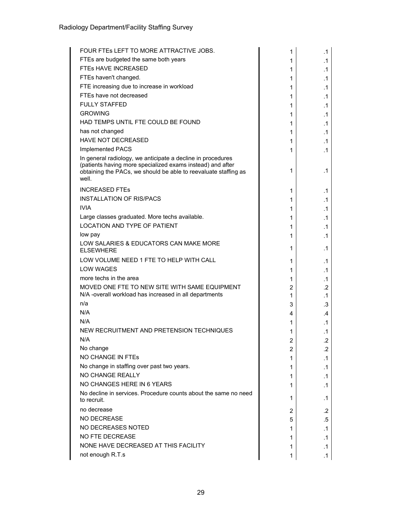| FOUR FTES LEFT TO MORE ATTRACTIVE JOBS.                                                                                                                                                               | 1 | .1        |
|-------------------------------------------------------------------------------------------------------------------------------------------------------------------------------------------------------|---|-----------|
| FTEs are budgeted the same both years                                                                                                                                                                 | 1 | .1        |
| FTES HAVE INCREASED                                                                                                                                                                                   | 1 | $\cdot$ 1 |
| FTEs haven't changed.                                                                                                                                                                                 | 1 | $\cdot$ 1 |
| FTE increasing due to increase in workload                                                                                                                                                            | 1 | .1        |
| FTEs have not decreased                                                                                                                                                                               | 1 | $\cdot$ 1 |
| <b>FULLY STAFFED</b>                                                                                                                                                                                  | 1 | $\cdot$ 1 |
| <b>GROWING</b>                                                                                                                                                                                        | 1 | $\cdot$ 1 |
| HAD TEMPS UNTIL FTE COULD BE FOUND                                                                                                                                                                    | 1 | $\cdot$ 1 |
| has not changed                                                                                                                                                                                       | 1 | $\cdot$ 1 |
| HAVE NOT DECREASED                                                                                                                                                                                    | 1 | .1        |
| Implemented PACS                                                                                                                                                                                      | 1 | .1        |
| In general radiology, we anticipate a decline in procedures<br>(patients having more specialized exams instead) and after<br>obtaining the PACs, we should be able to reevaluate staffing as<br>well. | 1 | $\cdot$ 1 |
| <b>INCREASED FTES</b>                                                                                                                                                                                 | 1 | .1        |
| <b>INSTALLATION OF RIS/PACS</b>                                                                                                                                                                       | 1 | $\cdot$ 1 |
| <b>IVIA</b>                                                                                                                                                                                           | 1 | $\cdot$ 1 |
| Large classes graduated. More techs available.                                                                                                                                                        | 1 | $\cdot$ 1 |
| <b>LOCATION AND TYPE OF PATIENT</b>                                                                                                                                                                   | 1 | $\cdot$ 1 |
| low pay                                                                                                                                                                                               | 1 | .1        |
| LOW SALARIES & EDUCATORS CAN MAKE MORE<br><b>ELSEWHERE</b>                                                                                                                                            | 1 | .1        |
| LOW VOLUME NEED 1 FTE TO HELP WITH CALL                                                                                                                                                               | 1 | $\cdot$ 1 |
| <b>LOW WAGES</b>                                                                                                                                                                                      | 1 | $\cdot$ 1 |
| more techs in the area                                                                                                                                                                                | 1 | $\cdot$ 1 |
| MOVED ONE FTE TO NEW SITE WITH SAME EQUIPMENT                                                                                                                                                         | 2 | .2        |
| N/A -overall workload has increased in all departments                                                                                                                                                | 1 | $\cdot$ 1 |
| n/a                                                                                                                                                                                                   | 3 | .3        |
| N/A                                                                                                                                                                                                   | 4 | .4        |
| N/A                                                                                                                                                                                                   | 1 | .1        |
| NEW RECRUITMENT AND PRETENSION TECHNIQUES                                                                                                                                                             | 1 | .1        |
| N/A                                                                                                                                                                                                   | っ | $\cdot$   |
| No change                                                                                                                                                                                             | 2 | .2        |
| <b>NO CHANGE IN FTES</b>                                                                                                                                                                              | 1 | .1        |
| No change in staffing over past two years.                                                                                                                                                            | 1 | .1        |
| <b>NO CHANGE REALLY</b>                                                                                                                                                                               | 1 | .1        |
| NO CHANGES HERE IN 6 YEARS                                                                                                                                                                            | 1 | $\cdot$ 1 |
| No decline in services. Procedure counts about the same no need<br>to recruit.                                                                                                                        | 1 | .1        |
| no decrease                                                                                                                                                                                           | 2 | .2        |
| <b>NO DECREASE</b>                                                                                                                                                                                    | 5 | .5        |
| NO DECREASES NOTED                                                                                                                                                                                    | 1 | $\cdot$ 1 |
| <b>NO FTE DECREASE</b>                                                                                                                                                                                | 1 | .1        |
| NONE HAVE DECREASED AT THIS FACILITY                                                                                                                                                                  | 1 | .1        |
| not enough R.T.s                                                                                                                                                                                      | 1 | .1        |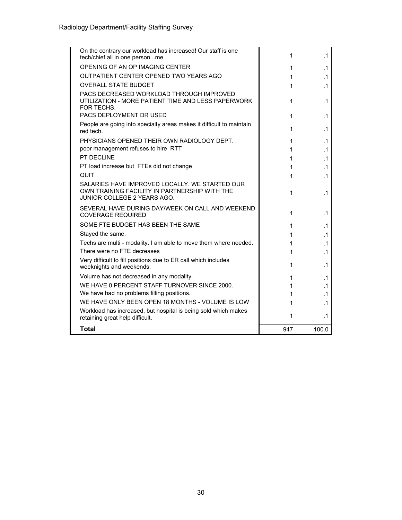| On the contrary our workload has increased! Our staff is one<br>tech/chief all in one personme                                 | 1      | .1                     |
|--------------------------------------------------------------------------------------------------------------------------------|--------|------------------------|
| OPENING OF AN OP IMAGING CENTER                                                                                                |        |                        |
| OUTPATIENT CENTER OPENED TWO YEARS AGO                                                                                         | 1<br>1 | $\cdot$ 1<br>$\cdot$ 1 |
| <b>OVERALL STATE BUDGET</b>                                                                                                    |        |                        |
| PACS DECREASED WORKLOAD THROUGH IMPROVED                                                                                       | 1      | $\cdot$ 1              |
| UTILIZATION - MORE PATIENT TIME AND LESS PAPERWORK<br>FOR TECHS.                                                               | 1      | .1                     |
| PACS DEPLOYMENT DR USED                                                                                                        | 1      | .1                     |
| People are going into specialty areas makes it difficult to maintain<br>red tech.                                              | 1      | $\cdot$ 1              |
| PHYSICIANS OPENED THEIR OWN RADIOLOGY DEPT.                                                                                    | 1      | .1                     |
| poor management refuses to hire RTT                                                                                            | 1      | .1                     |
| PT DECLINE                                                                                                                     | 1      | $\cdot$ 1              |
| PT load increase but FTEs did not change                                                                                       | 1      | .1                     |
| <b>QUIT</b>                                                                                                                    | 1      | .1                     |
| SALARIES HAVE IMPROVED LOCALLY. WE STARTED OUR<br>OWN TRAINING FACILITY IN PARTNERSHIP WITH THE<br>JUNIOR COLLEGE 2 YEARS AGO. | 1      | .1                     |
| SEVERAL HAVE DURING DAY/WEEK ON CALL AND WEEKEND<br><b>COVERAGE REQUIRED</b>                                                   | 1      | $\cdot$ 1              |
| SOME FTE BUDGET HAS BEEN THE SAME                                                                                              | 1      | .1                     |
| Stayed the same.                                                                                                               | 1      | $\cdot$ 1              |
| Techs are multi - modality. I am able to move them where needed.                                                               | 1      | $\cdot$ 1              |
| There were no FTE decreases                                                                                                    | 1      | $\cdot$ 1              |
| Very difficult to fill positions due to ER call which includes<br>weeknights and weekends.                                     | 1      | .1                     |
| Volume has not decreased in any modality.                                                                                      | 1      | $\cdot$ 1              |
| WE HAVE 0 PERCENT STAFF TURNOVER SINCE 2000.                                                                                   | 1      | $\cdot$ 1              |
| We have had no problems filling positions.                                                                                     | 1      | $\cdot$ 1              |
| WE HAVE ONLY BEEN OPEN 18 MONTHS - VOLUME IS LOW                                                                               | 1      | $\cdot$ 1              |
| Workload has increased, but hospital is being sold which makes<br>retaining great help difficult.                              | 1      | .1                     |
| <b>Total</b>                                                                                                                   | 947    | 100.0                  |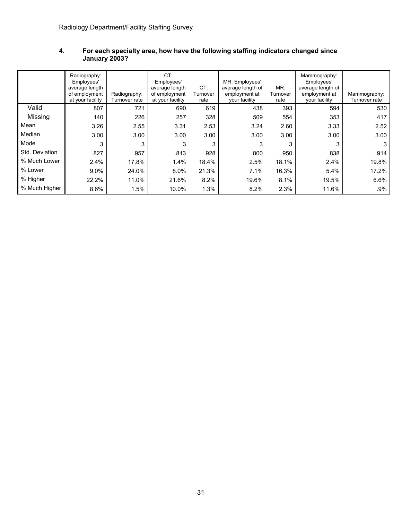|                | Radiography:<br>Employees'<br>average length<br>of employment<br>at your facility | Radiography:<br>Turnover rate | CT:<br>Employees'<br>average length<br>of employment<br>at your facility | CT:<br>Turnover<br>rate | MR: Employees'<br>average length of<br>employment at<br>your facility | MR:<br>Turnover<br>rate | Mammography:<br>Employees'<br>average length of<br>employment at<br>your facility | Mammography:<br>Turnover rate |
|----------------|-----------------------------------------------------------------------------------|-------------------------------|--------------------------------------------------------------------------|-------------------------|-----------------------------------------------------------------------|-------------------------|-----------------------------------------------------------------------------------|-------------------------------|
| Valid          | 807                                                                               | 721                           | 690                                                                      | 619                     | 438                                                                   | 393                     | 594                                                                               | 530                           |
| Missing        | 140                                                                               | 226                           | 257                                                                      | 328                     | 509                                                                   | 554                     | 353                                                                               | 417                           |
| Mean           | 3.26                                                                              | 2.55                          | 3.31                                                                     | 2.53                    | 3.24                                                                  | 2.60                    | 3.33                                                                              | 2.52                          |
| Median         | 3.00                                                                              | 3.00                          | 3.00                                                                     | 3.00                    | 3.00                                                                  | 3.00                    | 3.00                                                                              | 3.00                          |
| Mode           | 3                                                                                 | 3                             | 3                                                                        | 3                       | 3                                                                     | 3                       | 3                                                                                 | 3                             |
| Std. Deviation | .827                                                                              | .957                          | .813                                                                     | .928                    | .800                                                                  | .950                    | .838                                                                              | .914                          |
| % Much Lower   | 2.4%                                                                              | 17.8%                         | 1.4%                                                                     | 18.4%                   | 2.5%                                                                  | 18.1%                   | 2.4%                                                                              | 19.8%                         |
| % Lower        | $9.0\%$                                                                           | 24.0%                         | 8.0%                                                                     | 21.3%                   | 7.1%                                                                  | 16.3%                   | 5.4%                                                                              | 17.2%                         |
| % Higher       | 22.2%                                                                             | 11.0%                         | 21.6%                                                                    | 8.2%                    | 19.6%                                                                 | 8.1%                    | 19.5%                                                                             | 6.6%                          |
| % Much Higher  | 8.6%                                                                              | 1.5%                          | 10.0%                                                                    | 1.3%                    | 8.2%                                                                  | 2.3%                    | 11.6%                                                                             | .9%                           |

#### **4. For each specialty area, how have the following staffing indicators changed since January 2003?**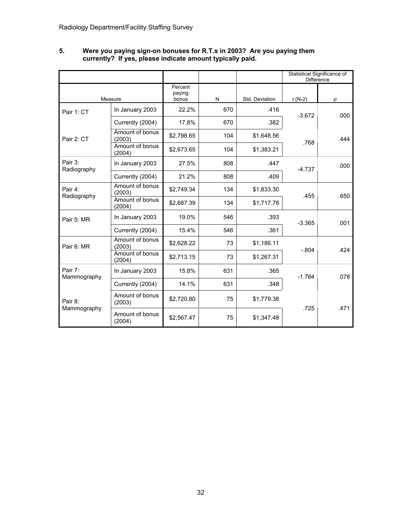|                        |                           |                            |     |                | Statistical Significance of<br>Difference |      |
|------------------------|---------------------------|----------------------------|-----|----------------|-------------------------------------------|------|
|                        | Measure                   | Percent<br>paying<br>bonus | N   | Std. Deviation | $t(N-2)$                                  | р    |
| Pair 1: CT             | In January 2003           | 22.2%                      | 670 | .416           | $-3.672$                                  | .000 |
|                        | Currently (2004)          | 17.8%                      | 670 | .382           |                                           |      |
| Pair 2: CT             | Amount of bonus<br>(2003) | \$2,798.65                 | 104 | \$1,648.56     | .768                                      | .444 |
|                        | Amount of bonus<br>(2004) | \$2,673.65                 | 104 | \$1,383.21     |                                           |      |
| Pair 3:<br>Radiography | In January 2003           | 27.5%                      | 808 | .447           | $-4.737$                                  | .000 |
|                        | Currently (2004)          | 21.2%                      | 808 | .409           |                                           |      |
| Pair 4:<br>Radiography | Amount of bonus<br>(2003) | \$2.749.34                 | 134 | \$1,833.30     | .455                                      | .650 |
|                        | Amount of bonus<br>(2004) | \$2,687.39                 | 134 | \$1,717.78     |                                           |      |
| Pair 5: MR             | In January 2003           | 19.0%                      | 546 | .393           | $-3.365$                                  | .001 |
|                        | Currently (2004)          | 15.4%                      | 546 | .361           |                                           |      |
| Pair 6: MR             | Amount of bonus<br>(2003) | \$2,628.22                 | 73  | \$1,186.11     | $-.804$                                   | .424 |
|                        | Amount of bonus<br>(2004) | \$2,713.15                 | 73  | \$1,267.31     |                                           |      |
| Pair 7:<br>Mammography | In January 2003           | 15.8%                      | 631 | .365           | $-1.764$                                  | .078 |
|                        | Currently (2004)          | 14.1%                      | 631 | .348           |                                           |      |
| Pair 8:<br>Mammography | Amount of bonus<br>(2003) | \$2,720.80                 | 75  | \$1,779.38     | .725                                      | .471 |
|                        | Amount of bonus<br>(2004) | \$2,567.47                 | 75  | \$1,347.48     |                                           |      |

#### **5. Were you paying sign-on bonuses for R.T.s in 2003? Are you paying them currently? If yes, please indicate amount typically paid.**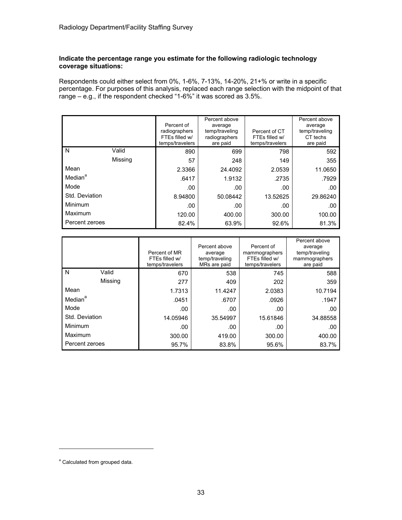#### **Indicate the percentage range you estimate for the following radiologic technology coverage situations:**

Respondents could either select from 0%, 1-6%, 7-13%, 14-20%, 21+% or write in a specific percentage. For purposes of this analysis, replaced each range selection with the midpoint of that range – e.g., if the respondent checked "1-6%" it was scored as 3.5%.

|                     |         | Percent of<br>radiographers<br>FTEs filled w/<br>temps/travelers | Percent above<br>average<br>temp/traveling<br>radiographers<br>are paid | Percent of CT<br>FTEs filled w/<br>temps/travelers | Percent above<br>average<br>temp/traveling<br>CT techs<br>are paid |
|---------------------|---------|------------------------------------------------------------------|-------------------------------------------------------------------------|----------------------------------------------------|--------------------------------------------------------------------|
| N                   | Valid   | 890                                                              | 699                                                                     | 798                                                | 592                                                                |
|                     | Missing | 57                                                               | 248                                                                     | 149                                                | 355                                                                |
| Mean                |         | 2.3366                                                           | 24.4092                                                                 | 2.0539                                             | 11.0650                                                            |
| Median <sup>a</sup> |         | .6417                                                            | 1.9132                                                                  | .2735                                              | .7929                                                              |
| Mode                |         | .00                                                              | .00                                                                     | .00                                                | .00                                                                |
| Std. Deviation      |         | 8.94800                                                          | 50.08442                                                                | 13.52625                                           | 29.86240                                                           |
| Minimum             |         | .00                                                              | .00                                                                     | .00                                                | .00                                                                |
| Maximum             |         | 120.00                                                           | 400.00                                                                  | 300.00                                             | 100.00                                                             |
| Percent zeroes      |         | 82.4%                                                            | 63.9%                                                                   | 92.6%                                              | 81.3%                                                              |

|                     |         | Percent of MR<br>FTEs filled w/<br>temps/travelers | Percent above<br>average<br>temp/traveling<br>MRs are paid | Percent of<br>mammographers<br>FTEs filled w/<br>temps/travelers | Percent above<br>average<br>temp/traveling<br>mammographers<br>are paid |
|---------------------|---------|----------------------------------------------------|------------------------------------------------------------|------------------------------------------------------------------|-------------------------------------------------------------------------|
| N                   | Valid   | 670                                                | 538                                                        | 745                                                              | 588                                                                     |
|                     | Missing | 277                                                | 409                                                        | 202                                                              | 359                                                                     |
| Mean                |         | 1.7313                                             | 11.4247                                                    | 2.0383                                                           | 10.7194                                                                 |
| Median <sup>a</sup> |         | .0451                                              | .6707                                                      | .0926                                                            | .1947                                                                   |
| Mode                |         | .00.                                               | .00                                                        | .00                                                              | .00.                                                                    |
| Std. Deviation      |         | 14.05946                                           | 35.54997                                                   | 15.61846                                                         | 34.88558                                                                |
| Minimum             |         | .00                                                | .00                                                        | .00                                                              | .00                                                                     |
| Maximum             |         | 300.00                                             | 419.00                                                     | 300.00                                                           | 400.00                                                                  |
| Percent zeroes      |         | 95.7%                                              | 83.8%                                                      | 95.6%                                                            | 83.7%                                                                   |

<sup>&</sup>lt;sup>a</sup> Calculated from grouped data.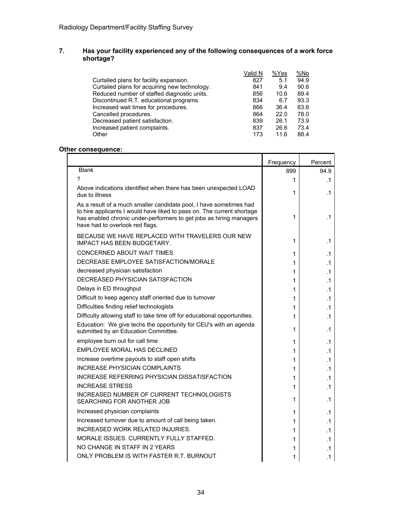### **7. Has your facility experienced any of the following consequences of a work force shortage?**

|                                               | Valid N | %Yes | %No  |
|-----------------------------------------------|---------|------|------|
| Curtailed plans for facility expansion.       | 827     | 5.1  | 94.9 |
| Curtailed plans for acquiring new technology. | 841     | 9.4  | 90.6 |
| Reduced number of staffed diagnostic units.   | 856     | 10.6 | 89.4 |
| Discontinued R.T. educational programs.       | 834     | 6.7  | 93.3 |
| Increased wait times for procedures.          | 866     | 36.4 | 63.6 |
| Cancelled procedures.                         | 864     | 22.0 | 78.0 |
| Decreased patient satisfaction.               | 839     | 26.1 | 73.9 |
| Increased patient complaints.                 | 837     | 26.6 | 73.4 |
| Other                                         | 173     | 11.6 | 88.4 |

### **Other consequence:**

|                                                                                                                                                                                                                                                        | Frequency | Percent   |
|--------------------------------------------------------------------------------------------------------------------------------------------------------------------------------------------------------------------------------------------------------|-----------|-----------|
| <b>Blank</b>                                                                                                                                                                                                                                           | 899       | 94.9      |
| 7                                                                                                                                                                                                                                                      | 1         | .1        |
| Above indications identified when there has been unexpected LOAD<br>due to illness                                                                                                                                                                     | 1         | .1        |
| As a result of a much smaller candidate pool, I have sometimes had<br>to hire applicants I would have liked to pass on. The current shortage<br>has enabled chronic under-performers to get jobs as hiring managers<br>have had to overlook red flags. | 1         | .1        |
| BECAUSE WE HAVE REPLACED WITH TRAVELERS OUR NEW<br><b>IMPACT HAS BEEN BUDGETARY.</b>                                                                                                                                                                   | 1         | $\cdot$ 1 |
| CONCERNED ABOUT WAIT TIMES                                                                                                                                                                                                                             | 1         | .1        |
| DECREASE EMPLOYEE SATISFACTION/MORALE                                                                                                                                                                                                                  | 1         | .1        |
| decreased physician satisfaction                                                                                                                                                                                                                       | 1         | $\cdot$ 1 |
| <b>DECREASED PHYSICIAN SATISFACTION</b>                                                                                                                                                                                                                | 1         | $\cdot$ 1 |
| Delays in ED throughput                                                                                                                                                                                                                                | 1         | .1        |
| Difficult to keep agency staff oriented due to turnover                                                                                                                                                                                                | 1         | .1        |
| Difficulties finding relief technologists                                                                                                                                                                                                              | 1         | $\cdot$ 1 |
| Difficulty allowing staff to take time off for educational opportunities.                                                                                                                                                                              | 1         | $\cdot$ 1 |
| Education: We give techs the opportunity for CEU's with an agenda<br>submitted by an Education Committee.                                                                                                                                              | 1         | .1        |
| employee burn out for call time                                                                                                                                                                                                                        | 1         | .1        |
| EMPLOYEE MORAL HAS DECLINED                                                                                                                                                                                                                            | 1         | $\cdot$ 1 |
| increase overtime payouts to staff open shifts                                                                                                                                                                                                         | 1         | .1        |
| <b>INCREASE PHYSICIAN COMPLAINTS</b>                                                                                                                                                                                                                   | 1         | .1        |
| <b>INCREASE REFERRING PHYSICIAN DISSATISFACTION</b>                                                                                                                                                                                                    | 1         | $\cdot$ 1 |
| <b>INCREASE STRESS</b>                                                                                                                                                                                                                                 | 1         | $\cdot$ 1 |
| INCREASED NUMBER OF CURRENT TECHNOLOGISTS<br>SEARCHING FOR ANOTHER JOB                                                                                                                                                                                 | 1         | .1        |
| Increased physician complaints                                                                                                                                                                                                                         | 1         | .1        |
| Increased turnover due to amount of call being taken.                                                                                                                                                                                                  | 1         | .1        |
| INCREASED WORK RELATED INJURIES.                                                                                                                                                                                                                       | 1         | .1        |
| MORALE ISSUES. CURRENTLY FULLY STAFFED.                                                                                                                                                                                                                | 1         | .1        |
| NO CHANGE IN STAFF IN 2 YEARS                                                                                                                                                                                                                          | 1         | .1        |
| ONLY PROBLEM IS WITH FASTER R.T. BURNOUT                                                                                                                                                                                                               | 1         | $\cdot$ 1 |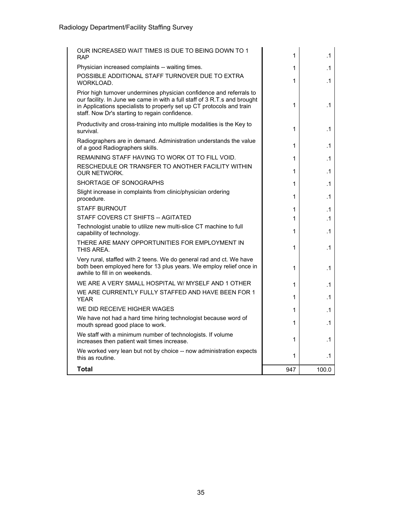| OUR INCREASED WAIT TIMES IS DUE TO BEING DOWN TO 1<br><b>RAP</b>                                                                                                                                                                                                             | 1   | .1        |
|------------------------------------------------------------------------------------------------------------------------------------------------------------------------------------------------------------------------------------------------------------------------------|-----|-----------|
| Physician increased complaints -- waiting times.                                                                                                                                                                                                                             | 1   | $\cdot$ 1 |
| POSSIBLE ADDITIONAL STAFF TURNOVER DUE TO EXTRA<br>WORKLOAD.                                                                                                                                                                                                                 | 1   | $\cdot$ 1 |
| Prior high turnover undermines physician confidence and referrals to<br>our facility. In June we came in with a full staff of 3 R.T.s and brought<br>in Applications specialists to properly set up CT protocols and train<br>staff. Now Dr's starting to regain confidence. | 1   | .1        |
| Productivity and cross-training into multiple modalities is the Key to<br>survival.                                                                                                                                                                                          | 1   | .1        |
| Radiographers are in demand. Administration understands the value<br>of a good Radiographers skills.                                                                                                                                                                         | 1   | $\cdot$ 1 |
| REMAINING STAFF HAVING TO WORK OT TO FILL VOID.                                                                                                                                                                                                                              | 1   | .1        |
| RESCHEDULE OR TRANSFER TO ANOTHER FACILITY WITHIN<br><b>OUR NETWORK.</b>                                                                                                                                                                                                     | 1   | $\cdot$ 1 |
| SHORTAGE OF SONOGRAPHS                                                                                                                                                                                                                                                       | 1   | $\cdot$ 1 |
| Slight increase in complaints from clinic/physician ordering<br>procedure.                                                                                                                                                                                                   | 1   | $\cdot$ 1 |
| <b>STAFF BURNOUT</b>                                                                                                                                                                                                                                                         | 1   | .1        |
| STAFF COVERS CT SHIFTS -- AGITATED                                                                                                                                                                                                                                           | 1   | $\cdot$ 1 |
| Technologist unable to utilize new multi-slice CT machine to full<br>capability of technology.                                                                                                                                                                               | 1   | $\cdot$ 1 |
| THERE ARE MANY OPPORTUNITIES FOR EMPLOYMENT IN<br>THIS AREA.                                                                                                                                                                                                                 | 1   | .1        |
| Very rural, staffed with 2 teens. We do general rad and ct. We have<br>both been employed here for 13 plus years. We employ relief once in<br>awhile to fill in on weekends.                                                                                                 | 1   | .1        |
| WE ARE A VERY SMALL HOSPITAL W/ MYSELF AND 1 OTHER                                                                                                                                                                                                                           | 1   | .1        |
| WE ARE CURRENTLY FULLY STAFFED AND HAVE BEEN FOR 1<br><b>YEAR</b>                                                                                                                                                                                                            | 1   | .1        |
| WE DID RECEIVE HIGHER WAGES                                                                                                                                                                                                                                                  | 1   | $\cdot$ 1 |
| We have not had a hard time hiring technologist because word of<br>mouth spread good place to work.                                                                                                                                                                          | 1   | $\cdot$ 1 |
| We staff with a minimum number of technologists. If volume<br>increases then patient wait times increase.                                                                                                                                                                    | 1   | .1        |
| We worked very lean but not by choice -- now administration expects<br>this as routine.                                                                                                                                                                                      | 1   | .1        |
| Total                                                                                                                                                                                                                                                                        | 947 | 100.0     |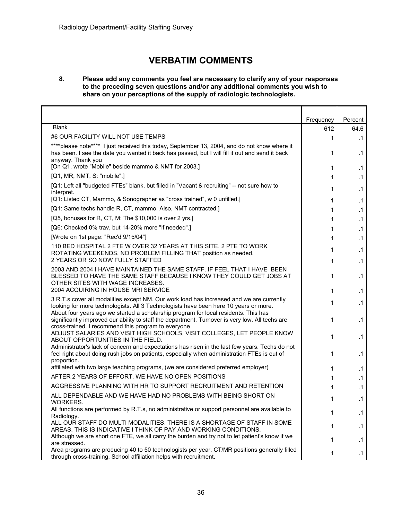## **VERBATIM COMMENTS**

#### **8. Please add any comments you feel are necessary to clarify any of your responses to the preceding seven questions and/or any additional comments you wish to share on your perceptions of the supply of radiologic technologists.**

|                                                                                                                                                                                                                                                                              | Frequency | Percent                |
|------------------------------------------------------------------------------------------------------------------------------------------------------------------------------------------------------------------------------------------------------------------------------|-----------|------------------------|
| <b>Blank</b>                                                                                                                                                                                                                                                                 | 612       | 64.6                   |
| #6 OUR FACILITY WILL NOT USE TEMPS                                                                                                                                                                                                                                           | 1         | $\cdot$ 1              |
| ****please note**** I just received this today, September 13, 2004, and do not know where it<br>has been. I see the date you wanted it back has passed, but I will fill it out and send it back<br>anyway. Thank you<br>[On Q1, wrote "Mobile" beside mammo & NMT for 2003.] | 1<br>1    | $\cdot$ 1              |
| [Q1, MR, NMT, S: "mobile".]                                                                                                                                                                                                                                                  |           | $\cdot$ 1              |
| [Q1: Left all "budgeted FTEs" blank, but filled in "Vacant & recruiting" -- not sure how to<br>interpret.                                                                                                                                                                    | 1<br>1    | $\cdot$ 1<br>$\cdot$ 1 |
| [Q1: Listed CT, Mammo, & Sonographer as "cross trained", w 0 unfilled.]                                                                                                                                                                                                      | 1         | $\cdot$ 1              |
| [Q1: Same techs handle R, CT, mammo. Also, NMT contracted.]                                                                                                                                                                                                                  | 1         | $\cdot$ 1              |
| [Q5, bonuses for R, CT, M: The \$10,000 is over 2 yrs.]                                                                                                                                                                                                                      | 1         | $\cdot$ 1              |
| [Q6: Checked 0% trav, but 14-20% more "if needed".]                                                                                                                                                                                                                          | 1         | $\cdot$ 1              |
| [Wrote on 1st page: "Rec'd 9/15/04"]                                                                                                                                                                                                                                         | 1         | $\cdot$ 1              |
| 110 BED HOSPITAL 2 FTE W OVER 32 YEARS AT THIS SITE. 2 PTE TO WORK<br>ROTATING WEEKENDS. NO PROBLEM FILLING THAT position as needed.                                                                                                                                         | 1         | $\cdot$ 1              |
| 2 YEARS OR SO NOW FULLY STAFFED                                                                                                                                                                                                                                              | 1         | .1                     |
| 2003 AND 2004 I HAVE MAINTAINED THE SAME STAFF. IF FEEL THAT I HAVE BEEN<br>BLESSED TO HAVE THE SAME STAFF BECAUSE I KNOW THEY COULD GET JOBS AT<br>OTHER SITES WITH WAGE INCREASES.                                                                                         | 1         | $\cdot$ 1              |
| 2004 ACQUIRING IN HOUSE MRI SERVICE                                                                                                                                                                                                                                          | 1         | $\cdot$ 1              |
| 3 R.T.s cover all modalities except NM. Our work load has increased and we are currently<br>looking for more technologists. All 3 Technologists have been here 10 years or more.<br>About four years ago we started a scholarship program for local residents. This has      | 1         | $\cdot$ 1              |
| significantly improved our ability to staff the department. Turnover is very low. All techs are<br>cross-trained. I recommend this program to everyone                                                                                                                       | 1         | $\cdot$ 1              |
| ADJUST SALARIES AND VISIT HIGH SCHOOLS, VISIT COLLEGES, LET PEOPLE KNOW<br>ABOUT OPPORTUNITIES IN THE FIELD.                                                                                                                                                                 |           | $\cdot$ 1              |
| Administrator's lack of concern and expectations has risen in the last few years. Techs do not<br>feel right about doing rush jobs on patients, especially when administration FTEs is out of<br>proportion.                                                                 | 1         | $\cdot$ 1              |
| affiliated with two large teaching programs, (we are considered preferred employer)                                                                                                                                                                                          | 1         | $\cdot$ 1              |
| AFTER 2 YEARS OF EFFORT, WE HAVE NO OPEN POSITIONS                                                                                                                                                                                                                           | 1         | $\cdot$ 1              |
| AGGRESSIVE PLANNING WITH HR TO SUPPORT RECRUITMENT AND RETENTION                                                                                                                                                                                                             | 1         | $\cdot$ 1              |
| ALL DEPENDABLE AND WE HAVE HAD NO PROBLEMS WITH BEING SHORT ON<br>WORKERS.                                                                                                                                                                                                   | 1         | $\cdot$ 1              |
| All functions are performed by R.T.s, no administrative or support personnel are available to<br>Radiology.                                                                                                                                                                  | 1         | $\cdot$ 1              |
| ALL OUR STAFF DO MULTI MODALITIES. THERE IS A SHORTAGE OF STAFF IN SOME<br>AREAS. THIS IS INDICATIVE I THINK OF PAY AND WORKING CONDITIONS.                                                                                                                                  | 1         | $\cdot$ 1              |
| Although we are short one FTE, we all carry the burden and try not to let patient's know if we<br>are stressed.                                                                                                                                                              | 1         | $\cdot$ 1              |
| Area programs are producing 40 to 50 technologists per year. CT/MR positions generally filled<br>through cross-training. School affiliation helps with recruitment.                                                                                                          | 1         | $\cdot$ 1              |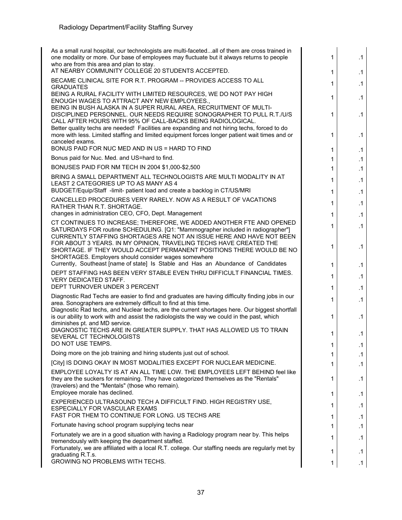| As a small rural hospital, our technologists are multi-facetedall of them are cross trained in<br>one modality or more. Our base of employees may fluctuate but it always returns to people<br>who are from this area and plan to stay. | 1                                                                                                                                                                                                                                                                                                                                                                                                                                                                                                                                                                                                                                                                                                                                                                                                                                                                                                                                                                                                                                                                                                                                                                                                                                                                                                   | $\cdot$ 1       |
|-----------------------------------------------------------------------------------------------------------------------------------------------------------------------------------------------------------------------------------------|-----------------------------------------------------------------------------------------------------------------------------------------------------------------------------------------------------------------------------------------------------------------------------------------------------------------------------------------------------------------------------------------------------------------------------------------------------------------------------------------------------------------------------------------------------------------------------------------------------------------------------------------------------------------------------------------------------------------------------------------------------------------------------------------------------------------------------------------------------------------------------------------------------------------------------------------------------------------------------------------------------------------------------------------------------------------------------------------------------------------------------------------------------------------------------------------------------------------------------------------------------------------------------------------------------|-----------------|
| AT NEARBY COMMUNITY COLLEGE 20 STUDENTS ACCEPTED.                                                                                                                                                                                       | 1                                                                                                                                                                                                                                                                                                                                                                                                                                                                                                                                                                                                                                                                                                                                                                                                                                                                                                                                                                                                                                                                                                                                                                                                                                                                                                   | $\cdot$ 1       |
|                                                                                                                                                                                                                                         | 1                                                                                                                                                                                                                                                                                                                                                                                                                                                                                                                                                                                                                                                                                                                                                                                                                                                                                                                                                                                                                                                                                                                                                                                                                                                                                                   | $\cdot$ 1       |
| BEING A RURAL FACILITY WITH LIMITED RESOURCES, WE DO NOT PAY HIGH<br>ENOUGH WAGES TO ATTRACT ANY NEW EMPLOYEES.,                                                                                                                        | 1                                                                                                                                                                                                                                                                                                                                                                                                                                                                                                                                                                                                                                                                                                                                                                                                                                                                                                                                                                                                                                                                                                                                                                                                                                                                                                   | $\cdot$ 1       |
| BEING IN BUSH ALASKA IN A SUPER RURAL AREA, RECRUITMENT OF MULTI-<br>DISCIPLINED PERSONNEL. OUR NEEDS REQUIRE SONOGRAPHER TO PULL R.T./U/S<br>CALL AFTER HOURS WITH 95% OF CALL-BACKS BEING RADIOLOGICAL.                               | 1                                                                                                                                                                                                                                                                                                                                                                                                                                                                                                                                                                                                                                                                                                                                                                                                                                                                                                                                                                                                                                                                                                                                                                                                                                                                                                   | $\cdot$ 1       |
| more with less. Limited staffing and limited equipment forces longer patient wait times and or<br>canceled exams.                                                                                                                       | 1                                                                                                                                                                                                                                                                                                                                                                                                                                                                                                                                                                                                                                                                                                                                                                                                                                                                                                                                                                                                                                                                                                                                                                                                                                                                                                   | $\cdot$ 1       |
|                                                                                                                                                                                                                                         | 1                                                                                                                                                                                                                                                                                                                                                                                                                                                                                                                                                                                                                                                                                                                                                                                                                                                                                                                                                                                                                                                                                                                                                                                                                                                                                                   | $\cdot$ 1       |
|                                                                                                                                                                                                                                         | 1                                                                                                                                                                                                                                                                                                                                                                                                                                                                                                                                                                                                                                                                                                                                                                                                                                                                                                                                                                                                                                                                                                                                                                                                                                                                                                   | $\cdot$ 1       |
|                                                                                                                                                                                                                                         | 1                                                                                                                                                                                                                                                                                                                                                                                                                                                                                                                                                                                                                                                                                                                                                                                                                                                                                                                                                                                                                                                                                                                                                                                                                                                                                                   | $\cdot$ 1       |
| LEAST 2 CATEGORIES UP TO AS MANY AS 4                                                                                                                                                                                                   | 1                                                                                                                                                                                                                                                                                                                                                                                                                                                                                                                                                                                                                                                                                                                                                                                                                                                                                                                                                                                                                                                                                                                                                                                                                                                                                                   | $\cdot$ 1       |
|                                                                                                                                                                                                                                         |                                                                                                                                                                                                                                                                                                                                                                                                                                                                                                                                                                                                                                                                                                                                                                                                                                                                                                                                                                                                                                                                                                                                                                                                                                                                                                     | $\cdot$ 1       |
| RATHER THAN R.T. SHORTAGE.                                                                                                                                                                                                              | 1                                                                                                                                                                                                                                                                                                                                                                                                                                                                                                                                                                                                                                                                                                                                                                                                                                                                                                                                                                                                                                                                                                                                                                                                                                                                                                   | .1<br>$\cdot$ 1 |
|                                                                                                                                                                                                                                         |                                                                                                                                                                                                                                                                                                                                                                                                                                                                                                                                                                                                                                                                                                                                                                                                                                                                                                                                                                                                                                                                                                                                                                                                                                                                                                     |                 |
| SATURDAYS FOR routine SCHEDULING. [Q1: "Mammographer included in radiographer"]<br>CURRENTLY STAFFING SHORTAGES ARE NOT AN ISSUE HERE AND HAVE NOT BEEN                                                                                 |                                                                                                                                                                                                                                                                                                                                                                                                                                                                                                                                                                                                                                                                                                                                                                                                                                                                                                                                                                                                                                                                                                                                                                                                                                                                                                     | $\cdot$ 1       |
| SHORTAGE. IF THEY WOULD ACCEPT PERMANENT POSITIONS THERE WOULD BE NO                                                                                                                                                                    | 1                                                                                                                                                                                                                                                                                                                                                                                                                                                                                                                                                                                                                                                                                                                                                                                                                                                                                                                                                                                                                                                                                                                                                                                                                                                                                                   | $\cdot$ 1       |
| Currently, Southeast [name of state] Is Stable and Has an Abundance of Candidates                                                                                                                                                       | 1                                                                                                                                                                                                                                                                                                                                                                                                                                                                                                                                                                                                                                                                                                                                                                                                                                                                                                                                                                                                                                                                                                                                                                                                                                                                                                   | $\cdot$ 1       |
| DEPT STAFFING HAS BEEN VERY STABLE EVEN THRU DIFFICULT FINANCIAL TIMES.<br><b>VERY DEDICATED STAFF.</b>                                                                                                                                 | 1                                                                                                                                                                                                                                                                                                                                                                                                                                                                                                                                                                                                                                                                                                                                                                                                                                                                                                                                                                                                                                                                                                                                                                                                                                                                                                   | $\cdot$ 1       |
| DEPT TURNOVER UNDER 3 PERCENT                                                                                                                                                                                                           | 1                                                                                                                                                                                                                                                                                                                                                                                                                                                                                                                                                                                                                                                                                                                                                                                                                                                                                                                                                                                                                                                                                                                                                                                                                                                                                                   | $\cdot$ 1       |
| Diagnostic Rad Techs are easier to find and graduates are having difficulty finding jobs in our<br>area. Sonographers are extremely difficult to find at this time.                                                                     | 1                                                                                                                                                                                                                                                                                                                                                                                                                                                                                                                                                                                                                                                                                                                                                                                                                                                                                                                                                                                                                                                                                                                                                                                                                                                                                                   | .1              |
| is our ability to work with and assist the radiologists the way we could in the past, which                                                                                                                                             | 1                                                                                                                                                                                                                                                                                                                                                                                                                                                                                                                                                                                                                                                                                                                                                                                                                                                                                                                                                                                                                                                                                                                                                                                                                                                                                                   | $\cdot$ 1       |
| DIAGNOSTIC TECHS ARE IN GREATER SUPPLY. THAT HAS ALLOWED US TO TRAIN<br>SEVERAL CT TECHNOLOGISTS                                                                                                                                        | 1                                                                                                                                                                                                                                                                                                                                                                                                                                                                                                                                                                                                                                                                                                                                                                                                                                                                                                                                                                                                                                                                                                                                                                                                                                                                                                   | $\cdot$ 1       |
|                                                                                                                                                                                                                                         | 1                                                                                                                                                                                                                                                                                                                                                                                                                                                                                                                                                                                                                                                                                                                                                                                                                                                                                                                                                                                                                                                                                                                                                                                                                                                                                                   | $\cdot$ 1       |
|                                                                                                                                                                                                                                         | 1                                                                                                                                                                                                                                                                                                                                                                                                                                                                                                                                                                                                                                                                                                                                                                                                                                                                                                                                                                                                                                                                                                                                                                                                                                                                                                   | $\cdot$ 1       |
|                                                                                                                                                                                                                                         | 1                                                                                                                                                                                                                                                                                                                                                                                                                                                                                                                                                                                                                                                                                                                                                                                                                                                                                                                                                                                                                                                                                                                                                                                                                                                                                                   | $\cdot$ 1       |
| they are the suckers for remaining. They have categorized themselves as the "Rentals"                                                                                                                                                   | 1                                                                                                                                                                                                                                                                                                                                                                                                                                                                                                                                                                                                                                                                                                                                                                                                                                                                                                                                                                                                                                                                                                                                                                                                                                                                                                   | $\cdot$ 1       |
| Employee morale has declined.                                                                                                                                                                                                           | 1                                                                                                                                                                                                                                                                                                                                                                                                                                                                                                                                                                                                                                                                                                                                                                                                                                                                                                                                                                                                                                                                                                                                                                                                                                                                                                   | $\cdot$ 1       |
| EXPERIENCED ULTRASOUND TECH A DIFFICULT FIND. HIGH REGISTRY USE,<br><b>ESPECIALLY FOR VASCULAR EXAMS</b>                                                                                                                                | 1.                                                                                                                                                                                                                                                                                                                                                                                                                                                                                                                                                                                                                                                                                                                                                                                                                                                                                                                                                                                                                                                                                                                                                                                                                                                                                                  | $\cdot$ 1       |
| FAST FOR THEM TO CONTINUE FOR LONG. US TECHS ARE                                                                                                                                                                                        | 1                                                                                                                                                                                                                                                                                                                                                                                                                                                                                                                                                                                                                                                                                                                                                                                                                                                                                                                                                                                                                                                                                                                                                                                                                                                                                                   | $\cdot$ 1       |
| Fortunate having school program supplying techs near                                                                                                                                                                                    | 1.                                                                                                                                                                                                                                                                                                                                                                                                                                                                                                                                                                                                                                                                                                                                                                                                                                                                                                                                                                                                                                                                                                                                                                                                                                                                                                  | $\cdot$ 1       |
| Fortunately we are in a good situation with having a Radiology program near by. This helps<br>tremendously with keeping the department staffed.                                                                                         | 1                                                                                                                                                                                                                                                                                                                                                                                                                                                                                                                                                                                                                                                                                                                                                                                                                                                                                                                                                                                                                                                                                                                                                                                                                                                                                                   | $\cdot$ 1       |
| Fortunately, we are affiliated with a local R.T. college. Our staffing needs are regularly met by                                                                                                                                       | 1                                                                                                                                                                                                                                                                                                                                                                                                                                                                                                                                                                                                                                                                                                                                                                                                                                                                                                                                                                                                                                                                                                                                                                                                                                                                                                   | $\cdot$ 1       |
| GROWING NO PROBLEMS WITH TECHS.                                                                                                                                                                                                         | 1                                                                                                                                                                                                                                                                                                                                                                                                                                                                                                                                                                                                                                                                                                                                                                                                                                                                                                                                                                                                                                                                                                                                                                                                                                                                                                   | $\cdot$ 1       |
|                                                                                                                                                                                                                                         | BECAME CLINICAL SITE FOR R.T. PROGRAM -- PROVIDES ACCESS TO ALL<br><b>GRADUATES</b><br>Better quality techs are needed! Facilities are expanding and not hiring techs, forced to do<br>BONUS PAID FOR NUC MED AND IN US = HARD TO FIND<br>Bonus paid for Nuc. Med. and US=hard to find.<br>BONUSES PAID FOR NM TECH IN 2004 \$1,000-\$2,500<br>BRING A SMALL DEPARTMENT ALL TECHNOLOGISTS ARE MULTI MODALITY IN AT<br>BUDGET/Equip/Staff -limit- patient load and create a backlog in CT/US/MRI<br>CANCELLED PROCEDURES VERY RARELY. NOW AS A RESULT OF VACATIONS<br>changes in administration CEO, CFO, Dept. Management<br>CT CONTINUES TO INCREASE; THEREFORE, WE ADDED ANOTHER FTE AND OPENED<br>FOR ABOUT 3 YEARS. IN MY OPINION, TRAVELING TECHS HAVE CREATED THE<br>SHORTAGES. Employers should consider wages somewhere<br>Diagnostic Rad techs, and Nuclear techs, are the current shortages here. Our biggest shortfall<br>diminishes pt. and MD service.<br>DO NOT USE TEMPS.<br>Doing more on the job training and hiring students just out of school.<br>[City] IS DOING OKAY IN MOST MODALITIES EXCEPT FOR NUCLEAR MEDICINE.<br>EMPLOYEE LOYALTY IS AT AN ALL TIME LOW. THE EMPLOYEES LEFT BEHIND feel like<br>(travelers) and the "Mentals" (those who remain).<br>graduating R.T.s. | 1<br>1<br>1     |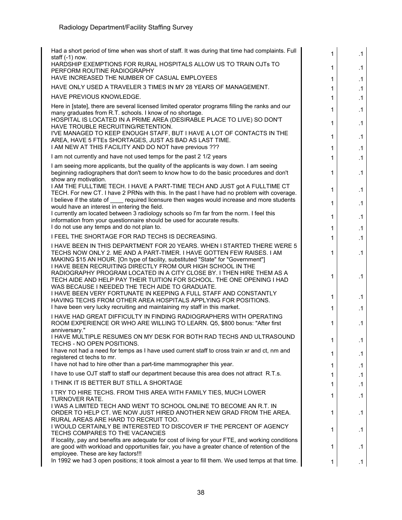| Had a short period of time when was short of staff. It was during that time had complaints. Full                                                                                                                                                                  | 1                          | .1        |
|-------------------------------------------------------------------------------------------------------------------------------------------------------------------------------------------------------------------------------------------------------------------|----------------------------|-----------|
| staff $(-1)$ now.<br>HARDSHIP EXEMPTIONS FOR RURAL HOSPITALS ALLOW US TO TRAIN OJTs TO<br>PERFORM ROUTINE RADIOGRAPHY                                                                                                                                             | $\mathbf 1$                | .1        |
| HAVE INCREASED THE NUMBER OF CASUAL EMPLOYEES                                                                                                                                                                                                                     | $\mathbf 1$                | .1        |
| HAVE ONLY USED A TRAVELER 3 TIMES IN MY 28 YEARS OF MANAGEMENT.                                                                                                                                                                                                   | $\mathbf 1$                | $\cdot$ 1 |
| HAVE PREVIOUS KNOWLEDGE.                                                                                                                                                                                                                                          | 1                          | $\cdot$ 1 |
| Here in [state], there are several licensed limited operator programs filling the ranks and our<br>many graduates from R.T. schools. I know of no shortage.                                                                                                       | $\mathbf{1}$               | $\cdot$ 1 |
| HOSPITAL IS LOCATED IN A PRIME AREA (DESIRABLE PLACE TO LIVE) SO DON'T<br>HAVE TROUBLE RECRUITING/RETENTION.<br>I'VE MANAGED TO KEEP ENOUGH STAFF, BUT I HAVE A LOT OF CONTACTS IN THE                                                                            | $\mathbf 1$                | .1        |
| AREA, HAVE 5 FTEs SHORTAGES, JUST AS BAD AS LAST TIME.<br>I AM NEW AT THIS FACILITY AND DO NOT have previous ???                                                                                                                                                  | $\mathbf 1$<br>$\mathbf 1$ | .1<br>.1  |
| I am not currently and have not used temps for the past 2 1/2 years                                                                                                                                                                                               | 1                          | .1        |
| I am seeing more applicants, but the quality of the applicants is way down. I am seeing                                                                                                                                                                           |                            |           |
| beginning radiographers that don't seem to know how to do the basic procedures and don't<br>show any motivation.                                                                                                                                                  | $\mathbf 1$                | .1        |
| I AM THE FULLTIME TECH. I HAVE A PART-TIME TECH AND JUST got A FULLTIME CT<br>TECH. For new CT. I have 2 PRNs with this. In the past I have had no problem with coverage.                                                                                         | 1                          | .1        |
| I believe if the state of _____ required licensure then wages would increase and more students<br>would have an interest in entering the field.                                                                                                                   | 1                          | .1        |
| I currently am located between 3 radiology schools so I'm far from the norm. I feel this<br>information from your questionnaire should be used for accurate results.                                                                                              | 1                          | .1        |
| I do not use any temps and do not plan to.                                                                                                                                                                                                                        | $\mathbf 1$                | $\cdot$ 1 |
| I FEEL THE SHORTAGE FOR RAD TECHS IS DECREASING.                                                                                                                                                                                                                  | $\mathbf{1}$               | $\cdot$ 1 |
| I HAVE BEEN IN THIS DEPARTMENT FOR 20 YEARS. WHEN I STARTED THERE WERE 5<br>TECHS NOW ONLY 2. ME AND A PART-TIMER. I HAVE GOTTEN FEW RAISES. I AM<br>MAKING \$15 AN HOUR. [On type of facility, substituted "State" for "Government"]                             | 1                          | $\cdot$ 1 |
| I HAVE BEEN RECRUITING DIRECTLY FROM OUR HIGH SCHOOL IN THE<br>RADIOGRAPHY PROGRAM LOCATED IN A CITY CLOSE BY. I THEN HIRE THEM AS A<br>TECH AIDE AND HELP PAY THEIR TUITION FOR SCHOOL. THE ONE OPENING I HAD<br>WAS BECAUSE I NEEDED THE TECH AIDE TO GRADUATE. | 1                          | .1        |
| I HAVE BEEN VERY FORTUNATE IN KEEPING A FULL STAFF AND CONSTANTLY<br>HAVING TECHS FROM OTHER AREA HOSPITALS APPLYING FOR POSITIONS.                                                                                                                               | $\mathbf 1$                | $\cdot$ 1 |
| I have been very lucky recruiting and maintaining my staff in this market.                                                                                                                                                                                        | $\mathbf 1$                | .1        |
| I HAVE HAD GREAT DIFFICULTY IN FINDING RADIOGRAPHERS WITH OPERATING<br>ROOM EXPERIENCE OR WHO ARE WILLING TO LEARN. Q5, \$800 bonus: "After first<br>anniversary."                                                                                                | 1                          | .1        |
| I HAVE MULTIPLE RESUMES ON MY DESK FOR BOTH RAD TECHS AND ULTRASOUND<br>TECHS - NO OPEN POSITIONS.                                                                                                                                                                | 1                          | $\cdot$ 1 |
| I have not had a need for temps as I have used current staff to cross train xr and ct, nm and<br>registered ct techs to mr.                                                                                                                                       | 1                          | $\cdot$ 1 |
| I have not had to hire other than a part-time mammographer this year.                                                                                                                                                                                             | 1                          | .1        |
| I have to use OJT staff to staff our department because this area does not attract R.T.s.                                                                                                                                                                         | 1.                         | .1        |
| I THINK IT IS BETTER BUT STILL A SHORTAGE                                                                                                                                                                                                                         | 1                          | .1        |
| I TRY TO HIRE TECHS. FROM THIS AREA WITH FAMILY TIES, MUCH LOWER<br><b>TURNOVER RATE.</b>                                                                                                                                                                         | 1                          | .1        |
| I WAS A LIMITED TECH AND WENT TO SCHOOL ONLINE TO BECOME AN R.T. IN<br>ORDER TO HELP CT. WE NOW JUST HIRED ANOTHER NEW GRAD FROM THE AREA.<br>RURAL AREAS ARE HARD TO RECRUIT TOO.                                                                                | 1                          | $\cdot$ 1 |
| I WOULD CERTAINLY BE INTERESTED TO DISCOVER IF THE PERCENT OF AGENCY<br>TECHS COMPARES TO THE VACANCIES                                                                                                                                                           | 1                          | $\cdot$ 1 |
| If locality, pay and benefits are adequate for cost of living for your FTE, and working conditions<br>are good with workload and opportunities fair, you have a greater chance of retention of the                                                                | 1                          | $\cdot$ 1 |
| employee. These are key factors!!!<br>In 1992 we had 3 open positions; it took almost a year to fill them. We used temps at that time.                                                                                                                            | 1                          | .1        |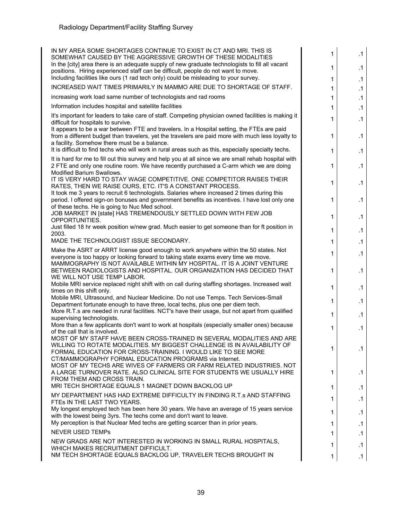| IN MY AREA SOME SHORTAGES CONTINUE TO EXIST IN CT AND MRI. THIS IS                                                                                                                              |   |           |
|-------------------------------------------------------------------------------------------------------------------------------------------------------------------------------------------------|---|-----------|
| SOMEWHAT CAUSED BY THE AGGRESSIVE GROWTH OF THESE MODALITIES                                                                                                                                    | 1 | $\cdot$ 1 |
| In the [city] area there is an adequate supply of new graduate technologists to fill all vacant<br>positions. Hiring experienced staff can be difficult, people do not want to move.            | 1 | .1        |
| Including facilities like ours (1 rad tech only) could be misleading to your survey.                                                                                                            | 1 | .1        |
| INCREASED WAIT TIMES PRIMARILY IN MAMMO ARE DUE TO SHORTAGE OF STAFF.                                                                                                                           | 1 | $\cdot$ 1 |
| increasing work load same number of technologists and rad rooms                                                                                                                                 | 1 | $\cdot$ 1 |
| Information includes hospital and satellite facilities                                                                                                                                          | 1 | $\cdot$ 1 |
| It's important for leaders to take care of staff. Competing physician owned facilities is making it                                                                                             |   |           |
| difficult for hospitals to survive.                                                                                                                                                             | 1 | .1        |
| It appears to be a war between FTE and travelers. In a Hospital setting, the FTEs are paid<br>from a different budget than travelers, yet the travelers are paid more with much less loyalty to | 1 | .1        |
| a facility. Somehow there must be a balance.                                                                                                                                                    |   |           |
| It is difficult to find techs who will work in rural areas such as this, especially specialty techs.                                                                                            | 1 | $\cdot$ 1 |
| It is hard for me to fill out this survey and help you at all since we are small rehab hospital with                                                                                            |   |           |
| 2 FTE and only one routine room. We have recently purchased a C-arm which we are doing<br><b>Modified Barium Swallows.</b>                                                                      | 1 | .1        |
| IT IS VERY HARD TO STAY WAGE COMPETITIVE. ONE COMPETITOR RAISES THEIR                                                                                                                           | 1 | .1        |
| RATES, THEN WE RAISE OURS, ETC. IT'S A CONSTANT PROCESS.                                                                                                                                        |   |           |
| It took me 3 years to recruit 6 technologists. Salaries where increased 2 times during this<br>period. I offered sign-on bonuses and government benefits as incentives. I have lost only one    | 1 | $\cdot$ 1 |
| of these techs. He is going to Nuc Med school.                                                                                                                                                  |   |           |
| JOB MARKET IN [state] HAS TREMENDOUSLY SETTLED DOWN WITH FEW JOB<br>OPPORTUNITIES.                                                                                                              | 1 | .1        |
| Just filled 18 hr week position w/new grad. Much easier to get someone than for ft position in                                                                                                  | 1 |           |
| 2003.                                                                                                                                                                                           |   | $\cdot$ 1 |
| MADE THE TECHNOLOGIST ISSUE SECONDARY.                                                                                                                                                          | 1 | .1        |
| Make the ASRT or ARRT license good enough to work anywhere within the 50 states. Not<br>everyone is too happy or looking forward to taking state exams every time we move.                      | 1 | .1        |
| MAMMOGRAPHY IS NOT AVAILABLE WITHIN MY HOSPITAL. IT IS A JOINT VENTURE                                                                                                                          |   |           |
| BETWEEN RADIOLOGISTS AND HOSPITAL. OUR ORGANIZATION HAS DECIDED THAT                                                                                                                            | 1 | .1        |
| WE WILL NOT USE TEMP LABOR.<br>Mobile MRI service replaced night shift with on call during staffing shortages. Increased wait                                                                   |   |           |
| times on this shift only.                                                                                                                                                                       | 1 | .1        |
| Mobile MRI, Ultrasound, and Nuclear Medicine. Do not use Temps. Tech Services-Small<br>Department fortunate enough to have three, local techs, plus one per diem tech.                          | 1 | .1        |
| More R.T.s are needed in rural facilities. NCT's have their usage, but not apart from qualified                                                                                                 |   |           |
| supervising technologists.                                                                                                                                                                      | 1 | .1        |
| More than a few applicants don't want to work at hospitals (especially smaller ones) because<br>of the call that is involved.                                                                   | 1 | .1        |
| MOST OF MY STAFF HAVE BEEN CROSS-TRAINED IN SEVERAL MODALITIES AND ARE                                                                                                                          |   |           |
| WILLING TO ROTATE MODALITIES. MY BIGGEST CHALLENGE IS IN AVAILABILITY OF                                                                                                                        | 1 | $\cdot$ 1 |
| FORMAL EDUCATION FOR CROSS-TRAINING. I WOULD LIKE TO SEE MORE<br>CT/MAMMOGRAPHY FORMAL EDUCATION PROGRAMS via Internet.                                                                         |   |           |
| MOST OF MY TECHS ARE WIVES OF FARMERS OR FARM RELATED INDUSTRIES. NOT                                                                                                                           |   |           |
| A LARGE TURNOVER RATE. ALSO CLINICAL SITE FOR STUDENTS WE USUALLY HIRE<br>FROM THEM AND CROSS TRAIN.                                                                                            | 1 | .1        |
| MRI TECH SHORTAGE EQUALS 1 MAGNET DOWN BACKLOG UP                                                                                                                                               | 1 | .1        |
| MY DEPARTMENT HAS HAD EXTREME DIFFICULTY IN FINDING R.T.s AND STAFFING                                                                                                                          |   |           |
| FTES IN THE LAST TWO YEARS.                                                                                                                                                                     | 1 | .1        |
| My longest employed tech has been here 30 years. We have an average of 15 years service<br>with the lowest being 3yrs. The techs come and don't want to leave.                                  | 1 | .1        |
| My perception is that Nuclear Med techs are getting scarcer than in prior years.                                                                                                                | 1 | $\cdot$ 1 |
| <b>NEVER USED TEMPS</b>                                                                                                                                                                         | 1 | .1        |
| NEW GRADS ARE NOT INTERESTED IN WORKING IN SMALL RURAL HOSPITALS,                                                                                                                               |   | .1        |
| WHICH MAKES RECRUITMENT DIFFICULT.                                                                                                                                                              | 1 |           |
| NM TECH SHORTAGE EQUALS BACKLOG UP, TRAVELER TECHS BROUGHT IN                                                                                                                                   | 1 | $\cdot$ 1 |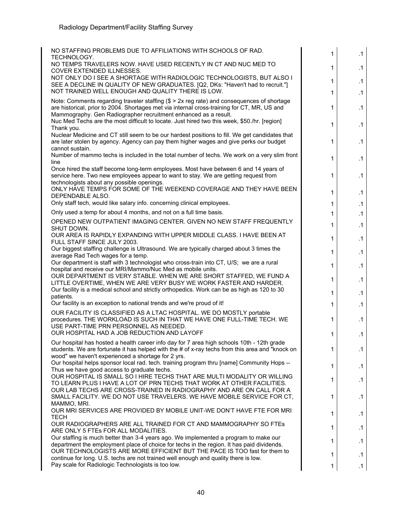| NO STAFFING PROBLEMS DUE TO AFFILIATIONS WITH SCHOOLS OF RAD.                                                                                                                                                                                                | 1            | .1        |
|--------------------------------------------------------------------------------------------------------------------------------------------------------------------------------------------------------------------------------------------------------------|--------------|-----------|
| <b>TECHNOLOGY.</b><br>NO TEMPS TRAVELERS NOW. HAVE USED RECENTLY IN CT AND NUC MED TO<br>COVER EXTENDED ILLNESSES.                                                                                                                                           | $\mathbf 1$  | $\cdot$ 1 |
| NOT ONLY DO I SEE A SHORTAGE WITH RADIOLOGIC TECHNOLOGISTS, BUT ALSO I<br>SEE A DECLINE IN QUALITY OF NEW GRADUATES. [Q2, DKs: "Haven't had to recruit."]                                                                                                    | $\mathbf{1}$ | .1        |
| NOT TRAINED WELL ENOUGH AND QUALITY THERE IS LOW.                                                                                                                                                                                                            | $\mathbf{1}$ | $\cdot$ 1 |
| Note: Comments regarding traveler staffing (\$ > 2x reg rate) and consequences of shortage<br>are historical, prior to 2004. Shortages met via internal cross-training for CT, MR, US and<br>Mammography. Gen Radiographer recruitment enhanced as a result. | 1            | .1        |
| Nuc Med Techs are the most difficult to locate. Just hired two this week, \$50./hr. [region]<br>Thank you.                                                                                                                                                   | 1            | .1        |
| Nuclear Medicine and CT still seem to be our hardest positions to fill. We get candidates that<br>are later stolen by agency. Agency can pay them higher wages and give perks our budget<br>cannot sustain.                                                  | 1            | .1        |
| Number of mammo techs is included in the total number of techs. We work on a very slim front<br>line                                                                                                                                                         | 1            | .1        |
| Once hired the staff become long-term employees. Most have between 6 and 14 years of<br>service here. Two new employees appear to want to stay. We are getting request from<br>technologists about any possible openings.                                    | 1            | .1        |
| ONLY HAVE TEMPS FOR SOME OF THE WEEKEND COVERAGE AND THEY HAVE BEEN<br>DEPENDABLE ALSO.                                                                                                                                                                      | $\mathbf 1$  | .1        |
| Only staff tech, would like salary info. concerning clinical employees.                                                                                                                                                                                      | $\mathbf{1}$ | .1        |
| Only used a temp for about 4 months, and not on a full time basis.                                                                                                                                                                                           | $\mathbf 1$  | $\cdot$ 1 |
| OPENED NEW OUTPATIENT IMAGING CENTER. GIVEN NO NEW STAFF FREQUENTLY<br>SHUT DOWN.                                                                                                                                                                            | $\mathbf 1$  | .1        |
| OUR AREA IS RAPIDLY EXPANDING WITH UPPER MIDDLE CLASS. I HAVE BEEN AT<br>FULL STAFF SINCE JULY 2003.                                                                                                                                                         | $\mathbf{1}$ | $\cdot$ 1 |
| Our biggest staffing challenge is Ultrasound. We are typically charged about 3 times the<br>average Rad Tech wages for a temp.                                                                                                                               | 1            | .1        |
| Our department is staff with 3 technologist who cross-train into CT, U/S; we are a rural<br>hospital and receive our MRI/Mammo/Nuc Med as mobile units.                                                                                                      | $\mathbf 1$  | $\cdot$ 1 |
| OUR DEPARTMENT IS VERY STABLE. WHEN WE ARE SHORT STAFFED, WE FUND A<br>LITTLE OVERTIME, WHEN WE ARE VERY BUSY WE WORK FASTER AND HARDER.                                                                                                                     | $\mathbf 1$  | .1        |
| Our facility is a medical school and strictly orthopedics. Work can be as high as 120 to 30<br>patients.                                                                                                                                                     | 1            | $\cdot$ 1 |
| Our facility is an exception to national trends and we're proud of it!                                                                                                                                                                                       | $\mathbf{1}$ | $\cdot$ 1 |
| OUR FACILITY IS CLASSIFIED AS A LTAC HOSPITAL. WE DO MOSTLY portable<br>procedures. THE WORKLOAD IS SUCH IN THAT WE HAVE ONE FULL-TIME TECH. WE<br>USE PART-TIME PRN PERSONNEL AS NEEDED.                                                                    | 1            | .1        |
| OUR HOSPITAL HAD A JOB REDUCTION AND LAYOFF                                                                                                                                                                                                                  | $\mathbf 1$  | .1        |
| Our hospital has hosted a health career info day for 7 area high schools 10th - 12th grade<br>students. We are fortunate it has helped with the # of x-ray techs from this area and "knock on<br>wood" we haven't experienced a shortage for 2 yrs.          | 1            | .1        |
| Our hospital helps sponsor local rad. tech. training program thru [name] Community Hops --<br>Thus we have good access to graduate techs.                                                                                                                    | 1            | .1        |
| OUR HOSPITAL IS SMALL SO I HIRE TECHS THAT ARE MULTI MODALITY OR WILLING<br>TO LEARN PLUS I HAVE A LOT OF PRN TECHS THAT WORK AT OTHER FACILITIES.                                                                                                           | 1            | .1        |
| OUR LAB TECHS ARE CROSS-TRAINED IN RADIOGRAPHY AND ARE ON CALL FOR A<br>SMALL FACILITY. WE DO NOT USE TRAVELERS. WE HAVE MOBILE SERVICE FOR CT,                                                                                                              | 1            | .1        |
| MAMMO, MRI.<br>OUR MRI SERVICES ARE PROVIDED BY MOBILE UNIT-WE DON'T HAVE FTE FOR MRI<br>TECH                                                                                                                                                                | 1            | .1        |
| OUR RADIOGRAPHERS ARE ALL TRAINED FOR CT AND MAMMOGRAPHY SO FTES<br>ARE ONLY 5 FTEs FOR ALL MODALITIES.                                                                                                                                                      | 1            | .1        |
| Our staffing is much better than 3-4 years ago. We implemented a program to make our                                                                                                                                                                         | 1            | $\cdot$ 1 |
| department the employment place of choice for techs in the region. It has paid dividends.<br>OUR TECHNOLOGISTS ARE MORE EFFICIENT BUT THE PACE IS TOO fast for them to                                                                                       | 1            | $\cdot$ 1 |
| continue for long. U.S. techs are not trained well enough and quality there is low.<br>Pay scale for Radiologic Technologists is too low.                                                                                                                    | 1            | .1        |
|                                                                                                                                                                                                                                                              |              |           |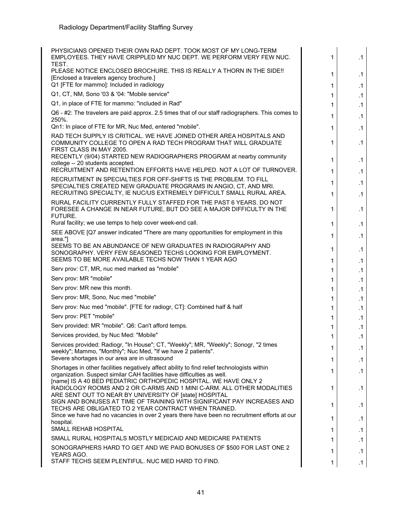| PHYSICIANS OPENED THEIR OWN RAD DEPT. TOOK MOST OF MY LONG-TERM<br>EMPLOYEES. THEY HAVE CRIPPLED MY NUC DEPT. WE PERFORM VERY FEW NUC.                                                                      | 1      | .1                     |
|-------------------------------------------------------------------------------------------------------------------------------------------------------------------------------------------------------------|--------|------------------------|
| TEST.<br>PLEASE NOTICE ENCLOSED BROCHURE. THIS IS REALLY A THORN IN THE SIDE !!<br>[Enclosed a travelers agency brochure.]                                                                                  | 1      | .1                     |
| Q1 [FTE for mammo]: Included in radiology                                                                                                                                                                   | 1      | .1                     |
| Q1, CT, NM, Sono '03 & '04: "Mobile service"                                                                                                                                                                | 1      | $\cdot$ 1              |
| Q1, in place of FTE for mammo: "included in Rad"                                                                                                                                                            | 1      | .1                     |
| Q6 - #2: The travelers are paid approx. 2.5 times that of our staff radiographers. This comes to<br>250%.                                                                                                   | 1      | .1                     |
| Qn1: In place of FTE for MR, Nuc Med, entered "mobile".                                                                                                                                                     | 1      | .1                     |
| RAD TECH SUPPLY IS CRITICAL. WE HAVE JOINED OTHER AREA HOSPITALS AND<br>COMMUNITY COLLEGE TO OPEN A RAD TECH PROGRAM THAT WILL GRADUATE<br>FIRST CLASS IN MAY 2005.                                         | 1      | .1                     |
| RECENTLY (9/04) STARTED NEW RADIOGRAPHERS PROGRAM at nearby community<br>college -- 20 students accepted.<br>RECRUITMENT AND RETENTION EFFORTS HAVE HELPED. NOT A LOT OF TURNOVER.                          | 1      | .1                     |
| RECRUITMENT IN SPECIALTIES FOR OFF-SHIFTS IS THE PROBLEM. TO FILL                                                                                                                                           | 1      | .1                     |
| SPECIALTIES CREATED NEW GRADUATE PROGRAMS IN ANGIO, CT, AND MRI.<br>RECRUITING SPECIALTY, IE NUC/US EXTREMELY DIFFICULT SMALL RURAL AREA.                                                                   | 1<br>1 | .1<br>.1               |
| RURAL FACILITY CURRENTLY FULLY STAFFED FOR THE PAST 6 YEARS. DO NOT<br>FORESEE A CHANGE IN NEAR FUTURE, BUT DO SEE A MAJOR DIFFICULTY IN THE<br>FUTURE.                                                     | 1      | .1                     |
| Rural facility; we use temps to help cover week-end call.                                                                                                                                                   | 1      | .1                     |
| SEE ABOVE [Q7 answer indicated "There are many opportunities for employment in this                                                                                                                         | 1      | .1                     |
| area."<br>SEEMS TO BE AN ABUNDANCE OF NEW GRADUATES IN RADIOGRAPHY AND<br>SONOGRAPHY. VERY FEW SEASONED TECHS LOOKING FOR EMPLOYMENT.                                                                       | 1      | .1                     |
| SEEMS TO BE MORE AVAILABLE TECHS NOW THAN 1 YEAR AGO                                                                                                                                                        | 1      | .1                     |
| Serv prov: CT, MR, nuc med marked as "mobile"                                                                                                                                                               | 1      | .1                     |
| Serv prov: MR "mobile"                                                                                                                                                                                      | 1      | .1                     |
| Serv prov: MR new this month.                                                                                                                                                                               | 1      | .1                     |
| Serv prov: MR, Sono, Nuc med "mobile"                                                                                                                                                                       | 1      | .1                     |
| Serv prov: Nuc med "mobile". [FTE for radiogr, CT]: Combined half & half                                                                                                                                    | 1      | $\cdot$ 1              |
| Serv prov: PET "mobile"                                                                                                                                                                                     | 1      | .1                     |
| Serv provided: MR "mobile". Q6: Can't afford temps.                                                                                                                                                         | 1      | .1                     |
| Services provided, by Nuc Med: "Mobile"                                                                                                                                                                     | 1      | .1                     |
| Services provided: Radiogr, "In House"; CT, "Weekly"; MR, "Weekly"; Sonogr, "2 times<br>weekly"; Mammo, "Monthly"; Nuc Med, "If we have 2 patients".<br>Severe shortages in our area are in ultrasound      | 1<br>1 | $\cdot$ 1<br>$\cdot$ 1 |
| Shortages in other facilities negatively affect ability to find relief technologists within                                                                                                                 |        |                        |
| organization. Suspect similar CAH facilities have difficulties as well.<br>[name] IS A 40 BED PEDIATRIC ORTHOPEDIC HOSPITAL. WE HAVE ONLY 2                                                                 | 1      | .1                     |
| RADIOLOGY ROOMS AND 2 OR C-ARMS AND 1 MINI C-ARM. ALL OTHER MODALITIES<br>ARE SENT OUT TO NEAR BY UNIVERSITY OF [state] HOSPITAL<br>SIGN AND BONUSES AT TIME OF TRAINING WITH SIGNIFICANT PAY INCREASES AND | 1      | .1                     |
| TECHS ARE OBLIGATED TO 2 YEAR CONTRACT WHEN TRAINED.<br>Since we have had no vacancies in over 2 years there have been no recruitment efforts at our                                                        | 1<br>1 | .1<br>.1               |
| hospital.<br>SMALL REHAB HOSPITAL                                                                                                                                                                           |        |                        |
| SMALL RURAL HOSPITALS MOSTLY MEDICAID AND MEDICARE PATIENTS                                                                                                                                                 | 1      | .1                     |
| SONOGRAPHERS HARD TO GET AND WE PAID BONUSES OF \$500 FOR LAST ONE 2                                                                                                                                        | 1      | .1                     |
| YEARS AGO.<br>STAFF TECHS SEEM PLENTIFUL. NUC MED HARD TO FIND.                                                                                                                                             | 1<br>1 | .1<br>$\cdot$ 1        |
|                                                                                                                                                                                                             |        |                        |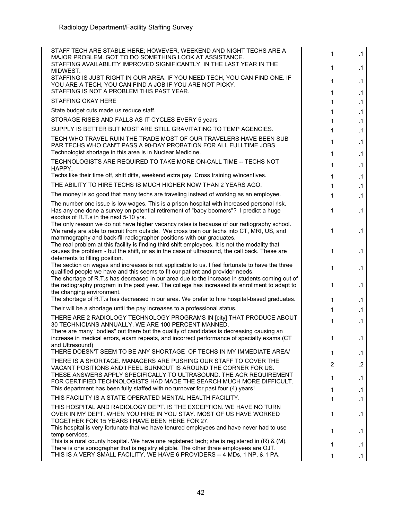| STAFF TECH ARE STABLE HERE; HOWEVER, WEEKEND AND NIGHT TECHS ARE A<br>MAJOR PROBLEM. GOT TO DO SOMETHING LOOK AT ASSISTANCE.<br>STAFFING AVAILABILITY IMPROVED SIGNIFICANTLY IN THE LAST YEAR IN THE                                                            | 1<br>1            | $\cdot$ 1<br>.1 |
|-----------------------------------------------------------------------------------------------------------------------------------------------------------------------------------------------------------------------------------------------------------------|-------------------|-----------------|
| MIDWEST.<br>STAFFING IS JUST RIGHT IN OUR AREA. IF YOU NEED TECH, YOU CAN FIND ONE. IF<br>YOU ARE A TECH, YOU CAN FIND A JOB IF YOU ARE NOT PICKY.<br>STAFFING IS NOT A PROBLEM THIS PAST YEAR.                                                                 | $\mathbf 1$       | $\cdot$ 1       |
| STAFFING OKAY HERE                                                                                                                                                                                                                                              | $\mathbf 1$       | .1              |
| State budget cuts made us reduce staff.                                                                                                                                                                                                                         | $\mathbf{1}$      | $\cdot$ 1       |
| STORAGE RISES AND FALLS AS IT CYCLES EVERY 5 years                                                                                                                                                                                                              | $\mathbf 1$       | .1              |
| SUPPLY IS BETTER BUT MOST ARE STILL GRAVITATING TO TEMP AGENCIES.                                                                                                                                                                                               | 1                 | $\cdot$ 1       |
| TECH WHO TRAVEL RUIN THE TRADE MOST OF OUR TRAVELERS HAVE BEEN SUB                                                                                                                                                                                              | 1                 | $\cdot$ 1       |
| PAR TECHS WHO CAN'T PASS A 90-DAY PROBATION FOR ALL FULLTIME JOBS<br>Technologist shortage in this area is in Nuclear Medicine.                                                                                                                                 | 1<br>$\mathbf{1}$ | .1<br>$\cdot$ 1 |
| TECHNOLOGISTS ARE REQUIRED TO TAKE MORE ON-CALL TIME -- TECHS NOT                                                                                                                                                                                               |                   |                 |
| HAPPY.                                                                                                                                                                                                                                                          | $\mathbf{1}$      | .1              |
| Techs like their time off, shift diffs, weekend extra pay. Cross training w/incentives.                                                                                                                                                                         | $\mathbf 1$       | $\cdot$ 1       |
| THE ABILITY TO HIRE TECHS IS MUCH HIGHER NOW THAN 2 YEARS AGO.                                                                                                                                                                                                  | 1                 | $\cdot$ 1       |
| The money is so good that many techs are traveling instead of working as an employee.                                                                                                                                                                           | $\mathbf{1}$      | $\cdot$ 1       |
| The number one issue is low wages. This is a prison hospital with increased personal risk.<br>Has any one done a survey on potential retirement of "baby boomers"? I predict a huge<br>exodus of R.T.s in the next 5-10 yrs.                                    | 1                 | .1              |
| The only reason we do not have higher vacancy rates is because of our radiography school.<br>We rarely are able to recruit from outside. We cross train our techs into CT, MRI, US, and<br>mammography and back-fill radiographer positions with our graduates. | 1                 | $\cdot$ 1       |
| The real problem at this facility is finding third shift employees. It is not the modality that<br>causes the problem - but the shift, or as in the case of ultrasound, the call back. These are<br>deterrents to filling position.                             | 1                 | .1              |
| The section on wages and increases is not applicable to us. I feel fortunate to have the three<br>qualified people we have and this seems to fit our patient and provider needs.                                                                                | 1                 | .1              |
| The shortage of R.T.s has decreased in our area due to the increase in students coming out of<br>the radiography program in the past year. The college has increased its enrollment to adapt to<br>the changing environment.                                    | 1                 | .1              |
| The shortage of R.T.s has decreased in our area. We prefer to hire hospital-based graduates.                                                                                                                                                                    | 1                 | .1              |
| Their will be a shortage until the pay increases to a professional status.                                                                                                                                                                                      | $\mathbf 1$       | $\cdot$ 1       |
| THERE ARE 2 RADIOLOGY TECHNOLOGY PROGRAMS IN [city] THAT PRODUCE ABOUT<br>30 TECHNICIANS ANNUALLY, WE ARE 100 PERCENT MANNED.                                                                                                                                   | 1                 | .1              |
| There are many "bodies" out there but the quality of candidates is decreasing causing an                                                                                                                                                                        |                   |                 |
| increase in medical errors, exam repeats, and incorrect performance of specialty exams (CT<br>and Ultrasound)                                                                                                                                                   | 1                 | .1              |
| THERE DOESN'T SEEM TO BE ANY SHORTAGE OF TECHS IN MY IMMEDIATE AREA/                                                                                                                                                                                            | 1.                | $\cdot$ 1       |
| THERE IS A SHORTAGE. MANAGERS ARE PUSHING OUR STAFF TO COVER THE<br>VACANT POSITIONS AND I FEEL BURNOUT IS AROUND THE CORNER FOR US.                                                                                                                            | 2                 | $.2\phantom{0}$ |
| THESE ANSWERS APPLY SPECIFICALLY TO ULTRASOUND. THE ACR REQUIREMENT<br>FOR CERTIFIED TECHNOLOGISTS HAD MADE THE SEARCH MUCH MORE DIFFICULT.                                                                                                                     | 1                 | .1              |
| This department has been fully staffed with no turnover for past four (4) years!                                                                                                                                                                                | 1                 | $\cdot$ 1       |
| THIS FACILITY IS A STATE OPERATED MENTAL HEALTH FACILITY.                                                                                                                                                                                                       | 1                 | $\cdot$ 1       |
| THIS HOSPITAL AND RADIOLOGY DEPT. IS THE EXCEPTION. WE HAVE NO TURN<br>OVER IN MY DEPT. WHEN YOU HIRE IN YOU STAY. MOST OF US HAVE WORKED                                                                                                                       | 1                 | .1              |
| TOGETHER FOR 15 YEARS I HAVE BEEN HERE FOR 27.<br>This hospital is very fortunate that we have tenured employees and have never had to use<br>temp services.                                                                                                    | 1                 | $\cdot$ 1       |
| This is a rural county hospital. We have one registered tech; she is registered in $(R)$ & $(M)$ .                                                                                                                                                              | 1                 | $\cdot$ 1       |
| There is one sonographer that is registry eligible. The other three employees are OJT.<br>THIS IS A VERY SMALL FACILITY. WE HAVE 6 PROVIDERS -- 4 MDs, 1 NP, & 1 PA.                                                                                            | 1                 | $\cdot$ 1       |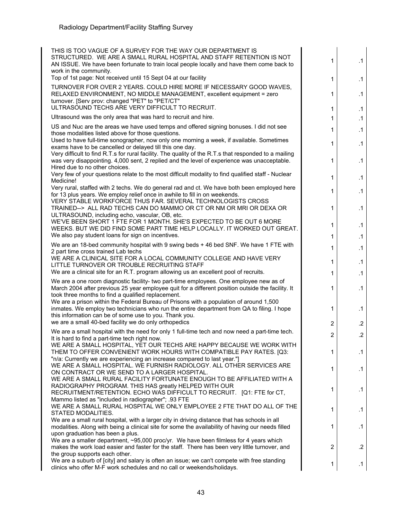| THIS IS TOO VAGUE OF A SURVEY FOR THE WAY OUR DEPARTMENT IS<br>STRUCTURED. WE ARE A SMALL RURAL HOSPITAL AND STAFF RETENTION IS NOT<br>AN ISSUE. We have been fortunate to train local people locally and have them come back to<br>work in the community.<br>Top of 1st page: Not received until 15 Sept 04 at our facility | 1              | $\cdot$ 1              |
|------------------------------------------------------------------------------------------------------------------------------------------------------------------------------------------------------------------------------------------------------------------------------------------------------------------------------|----------------|------------------------|
| TURNOVER FOR OVER 2 YEARS. COULD HIRE MORE IF NECESSARY GOOD WAVES,                                                                                                                                                                                                                                                          | 1              | $\cdot$ 1              |
| RELAXED ENVIRONMENT, NO MIDDLE MANAGEMENT, excellent equipment = zero<br>turnover. [Serv prov: changed "PET" to "PET/CT"<br>ULTRASOUND TECHS ARE VERY DIFFICULT TO RECRUIT.                                                                                                                                                  | 1              | .1                     |
| Ultrasound was the only area that was hard to recruit and hire.                                                                                                                                                                                                                                                              | 1<br>1         | $\cdot$ 1<br>$\cdot$ 1 |
| US and Nuc are the areas we have used temps and offered signing bonuses. I did not see                                                                                                                                                                                                                                       |                |                        |
| those modalities listed above for those questions.<br>Used to have full-time sonographer, now only one morning a week, if available. Sometimes                                                                                                                                                                               | 1<br>1         | $\cdot$ 1<br>.1        |
| exams have to be cancelled or delayed till this one day.<br>Very difficult to find R.T.s for rural facility. The quality of the R.T.s that responded to a mailing<br>was very disappointing. 4,000 sent, 2 replied and the level of experience was unacceptable.<br>Hired due to no other choices.                           | 1              | .1                     |
| Very few of your questions relate to the most difficult modality to find qualified staff - Nuclear<br>Medicine!                                                                                                                                                                                                              | 1              | .1                     |
| Very rural, staffed with 2 techs. We do general rad and ct. We have both been employed here<br>for 13 plus years. We employ relief once in awhile to fill in on weekends.                                                                                                                                                    | 1              | $\cdot$ 1              |
| VERY STABLE WORKFORCE THUS FAR. SEVERAL TECHNOLOGISTS CROSS<br>TRAINED--> ALL RAD TECHS CAN DO MAMMO OR CT OR NM OR MRI OR DEXA OR<br>ULTRASOUND, including echo, vascular, OB, etc.                                                                                                                                         | 1              | .1                     |
| WE'VE BEEN SHORT 1 FTE FOR 1 MONTH. SHE'S EXPECTED TO BE OUT 6 MORE<br>WEEKS. BUT WE DID FIND SOME PART TIME HELP LOCALLY. IT WORKED OUT GREAT.                                                                                                                                                                              | 1              | $\cdot$ 1              |
| We also pay student loans for sign on incentives.                                                                                                                                                                                                                                                                            | 1              | $\cdot$ 1              |
| We are an 18-bed community hospital with 9 swing beds + 46 bed SNF. We have 1 FTE with<br>2 part time cross trained Lab techs                                                                                                                                                                                                | 1              | $\cdot$ 1              |
| WE ARE A CLINICAL SITE FOR A LOCAL COMMUNITY COLLEGE AND HAVE VERY<br>LITTLE TURNOVER OR TROUBLE RECRUITING STAFF                                                                                                                                                                                                            | 1              | $\cdot$ 1              |
| We are a clinical site for an R.T. program allowing us an excellent pool of recruits.                                                                                                                                                                                                                                        | 1              | $\cdot$ 1              |
| We are a one room diagnostic facility- two part-time employees. One employee new as of<br>March 2004 after previous 25 year employee quit for a different position outside the facility. It<br>took three months to find a qualified replacement.                                                                            | 1              | $\cdot$ 1              |
| We are a prison within the Federal Bureau of Prisons with a population of around 1,500<br>inmates. We employ two technicians who run the entire department from QA to filing. I hope<br>this information can be of some use to you. Thank you.                                                                               | 1              | .1                     |
| we are a small 40-bed facility we do only orthopedics                                                                                                                                                                                                                                                                        | $\overline{c}$ | $.2\phantom{0}$        |
| We are a small hospital with the need for only 1 full-time tech and now need a part-time tech.                                                                                                                                                                                                                               | $\overline{2}$ | $.2\phantom{0}$        |
| It is hard to find a part-time tech right now.<br>WE ARE A SMALL HOSPITAL, YET OUR TECHS ARE HAPPY BECAUSE WE WORK WITH<br>THEM TO OFFER CONVENIENT WORK HOURS WITH COMPATIBLE PAY RATES. [Q3:                                                                                                                               | 1              | .1                     |
| "n/a: Currently we are experiencing an increase compared to last year."]<br>WE ARE A SMALL HOSPITAL. WE FURNISH RADIOLOGY. ALL OTHER SERVICES ARE<br>ON CONTRACT OR WE SEND TO A LARGER HOSPITAL.                                                                                                                            | 1              | .1                     |
| WE ARE A SMALL RURAL FACILITY FORTUNATE ENOUGH TO BE AFFILIATED WITH A<br>RADIOGRAPHY PROGRAM. THIS HAS greatly HELPED WITH OUR<br>RECRUITMENT/RETENTION. ECHO WAS DIFFICULT TO RECRUIT. [Q1: FTE for CT,                                                                                                                    | 1              | .1                     |
| Mammo listed as "included in radiographer"; .93 FTE<br>WE ARE A SMALL RURAL HOSPITAL WE ONLY EMPLOYEE 2 FTE THAT DO ALL OF THE                                                                                                                                                                                               | 1              | $\cdot$ 1              |
| STATED MODALITIES.<br>We are a small rural hospital, with a larger city in driving distance that has schools in all                                                                                                                                                                                                          |                |                        |
| modalities. Along with being a clinical site for some the availability of having our needs filled<br>upon graduation has been a plus.                                                                                                                                                                                        | 1              | .1                     |
| We are a smaller department, ~95,000 proc/yr. We have been filmless for 4 years which<br>makes the work load easier and faster for the staff. There has been very little turnover, and<br>the group supports each other.                                                                                                     | $\overline{c}$ | $\cdot$                |
| We are a suburb of [city] and salary is often an issue; we can't compete with free standing<br>clinics who offer M-F work schedules and no call or weekends/holidays.                                                                                                                                                        | 1              | $\cdot$ 1              |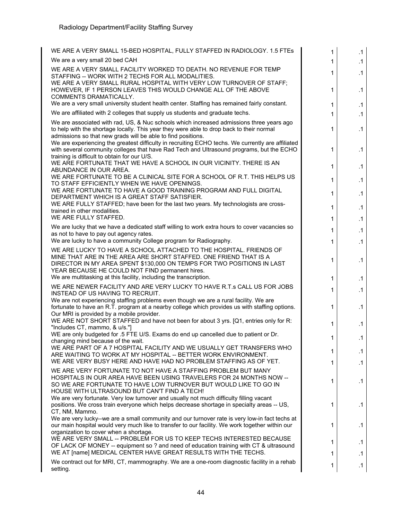| WE ARE A VERY SMALL 15-BED HOSPITAL, FULLY STAFFED IN RADIOLOGY. 1.5 FTES                                                                                                                                                                                            | 1  | .1        |
|----------------------------------------------------------------------------------------------------------------------------------------------------------------------------------------------------------------------------------------------------------------------|----|-----------|
| We are a very small 20 bed CAH                                                                                                                                                                                                                                       | 1  | $\cdot$ 1 |
| WE ARE A VERY SMALL FACILITY WORKED TO DEATH. NO REVENUE FOR TEMP<br>STAFFING -- WORK WITH 2 TECHS FOR ALL MODALITIES.                                                                                                                                               | 1  | .1        |
| WE ARE A VERY SMALL RURAL HOSPITAL WITH VERY LOW TURNOVER OF STAFF;<br>HOWEVER, IF 1 PERSON LEAVES THIS WOULD CHANGE ALL OF THE ABOVE<br>COMMENTS DRAMATICALLY.                                                                                                      | 1  | .1        |
| We are a very small university student health center. Staffing has remained fairly constant.                                                                                                                                                                         | 1  | $\cdot$ 1 |
| We are affiliated with 2 colleges that supply us students and graduate techs.                                                                                                                                                                                        | 1  | $\cdot$ 1 |
| We are associated with rad, US, & Nuc schools which increased admissions three years ago<br>to help with the shortage locally. This year they were able to drop back to their normal<br>admissions so that new grads will be able to find positions.                 | 1  | .1        |
| We are experiencing the greatest difficulty in recruiting ECHO techs. We currently are affiliated<br>with several community colleges that have Rad Tech and Ultrasound programs, but the ECHO<br>training is difficult to obtain for our U/S.                        | 1  | .1        |
| WE ARE FORTUNATE THAT WE HAVE A SCHOOL IN OUR VICINITY. THERE IS AN<br>ABUNDANCE IN OUR AREA.                                                                                                                                                                        | 1  | $\cdot$ 1 |
| WE ARE FORTUNATE TO BE A CLINICAL SITE FOR A SCHOOL OF R.T. THIS HELPS US<br>TO STAFF EFFICIENTLY WHEN WE HAVE OPENINGS.                                                                                                                                             | 1  | .1        |
| WE ARE FORTUNATE TO HAVE A GOOD TRAINING PROGRAM AND FULL DIGITAL<br>DEPARTMENT WHICH IS A GREAT STAFF SATISFIER.                                                                                                                                                    | 1  | .1        |
| WE ARE FULLY STAFFED; have been for the last two years. My technologists are cross-<br>trained in other modalities.                                                                                                                                                  | 1  | .1        |
| WE ARE FULLY STAFFED.                                                                                                                                                                                                                                                | 1  | $\cdot$ 1 |
| We are lucky that we have a dedicated staff willing to work extra hours to cover vacancies so<br>as not to have to pay out agency rates.                                                                                                                             | 1  | $\cdot$ 1 |
| We are lucky to have a community College program for Radiography.                                                                                                                                                                                                    | 1  | .1        |
| WE ARE LUCKY TO HAVE A SCHOOL ATTACHED TO THE HOSPITAL. FRIENDS OF<br>MINE THAT ARE IN THE AREA ARE SHORT STAFFED. ONE FRIEND THAT IS A<br>DIRECTOR IN MY AREA SPENT \$130,000 ON TEMPS FOR TWO POSITIONS IN LAST<br>YEAR BECAUSE HE COULD NOT FIND permanent hires. | 1  | $\cdot$ 1 |
| We are multitasking at this facility, including the transcription.                                                                                                                                                                                                   | 1  | .1        |
| WE ARE NEWER FACILITY AND ARE VERY LUCKY TO HAVE R.T.s CALL US FOR JOBS<br>INSTEAD OF US HAVING TO RECRUIT.                                                                                                                                                          | 1  | .1        |
| We are not experiencing staffing problems even though we are a rural facility. We are<br>fortunate to have an R.T. program at a nearby college which provides us with staffing options.<br>Our MRI is provided by a mobile provider.                                 | 1  | $\cdot$ 1 |
| WE ARE NOT SHORT STAFFED and have not been for about 3 yrs. [Q1, entries only for R:<br>"Includes CT, mammo, & u/s."]                                                                                                                                                | 1  | $\cdot$ 1 |
| WE are only budgeted for .5 FTE U/S. Exams do end up cancelled due to patient or Dr.<br>changing mind because of the wait.                                                                                                                                           | 1. | $\cdot$ 1 |
| WE ARE PART OF A 7 HOSPITAL FACILITY AND WE USUALLY GET TRANSFERS WHO<br>ARE WAITING TO WORK AT MY HOSPITAL -- BETTER WORK ENVIRONMENT.                                                                                                                              | 1  | $\cdot$ 1 |
| WE ARE VERY BUSY HERE AND HAVE HAD NO PROBLEM STAFFING AS OF YET.                                                                                                                                                                                                    | 1  | $\cdot$ 1 |
| WE ARE VERY FORTUNATE TO NOT HAVE A STAFFING PROBLEM BUT MANY<br>HOSPITALS IN OUR AREA HAVE BEEN USING TRAVELERS FOR 24 MONTHS NOW --<br>SO WE ARE FORTUNATE TO HAVE LOW TURNOVER BUT WOULD LIKE TO GO IN                                                            | 1  | .1        |
| HOUSE WITH ULTRASOUND BUT CAN'T FIND A TECH!<br>We are very fortunate. Very low turnover and usually not much difficulty filling vacant<br>positions. We cross train everyone which helps decrease shortage in specialty areas -- US,<br>CT, NM, Mammo.              | 1  | .1        |
| We are very lucky--we are a small community and our turnover rate is very low-in fact techs at<br>our main hospital would very much like to transfer to our facility. We work together within our<br>organization to cover when a shortage.                          | 1  | $\cdot$ 1 |
| WE ARE VERY SMALL -- PROBLEM FOR US TO KEEP TECHS INTERESTED BECAUSE<br>OF LACK OF MONEY -- equipment so ? and need of education training with CT & ultrasound                                                                                                       | 1  | .1        |
| WE AT [name] MEDICAL CENTER HAVE GREAT RESULTS WITH THE TECHS.                                                                                                                                                                                                       | 1  | .1        |
| We contract out for MRI, CT, mammography. We are a one-room diagnostic facility in a rehab<br>setting.                                                                                                                                                               | 1  | $\cdot$ 1 |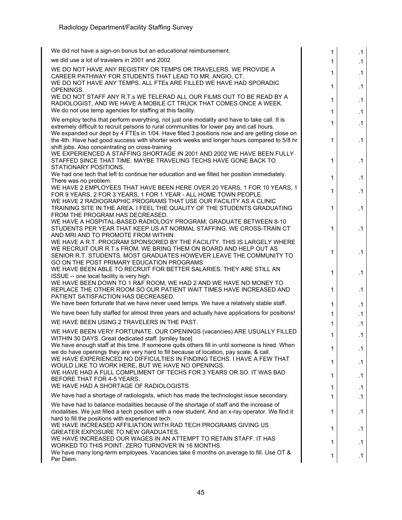| We did not have a sign-on bonus but an educational reimbursement.                                                                                                                                                                                                                        | 1            | $\cdot$ 1 |
|------------------------------------------------------------------------------------------------------------------------------------------------------------------------------------------------------------------------------------------------------------------------------------------|--------------|-----------|
| we did use a lot of travelers in 2001 and 2002                                                                                                                                                                                                                                           | 1            | .1        |
| WE DO NOT HAVE ANY REGISTRY OR TEMPS OR TRAVELERS. WE PROVIDE A<br>CAREER PATHWAY FOR STUDENTS THAT LEAD TO MR, ANGIO, CT.                                                                                                                                                               | 1            | .1        |
| WE DO NOT HAVE ANY TEMPS. ALL FTES ARE FILLED WE HAVE HAD SPORADIC<br>OPENINGS.<br>WE DO NOT STAFF ANY R.T.s WE TELERAD ALL OUR FILMS OUT TO BE READ BY A                                                                                                                                | 1            | .1        |
| RADIOLOGIST, AND WE HAVE A MOBILE CT TRUCK THAT COMES ONCE A WEEK.<br>We do not use temp agencies for staffing at this facility.                                                                                                                                                         | 1            | .1        |
|                                                                                                                                                                                                                                                                                          | $\mathbf 1$  | $\cdot$ 1 |
| We employ techs that perform everything, not just one modality and have to take call. It is<br>extremely difficult to recruit persons to rural communities for lower pay and call hours.<br>We expanded our dept by 4 FTEs in 1/04. Have filled 3 positions now and are getting close on | $\mathbf{1}$ | $\cdot$ 1 |
| the 4th. Have had good success with shorter work weeks and longer hours compared to 5/8 hr<br>shift jobs. Also concentrating on cross-training                                                                                                                                           | 1            | .1        |
| WE EXPERIENCED A STAFFING SHORTAGE IN 2001 AND 2002 WE HAVE BEEN FULLY<br>STAFFED SINCE THAT TIME. MAYBE TRAVELING TECHS HAVE GONE BACK TO<br>STATIONARY POSITIONS.                                                                                                                      | 1            | $\cdot$ 1 |
| We had one tech that left to continue her education and we filled her position immediately.<br>There was no problem.                                                                                                                                                                     | 1            | .1        |
| WE HAVE 2 EMPLOYEES THAT HAVE BEEN HERE OVER 20 YEARS, 1 FOR 10 YEARS, 1<br>FOR 9 YEARS, 2 FOR 3 YEARS, 1 FOR 1 YEAR - ALL HOME TOWN PEOPLE.                                                                                                                                             | 1            | .1        |
| WE HAVE 2 RADIOGRAPHIC PROGRAMS THAT USE OUR FACILITY AS A CLINIC<br>TRAINING SITE IN THE AREA. I FEEL THE QUALITY OF THE STUDENTS GRADUATING<br>FROM THE PROGRAM HAS DECREASED.                                                                                                         | 1            | .1        |
| WE HAVE A HOSPITAL-BASED RADIOLOGY PROGRAM; GRADUATE BETWEEN 8-10<br>STUDENTS PER YEAR THAT KEEP US AT NORMAL STAFFING. WE CROSS-TRAIN CT<br>AND MRI AND TO PROMOTE FROM WITHIN.                                                                                                         | 1            | .1        |
| WE HAVE A R.T. PROGRAM SPONSORED BY THE FACILITY. THIS IS LARGELY WHERE<br>WE RECRUIT OUR R.T.s FROM. WE BRING THEM ON BOARD AND HELP OUT AS<br>SENIOR R.T. STUDENTS. MOST GRADUATES HOWEVER LEAVE THE COMMUNITY TO                                                                      | 1            | .1        |
| GO ON THE POST PRIMARY EDUCATION PROGRAMS<br>WE HAVE BEEN ABLE TO RECRUIT FOR BETTER SALARIES. THEY ARE STILL AN<br>ISSUE -- one local facility is very high.                                                                                                                            | 1            | .1        |
| WE HAVE BEEN DOWN TO 1 R&F ROOM, WE HAD 2 AND WE HAVE NO MONEY TO<br>REPLACE THE OTHER ROOM SO OUR PATIENT WAIT TIMES HAVE INCREASED AND<br>PATIENT SATISFACTION HAS DECREASED.                                                                                                          | 1            | .1        |
| We have been fortunate that we have never used temps. We have a relatively stable staff.                                                                                                                                                                                                 | $\mathbf 1$  | .1        |
| We have been fully staffed for almost three years and actually have applications for positions!                                                                                                                                                                                          | $\mathbf{1}$ | $\cdot$ 1 |
| WE HAVE BEEN USING 2 TRAVELERS IN THE PAST.                                                                                                                                                                                                                                              | 1            | .1        |
| WE HAVE BEEN VERY FORTUNATE. OUR OPENINGS (vacancies) ARE USUALLY FILLED<br>WITHIN 30 DAYS. Great dedicated staff. [smiley face]                                                                                                                                                         | 1            | .1        |
| We have enough staff at this time. If someone quits others fill in until someone is hired. When<br>we do have openings they are very hard to fill because of location, pay scale, & call.<br>WE HAVE EXPERIENCED NO DIFFICULTIES IN FINDING TECHS. I HAVE A FEW THAT                     | 1            | $\cdot$ 1 |
| WOULD LIKE TO WORK HERE, BUT WE HAVE NO OPENINGS.<br>WE HAVE HAD A FULL COMPLIMENT OF TECHS FOR 3 YEARS OR SO. IT WAS BAD                                                                                                                                                                | 1            | $\cdot$ 1 |
| BEFORE THAT FOR 4-5 YEARS.<br>WE HAVE HAD A SHORTAGE OF RADIOLOGISTS                                                                                                                                                                                                                     | 1            | $\cdot$ 1 |
| We have had a shortage of radiologists, which has made the technologist issue secondary.                                                                                                                                                                                                 | 1            | $\cdot$ 1 |
| We have had to balance modalities because of the shortage of staff and the increase of                                                                                                                                                                                                   | 1            | .1        |
| modalities. We just filled a tech position with a new student. And an x-ray operator. We find it<br>hard to fill the positions with experienced tech.                                                                                                                                    | 1            | .1        |
| WE HAVE INCREASED AFFILIATION WITH RAD TECH PROGRAMS GIVING US<br>GREATER EXPOSURE TO NEW GRADUATES.                                                                                                                                                                                     | 1            | $\cdot$ 1 |
| WE HAVE INCREASED OUR WAGES IN AN ATTEMPT TO RETAIN STAFF. IT HAS<br>WORKED TO THIS POINT. ZERO TURNOVER IN 16 MONTHS.                                                                                                                                                                   | 1            | .1        |
| We have many long-term employees. Vacancies take 6 months on average to fill. Use OT &<br>Per Diem.                                                                                                                                                                                      | 1.           | $\cdot$ 1 |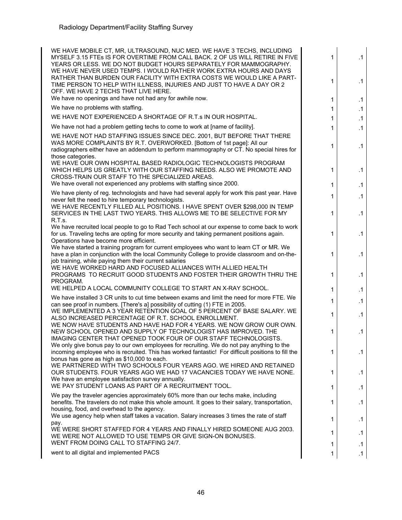| WE HAVE MOBILE CT, MR, ULTRASOUND, NUC MED. WE HAVE 3 TECHS, INCLUDING<br>MYSELF 3.15 FTEs IS FOR OVERTIME FROM CALL BACK. 2 OF US WILL RETIRE IN FIVE<br>YEARS OR LESS. WE DO NOT BUDGET HOURS SEPARATELY FOR MAMMOGRAPHY.<br>WE HAVE NEVER USED TEMPS. I WOULD RATHER WORK EXTRA HOURS AND DAYS                             | 1      | $\cdot$ 1              |
|-------------------------------------------------------------------------------------------------------------------------------------------------------------------------------------------------------------------------------------------------------------------------------------------------------------------------------|--------|------------------------|
| RATHER THAN BURDEN OUR FACILITY WITH EXTRA COSTS WE WOULD LIKE A PART-<br>TIME PERSON TO HELP WITH ILLNESS, INJURIES AND JUST TO HAVE A DAY OR 2<br>OFF. WE HAVE 2 TECHS THAT LIVE HERE.<br>We have no openings and have not had any for awhile now.                                                                          | 1      | $\cdot$ 1              |
| We have no problems with staffing.                                                                                                                                                                                                                                                                                            | 1      | $\cdot$ 1              |
| WE HAVE NOT EXPERIENCED A SHORTAGE OF R.T.S IN OUR HOSPITAL.                                                                                                                                                                                                                                                                  | 1      | $\cdot$ 1              |
|                                                                                                                                                                                                                                                                                                                               | 1      | $\cdot$ 1              |
| We have not had a problem getting techs to come to work at [name of facility].<br>WE HAVE NOT HAD STAFFING ISSUES SINCE DEC. 2001, BUT BEFORE THAT THERE<br>WAS MORE COMPLAINTS BY R.T. OVERWORKED. [Bottom of 1st page]: All our<br>radiographers either have an addendum to perform mammography or CT. No special hires for | 1<br>1 | $\cdot$ 1<br>$\cdot$ 1 |
| those categories.<br>WE HAVE OUR OWN HOSPITAL BASED RADIOLOGIC TECHNOLOGISTS PROGRAM<br>WHICH HELPS US GREATLY WITH OUR STAFFING NEEDS. ALSO WE PROMOTE AND<br>CROSS-TRAIN OUR STAFF TO THE SPECIALIZED AREAS.<br>We have overall not experienced any problems with staffing since 2000.                                      | 1      | $\cdot$ 1              |
| We have plenty of reg. technologists and have had several apply for work this past year. Have                                                                                                                                                                                                                                 | 1      | $\cdot$ 1              |
| never felt the need to hire temporary technologists.<br>WE HAVE RECENTLY FILLED ALL POSITIONS. I HAVE SPENT OVER \$298,000 IN TEMP                                                                                                                                                                                            | 1      | $\cdot$ 1              |
| SERVICES IN THE LAST TWO YEARS. THIS ALLOWS ME TO BE SELECTIVE FOR MY<br>R.T.s.                                                                                                                                                                                                                                               | 1      | $\cdot$ 1              |
| We have recruited local people to go to Rad Tech school at our expense to come back to work<br>for us. Traveling techs are opting for more security and taking permanent positions again.<br>Operations have become more efficient.                                                                                           | 1      | $\cdot$ 1              |
| We have started a training program for current employees who want to learn CT or MR. We<br>have a plan in conjunction with the local Community College to provide classroom and on-the-<br>job training, while paying them their current salaries                                                                             | 1      | $\cdot$ 1              |
| WE HAVE WORKED HARD AND FOCUSED ALLIANCES WITH ALLIED HEALTH<br>PROGRAMS TO RECRUIT GOOD STUDENTS AND FOSTER THEIR GROWTH THRU THE<br>PROGRAM.                                                                                                                                                                                | 1      | $\cdot$ 1              |
| WE HELPED A LOCAL COMMUNITY COLLEGE TO START AN X-RAY SCHOOL.                                                                                                                                                                                                                                                                 | 1      | $\cdot$ 1              |
| We have installed 3 CR units to cut time between exams and limit the need for more FTE. We<br>can see proof in numbers. [There's a] possibility of cutting (1) FTE in 2005.                                                                                                                                                   | 1      | $\cdot$ 1              |
| WE IMPLEMENTED A 3 YEAR RETENTION GOAL OF 5 PERCENT OF BASE SALARY. WE                                                                                                                                                                                                                                                        | 1      | $\cdot$ 1              |
| ALSO INCREASED PERCENTAGE OF R.T. SCHOOL ENROLLMENT.<br>WE NOW HAVE STUDENTS AND HAVE HAD FOR 4 YEARS. WE NOW GROW OUR OWN.<br>NEW SCHOOL OPENED AND SUPPLY OF TECHNOLOGIST HAS IMPROVED. THE<br>IMAGING CENTER THAT OPENED TOOK FOUR OF OUR STAFF TECHNOLOGISTS.                                                             | 1      | $\cdot$ 1              |
| We only give bonus pay to our own employees for recruiting. We do not pay anything to the<br>incoming employee who is recruited. This has worked fantastic! For difficult positions to fill the<br>bonus has gone as high as \$10,000 to each.                                                                                | 1      | $\cdot$ 1              |
| WE PARTNERED WITH TWO SCHOOLS FOUR YEARS AGO. WE HIRED AND RETAINED<br>OUR STUDENTS. FOUR YEARS AGO WE HAD 17 VACANCIES TODAY WE HAVE NONE.<br>We have an employee satisfaction survey annually.                                                                                                                              | 1      | $\cdot$ 1              |
| WE PAY STUDENT LOANS AS PART OF A RECRUITMENT TOOL.                                                                                                                                                                                                                                                                           | 1      | $\cdot$ 1              |
| We pay the traveler agencies approximately 60% more than our techs make, including<br>benefits. The travelers do not make this whole amount. It goes to their salary, transportation,<br>housing, food, and overhead to the agency.                                                                                           | 1      | $\cdot$ 1              |
| We use agency help when staff takes a vacation. Salary increases 3 times the rate of staff<br>pay.                                                                                                                                                                                                                            | 1      | $\cdot$ 1              |
| WE WERE SHORT STAFFED FOR 4 YEARS AND FINALLY HIRED SOMEONE AUG 2003.<br>WE WERE NOT ALLOWED TO USE TEMPS OR GIVE SIGN-ON BONUSES.                                                                                                                                                                                            | 1      | $\cdot$ 1              |
| WENT FROM DOING CALL TO STAFFING 24/7.                                                                                                                                                                                                                                                                                        | 1      | $\cdot$ 1              |
| went to all digital and implemented PACS                                                                                                                                                                                                                                                                                      |        | $\cdot$ 1              |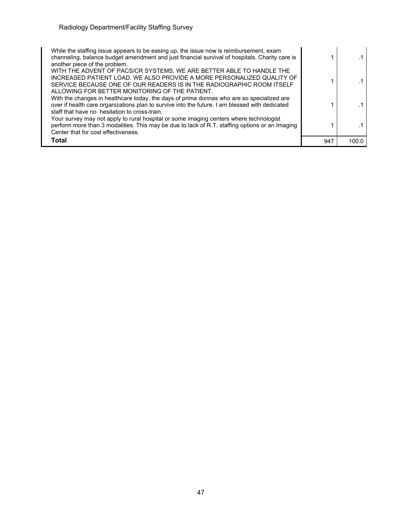| While the staffing issue appears to be easing up, the issue now is reimbursement, exam<br>channeling, balance budget amendment and just financial survival of hospitals. Charity care is<br>another piece of the problem.                                                 |     |       |
|---------------------------------------------------------------------------------------------------------------------------------------------------------------------------------------------------------------------------------------------------------------------------|-----|-------|
| WITH THE ADVENT OF PACS/CR SYSTEMS, WE ARE BETTER ABLE TO HANDLE THE<br>INCREASED PATIENT LOAD. WE ALSO PROVIDE A MORE PERSONALIZED QUALITY OF<br>SERVICE BECAUSE ONE OF OUR READERS IS IN THE RADIOGRAPHIC ROOM ITSELF<br>ALLOWING FOR BETTER MONITORING OF THE PATIENT. |     |       |
| With the changes in healthcare today, the days of prima donnas who are so specialized are<br>over if health care organizations plan to survive into the future. I am blessed with dedicated<br>staff that have no hesitation to cross-train.                              |     |       |
| Your survey may not apply to rural hospital or some imaging centers where technologist<br>perform more than 3 modalities. This may be due to lack of R.T. staffing options or an Imaging<br>Center that for cost effectiveness.                                           |     |       |
| Total                                                                                                                                                                                                                                                                     | 947 | 100.0 |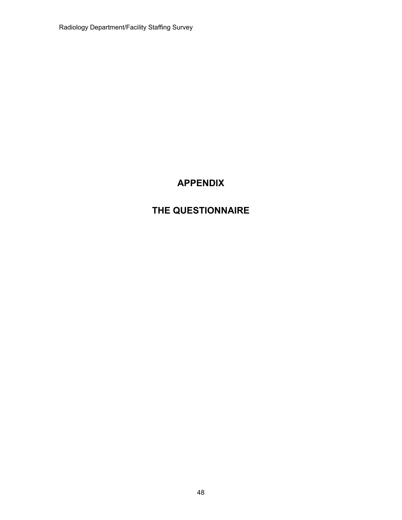Radiology Department/Facility Staffing Survey

## **APPENDIX**

## **THE QUESTIONNAIRE**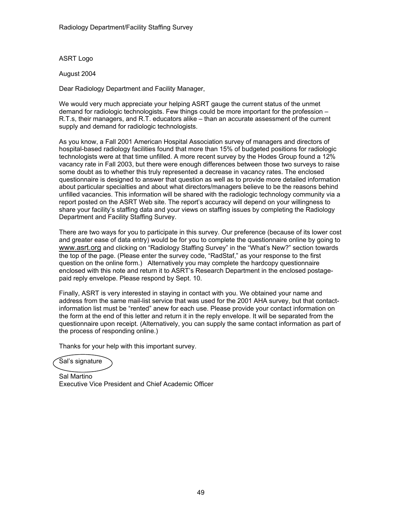ASRT Logo

August 2004

Dear Radiology Department and Facility Manager,

We would very much appreciate your helping ASRT gauge the current status of the unmet demand for radiologic technologists. Few things could be more important for the profession – R.T.s, their managers, and R.T. educators alike – than an accurate assessment of the current supply and demand for radiologic technologists.

As you know, a Fall 2001 American Hospital Association survey of managers and directors of hospital-based radiology facilities found that more than 15% of budgeted positions for radiologic technologists were at that time unfilled. A more recent survey by the Hodes Group found a 12% vacancy rate in Fall 2003, but there were enough differences between those two surveys to raise some doubt as to whether this truly represented a decrease in vacancy rates. The enclosed questionnaire is designed to answer that question as well as to provide more detailed information about particular specialties and about what directors/managers believe to be the reasons behind unfilled vacancies. This information will be shared with the radiologic technology community via a report posted on the ASRT Web site. The report's accuracy will depend on your willingness to share your facility's staffing data and your views on staffing issues by completing the Radiology Department and Facility Staffing Survey.

There are two ways for you to participate in this survey. Our preference (because of its lower cost and greater ease of data entry) would be for you to complete the questionnaire online by going to www.asrt.org and clicking on "Radiology Staffing Survey" in the "What's New?" section towards the top of the page. (Please enter the survey code, "RadStaf," as your response to the first question on the online form.) Alternatively you may complete the hardcopy questionnaire enclosed with this note and return it to ASRT's Research Department in the enclosed postagepaid reply envelope. Please respond by Sept. 10.

Finally, ASRT is very interested in staying in contact with you. We obtained your name and address from the same mail-list service that was used for the 2001 AHA survey, but that contactinformation list must be "rented" anew for each use. Please provide your contact information on the form at the end of this letter and return it in the reply envelope. It will be separated from the questionnaire upon receipt. (Alternatively, you can supply the same contact information as part of the process of responding online.)

Thanks for your help with this important survey.

Sal's signature

Sal Martino Executive Vice President and Chief Academic Officer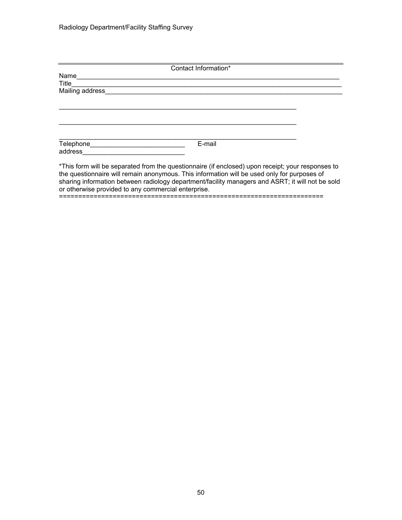|                               | Contact Information*                                                                              |  |
|-------------------------------|---------------------------------------------------------------------------------------------------|--|
| Name                          |                                                                                                   |  |
| Title                         |                                                                                                   |  |
| Mailing address               |                                                                                                   |  |
|                               |                                                                                                   |  |
|                               |                                                                                                   |  |
|                               |                                                                                                   |  |
|                               |                                                                                                   |  |
|                               |                                                                                                   |  |
|                               |                                                                                                   |  |
| <b>Telephone Example 2019</b> | E-mail                                                                                            |  |
| address                       |                                                                                                   |  |
|                               |                                                                                                   |  |
|                               | *This form will be separated from the questionnaire (if enclosed) upon receipt; your responses to |  |
|                               | the questionnaire will remain anonymous. This information will be used only for purposes of       |  |
|                               | sharing information between radiology department/facility managers and ASRT; it will not be sold  |  |

or otherwise provided to any commercial enterprise.

=====================================================================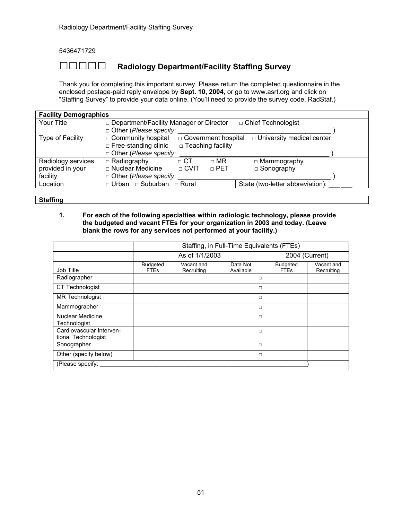5436471729

## **□□□□□ Radiology Department/Facility Staffing Survey**

Thank you for completing this important survey. Please return the completed questionnaire in the enclosed postage-paid reply envelope by **Sept. 10, 2004**, or go to www.asrt.org and click on "Staffing Survey" to provide your data online. (You'll need to provide the survey code, RadStaf.)

| <b>Facility Demographics</b> |                                                                               |                                                                   |                                  |  |  |  |  |  |
|------------------------------|-------------------------------------------------------------------------------|-------------------------------------------------------------------|----------------------------------|--|--|--|--|--|
| Your Title                   |                                                                               | □ Department/Facility Manager or Director<br>□ Chief Technologist |                                  |  |  |  |  |  |
|                              | $\Box$ Other (Please specify:                                                 |                                                                   |                                  |  |  |  |  |  |
| Type of Facility             | □ Government hospital<br>□ Community hospital                                 |                                                                   | $\Box$ University medical center |  |  |  |  |  |
|                              | $\Box$ Teaching facility<br>$\Box$ Free-standing clinic                       |                                                                   |                                  |  |  |  |  |  |
|                              | $\Box$ Other (Please specify:                                                 |                                                                   |                                  |  |  |  |  |  |
| Radiology services           | $\Box$ Radiography<br>$\sqcap$ CT                                             | $\Box$ MR                                                         | $\Box$ Mammography               |  |  |  |  |  |
| provided in your             | □ Nuclear Medicine<br>$\sqcap$ CVIT                                           | $\sqcap$ PET                                                      | $\Box$ Sonography                |  |  |  |  |  |
| facility                     | $\Box$ Other ( <i>Please specify</i> :                                        |                                                                   |                                  |  |  |  |  |  |
| Location                     | State (two-letter abbreviation):<br>$\Box$ Urban $\Box$ Suburban $\Box$ Rural |                                                                   |                                  |  |  |  |  |  |

**Staffing** 

#### **1. For each of the following specialties within radiologic technology, please provide the budgeted and vacant FTEs for your organization in 2003 and today. (Leave blank the rows for any services not performed at your facility.)**

|                                                 | Staffing, in Full-Time Equivalents (FTEs) |                                  |                       |                                |                          |  |  |
|-------------------------------------------------|-------------------------------------------|----------------------------------|-----------------------|--------------------------------|--------------------------|--|--|
|                                                 |                                           | As of 1/1/2003<br>2004 (Current) |                       |                                |                          |  |  |
| Job Title                                       | <b>Budgeted</b><br><b>FTEs</b>            | Vacant and<br>Recruiting         | Data Not<br>Available | <b>Budgeted</b><br><b>FTEs</b> | Vacant and<br>Recruiting |  |  |
| Radiographer                                    |                                           |                                  | $\Box$                |                                |                          |  |  |
| <b>CT Technologist</b>                          |                                           |                                  | $\Box$                |                                |                          |  |  |
| <b>MR Technologist</b>                          |                                           |                                  | $\Box$                |                                |                          |  |  |
| Mammographer                                    |                                           |                                  | $\Box$                |                                |                          |  |  |
| Nuclear Medicine<br>Technologist                |                                           |                                  | $\Box$                |                                |                          |  |  |
| Cardiovascular Interven-<br>tional Technologist |                                           |                                  | $\Box$                |                                |                          |  |  |
| Sonographer                                     |                                           |                                  | $\Box$                |                                |                          |  |  |
| Other (specify below)                           |                                           |                                  | $\Box$                |                                |                          |  |  |
| (Please specify:                                |                                           |                                  |                       |                                |                          |  |  |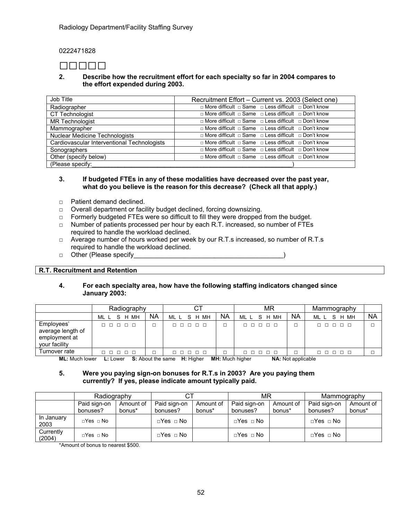0222471828

## **□□□□□**

#### **2. Describe how the recruitment effort for each specialty so far in 2004 compares to the effort expended during 2003.**

| Job Title<br>Recruitment Effort - Current vs. 2003 (Select one) |                                                                           |  |  |  |  |
|-----------------------------------------------------------------|---------------------------------------------------------------------------|--|--|--|--|
| Radiographer                                                    | $\Box$ More difficult $\Box$ Same $\Box$ Less difficult $\Box$ Don't know |  |  |  |  |
| CT Technologist                                                 | $\Box$ More difficult $\Box$ Same $\Box$ Less difficult $\Box$ Don't know |  |  |  |  |
| <b>MR Technologist</b>                                          | $\Box$ More difficult $\Box$ Same $\Box$ Less difficult $\Box$ Don't know |  |  |  |  |
| Mammographer                                                    | $\Box$ More difficult $\Box$ Same $\Box$ Less difficult $\Box$ Don't know |  |  |  |  |
| Nuclear Medicine Technologists                                  | □ More difficult □ Same □ Less difficult □ Don't know                     |  |  |  |  |
| Cardiovascular Interventional Technologists                     | $\Box$ More difficult $\Box$ Same $\Box$ Less difficult $\Box$ Don't know |  |  |  |  |
| Sonographers                                                    | □ More difficult □ Same □ Less difficult □ Don't know                     |  |  |  |  |
| Other (specify below)                                           | $\Box$ More difficult $\Box$ Same $\Box$ Less difficult $\Box$ Don't know |  |  |  |  |
| (Please specify:                                                |                                                                           |  |  |  |  |

#### **3. If budgeted FTEs in any of these modalities have decreased over the past year, what do you believe is the reason for this decrease? (Check all that apply.)**

- □ Patient demand declined.
- □ Overall department or facility budget declined, forcing downsizing.
- □ Formerly budgeted FTEs were so difficult to fill they were dropped from the budget.
- □ Number of patients processed per hour by each R.T. increased, so number of FTEs required to handle the workload declined.
- $\Box$  Average number of hours worked per week by our R.T.s increased, so number of R.T.s required to handle the workload declined.
- □ Other (Please specify and the set of the set of the set of the set of the set of the set of the set of the set of the set of the set of the set of the set of the set of the set of the set of the set of the set of the se

#### **R.T. Recruitment and Retention**

#### **4. For each specialty area, how have the following staffing indicators changed since January 2003:**

|                                                                   | Radiography                                         |                                             | ΜR                    |           | Mammography             |                     |                   |           |
|-------------------------------------------------------------------|-----------------------------------------------------|---------------------------------------------|-----------------------|-----------|-------------------------|---------------------|-------------------|-----------|
|                                                                   | мн<br>ML L<br>H<br>S.                               | NA                                          | S H MH<br>ML L        | <b>NA</b> | MН<br>ML L<br>S<br>H    | <b>NA</b>           | H MH<br>ML L<br>S | <b>NA</b> |
| Employees'<br>average length of<br>employment at<br>your facility | $\Box$ $\Box$<br>п п                                |                                             | $\Box$ $\Box$<br>8888 |           | $\Box$<br>п.            | □                   | 00000             |           |
| Turnover rate                                                     | 10 O<br>$\Box$<br>- 17                              |                                             | $\Box$ $\Box$<br>8888 |           | $\Box$ $\Box$<br>$\Box$ | $\Box$              | 00000             |           |
| $ML \cdot M \cdot ch$                                             | $\mathsf{L}$ $\mathsf{L}$ $\mathsf{O}$ $\mathsf{M}$ | $\mathbf{c} \cdot \mathbf{A}$ hout the came | <b>U</b> : Higher     |           | <b>MH</b> Much biobor   | NA · Not applicable |                   |           |

**ML:** Much lower **L:** Lower **S:** About the same **H:** Higher **MH:** Much higher **NA:** Not applicable

#### **5. Were you paying sign-on bonuses for R.T.s in 2003? Are you paying them currently? If yes, please indicate amount typically paid.**

|                     | Radiography              |                     |                          |                     | ΜR                       |                     | Mammography              |                     |
|---------------------|--------------------------|---------------------|--------------------------|---------------------|--------------------------|---------------------|--------------------------|---------------------|
|                     | Paid sign-on<br>bonuses? | Amount of<br>bonus* | Paid sign-on<br>bonuses? | Amount of<br>bonus* | Paid sign-on<br>bonuses? | Amount of<br>bonus* | Paid sign-on<br>bonuses? | Amount of<br>bonus* |
| In January<br>2003  | $\Box$ Yes $\Box$ No     |                     | $\Box$ Yes $\Box$ No     |                     | ⊡Yes □ No                |                     | $\Box$ Yes $\Box$ No     |                     |
| Currently<br>(2004) | $\Box$ Yes $\Box$ No     |                     | $\Box$ Yes $\Box$ No     |                     | $\Box$ Yes $\Box$ No     |                     | $\Box$ Yes $\Box$ No     |                     |

\*Amount of bonus to nearest \$500.